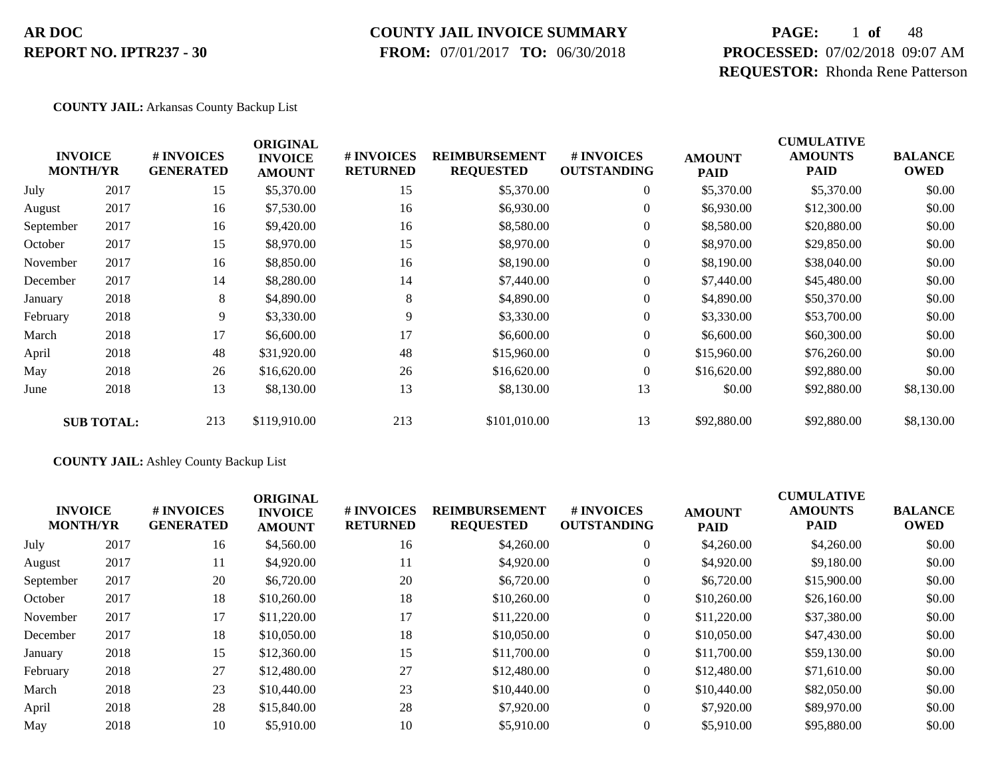#### **COUNTY JAIL INVOICE SUMMARY**

 **FROM:** 07/01/2017 **TO:** 06/30/2018

# **PAGE:** 1 **of** 48 **PROCESSED:** 07/02/2018 09:07 AM **REQUESTOR:** Rhonda Rene Patterson

#### **COUNTY JAIL:** Arkansas County Backup List

|           | <b>INVOICE</b><br><b>MONTH/YR</b> | # INVOICES<br><b>GENERATED</b> | <b>ORIGINAL</b><br><b>INVOICE</b><br><b>AMOUNT</b> | # INVOICES<br><b>RETURNED</b> | <b>REIMBURSEMENT</b><br><b>REQUESTED</b> | # INVOICES<br><b>OUTSTANDING</b> | <b>AMOUNT</b><br><b>PAID</b> | <b>CUMULATIVE</b><br><b>AMOUNTS</b><br>PAID | <b>BALANCE</b><br><b>OWED</b> |
|-----------|-----------------------------------|--------------------------------|----------------------------------------------------|-------------------------------|------------------------------------------|----------------------------------|------------------------------|---------------------------------------------|-------------------------------|
| July      | 2017                              | 15                             | \$5,370.00                                         | 15                            | \$5,370.00                               | $\overline{0}$                   | \$5,370.00                   | \$5,370.00                                  | \$0.00                        |
| August    | 2017                              | 16                             | \$7,530.00                                         | 16                            | \$6,930.00                               | $\overline{0}$                   | \$6,930.00                   | \$12,300.00                                 | \$0.00                        |
| September | 2017                              | 16                             | \$9,420.00                                         | 16                            | \$8,580.00                               | $\overline{0}$                   | \$8,580.00                   | \$20,880.00                                 | \$0.00                        |
| October   | 2017                              | 15                             | \$8,970.00                                         | 15                            | \$8,970.00                               | $\overline{0}$                   | \$8,970.00                   | \$29,850.00                                 | \$0.00                        |
| November  | 2017                              | 16                             | \$8,850.00                                         | 16                            | \$8,190.00                               | $\overline{0}$                   | \$8,190.00                   | \$38,040.00                                 | \$0.00                        |
| December  | 2017                              | 14                             | \$8,280.00                                         | 14                            | \$7,440.00                               | $\overline{0}$                   | \$7,440.00                   | \$45,480.00                                 | \$0.00                        |
| January   | 2018                              | 8                              | \$4,890.00                                         | 8                             | \$4,890.00                               | $\overline{0}$                   | \$4,890.00                   | \$50,370.00                                 | \$0.00                        |
| February  | 2018                              | 9                              | \$3,330.00                                         | 9                             | \$3,330.00                               | $\overline{0}$                   | \$3,330.00                   | \$53,700.00                                 | \$0.00                        |
| March     | 2018                              | 17                             | \$6,600.00                                         | 17                            | \$6,600.00                               | $\overline{0}$                   | \$6,600.00                   | \$60,300.00                                 | \$0.00                        |
| April     | 2018                              | 48                             | \$31,920.00                                        | 48                            | \$15,960.00                              | 0                                | \$15,960.00                  | \$76,260.00                                 | \$0.00                        |
| May       | 2018                              | 26                             | \$16,620.00                                        | 26                            | \$16,620.00                              | $\overline{0}$                   | \$16,620.00                  | \$92,880.00                                 | \$0.00                        |
| June      | 2018                              | 13                             | \$8,130.00                                         | 13                            | \$8,130.00                               | 13                               | \$0.00                       | \$92,880.00                                 | \$8,130.00                    |
|           | <b>SUB TOTAL:</b>                 | 213                            | \$119,910.00                                       | 213                           | \$101,010.00                             | 13                               | \$92,880.00                  | \$92,880.00                                 | \$8,130.00                    |

#### **COUNTY JAIL:** Ashley County Backup List

|           | <b>INVOICE</b><br><b>MONTH/YR</b> | # INVOICES<br><b>GENERATED</b> | <b>ORIGINAL</b><br><b>INVOICE</b><br><b>AMOUNT</b> | <b># INVOICES</b><br><b>RETURNED</b> | <b>REIMBURSEMENT</b><br><b>REQUESTED</b> | # INVOICES<br><b>OUTSTANDING</b> | <b>AMOUNT</b><br><b>PAID</b> | <b>CUMULATIVE</b><br><b>AMOUNTS</b><br><b>PAID</b> | <b>BALANCE</b><br><b>OWED</b> |
|-----------|-----------------------------------|--------------------------------|----------------------------------------------------|--------------------------------------|------------------------------------------|----------------------------------|------------------------------|----------------------------------------------------|-------------------------------|
| July      | 2017                              | 16                             | \$4,560.00                                         | 16                                   | \$4,260.00                               | $\overline{0}$                   | \$4,260.00                   | \$4,260.00                                         | \$0.00                        |
| August    | 2017                              | 11                             | \$4,920.00                                         | 11                                   | \$4,920.00                               | $\overline{0}$                   | \$4,920.00                   | \$9,180.00                                         | \$0.00                        |
| September | 2017                              | 20                             | \$6,720.00                                         | 20                                   | \$6,720.00                               | $\boldsymbol{0}$                 | \$6,720.00                   | \$15,900.00                                        | \$0.00                        |
| October   | 2017                              | 18                             | \$10,260.00                                        | 18                                   | \$10,260.00                              | $\theta$                         | \$10,260.00                  | \$26,160.00                                        | \$0.00                        |
| November  | 2017                              | 17                             | \$11,220.00                                        | 17                                   | \$11,220.00                              | $\overline{0}$                   | \$11,220.00                  | \$37,380.00                                        | \$0.00                        |
| December  | 2017                              | 18                             | \$10,050.00                                        | 18                                   | \$10,050.00                              | $\overline{0}$                   | \$10,050.00                  | \$47,430.00                                        | \$0.00                        |
| January   | 2018                              | 15                             | \$12,360.00                                        | 15                                   | \$11,700.00                              | $\overline{0}$                   | \$11,700.00                  | \$59,130.00                                        | \$0.00                        |
| February  | 2018                              | 27                             | \$12,480.00                                        | 27                                   | \$12,480.00                              | $\overline{0}$                   | \$12,480.00                  | \$71,610.00                                        | \$0.00                        |
| March     | 2018                              | 23                             | \$10,440.00                                        | 23                                   | \$10,440.00                              | $\overline{0}$                   | \$10,440.00                  | \$82,050.00                                        | \$0.00                        |
| April     | 2018                              | 28                             | \$15,840.00                                        | 28                                   | \$7,920.00                               | $\overline{0}$                   | \$7,920.00                   | \$89,970.00                                        | \$0.00                        |
| May       | 2018                              | 10                             | \$5,910.00                                         | 10                                   | \$5,910.00                               | $\theta$                         | \$5,910.00                   | \$95,880.00                                        | \$0.00                        |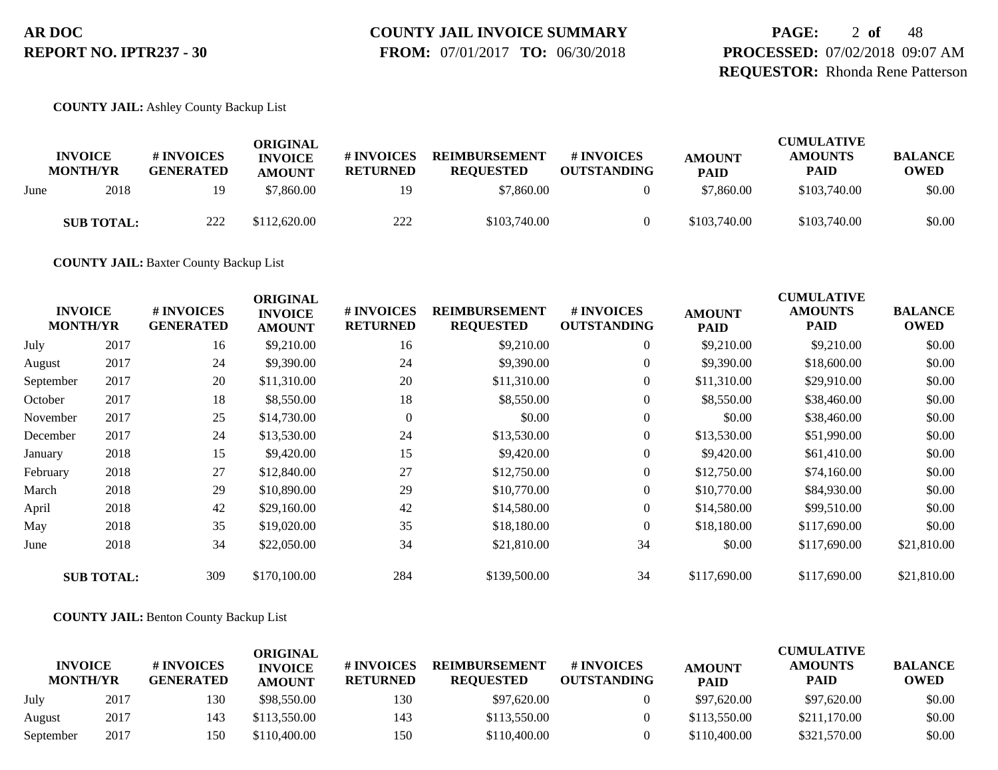# **COUNTY JAIL INVOICE SUMMARY**

 **FROM:** 07/01/2017 **TO:** 06/30/2018

**PAGE:** 2 **of** 48 **PROCESSED:** 07/02/2018 09:07 AM **REQUESTOR:** Rhonda Rene Patterson

**COUNTY JAIL:** Ashley County Backup List

|      | <b>INVOICE</b><br><b>MONTH/YR</b> | # INVOICES<br><b>GENERATED</b> | ORIGINAL<br><b>INVOICE</b><br><b>AMOUNT</b> | # INVOICES<br><b>RETURNED</b> | <b>REIMBURSEMENT</b><br><b>REOUESTED</b> | # INVOICES<br><b>OUTSTANDING</b> | <b>AMOUNT</b><br><b>PAID</b> | <b>CUMULATIVE</b><br><b>AMOUNTS</b><br><b>PAID</b> | <b>BALANCE</b><br><b>OWED</b> |
|------|-----------------------------------|--------------------------------|---------------------------------------------|-------------------------------|------------------------------------------|----------------------------------|------------------------------|----------------------------------------------------|-------------------------------|
| June | 2018                              | 19                             | \$7,860.00                                  | 19                            | \$7,860.00                               |                                  | \$7,860.00                   | \$103,740.00                                       | \$0.00                        |
|      | <b>SUB TOTAL:</b>                 | 222                            | \$112,620.00                                | 222                           | \$103,740.00                             |                                  | \$103,740.00                 | \$103,740.00                                       | \$0.00                        |

**COUNTY JAIL:** Baxter County Backup List

| <b>INVOICE</b><br><b>MONTH/YR</b> |                   | # INVOICES<br><b>GENERATED</b> | <b>ORIGINAL</b><br><b>INVOICE</b><br><b>AMOUNT</b> | # INVOICES<br><b>RETURNED</b> | <b>REIMBURSEMENT</b><br><b>REQUESTED</b> | # INVOICES<br><b>OUTSTANDING</b> | <b>AMOUNT</b><br><b>PAID</b> | <b>CUMULATIVE</b><br><b>AMOUNTS</b><br><b>PAID</b> | <b>BALANCE</b><br><b>OWED</b> |
|-----------------------------------|-------------------|--------------------------------|----------------------------------------------------|-------------------------------|------------------------------------------|----------------------------------|------------------------------|----------------------------------------------------|-------------------------------|
| July                              | 2017              | 16                             | \$9,210.00                                         | 16                            | \$9,210.00                               | $\overline{0}$                   | \$9,210.00                   | \$9,210.00                                         | \$0.00                        |
| August                            | 2017              | 24                             | \$9,390.00                                         | 24                            | \$9,390.00                               | $\overline{0}$                   | \$9,390.00                   | \$18,600.00                                        | \$0.00                        |
| September                         | 2017              | 20                             | \$11,310.00                                        | 20                            | \$11,310.00                              | $\overline{0}$                   | \$11,310.00                  | \$29,910.00                                        | \$0.00                        |
| October                           | 2017              | 18                             | \$8,550.00                                         | 18                            | \$8,550.00                               | $\boldsymbol{0}$                 | \$8,550.00                   | \$38,460.00                                        | \$0.00                        |
| November                          | 2017              | 25                             | \$14,730.00                                        | $\theta$                      | \$0.00                                   | $\theta$                         | \$0.00                       | \$38,460.00                                        | \$0.00                        |
| December                          | 2017              | 24                             | \$13,530.00                                        | 24                            | \$13,530.00                              | $\boldsymbol{0}$                 | \$13,530.00                  | \$51,990.00                                        | \$0.00                        |
| January                           | 2018              | 15                             | \$9,420.00                                         | 15                            | \$9,420.00                               | $\overline{0}$                   | \$9,420.00                   | \$61,410.00                                        | \$0.00                        |
| February                          | 2018              | 27                             | \$12,840.00                                        | 27                            | \$12,750.00                              | $\overline{0}$                   | \$12,750.00                  | \$74,160.00                                        | \$0.00                        |
| March                             | 2018              | 29                             | \$10,890.00                                        | 29                            | \$10,770.00                              | $\overline{0}$                   | \$10,770.00                  | \$84,930.00                                        | \$0.00                        |
| April                             | 2018              | 42                             | \$29,160.00                                        | 42                            | \$14,580.00                              | $\overline{0}$                   | \$14,580.00                  | \$99,510.00                                        | \$0.00                        |
| May                               | 2018              | 35                             | \$19,020.00                                        | 35                            | \$18,180.00                              | $\Omega$                         | \$18,180.00                  | \$117,690.00                                       | \$0.00                        |
| June                              | 2018              | 34                             | \$22,050.00                                        | 34                            | \$21,810.00                              | 34                               | \$0.00                       | \$117,690.00                                       | \$21,810.00                   |
|                                   | <b>SUB TOTAL:</b> | 309                            | \$170,100.00                                       | 284                           | \$139,500.00                             | 34                               | \$117,690.00                 | \$117,690.00                                       | \$21,810.00                   |

**COUNTY JAIL:** Benton County Backup List

|                                   |      |                                      | ORIGINAL                        |                               |                                          |                                  |                              | <b>CUMULATIVE</b>             |                               |
|-----------------------------------|------|--------------------------------------|---------------------------------|-------------------------------|------------------------------------------|----------------------------------|------------------------------|-------------------------------|-------------------------------|
| <b>INVOICE</b><br><b>MONTH/YR</b> |      | <b>#INVOICES</b><br><b>GENERATED</b> | <b>INVOICE</b><br><b>AMOUNT</b> | # INVOICES<br><b>RETURNED</b> | <b>REIMBURSEMENT</b><br><b>REOUESTED</b> | # INVOICES<br><b>OUTSTANDING</b> | <b>AMOUNT</b><br><b>PAID</b> | <b>AMOUNTS</b><br><b>PAID</b> | <b>BALANCE</b><br><b>OWED</b> |
| July                              | 2017 | 130                                  | \$98,550.00                     | 130                           | \$97,620.00                              |                                  | \$97,620.00                  | \$97,620.00                   | \$0.00                        |
| August                            | 2017 | 143                                  | \$113,550.00                    | 143                           | \$113,550.00                             |                                  | \$113,550.00                 | \$211,170.00                  | \$0.00                        |
| September                         | 2017 | 150                                  | \$110,400.00                    | 150                           | \$110,400.00                             |                                  | \$110,400.00                 | \$321,570.00                  | \$0.00                        |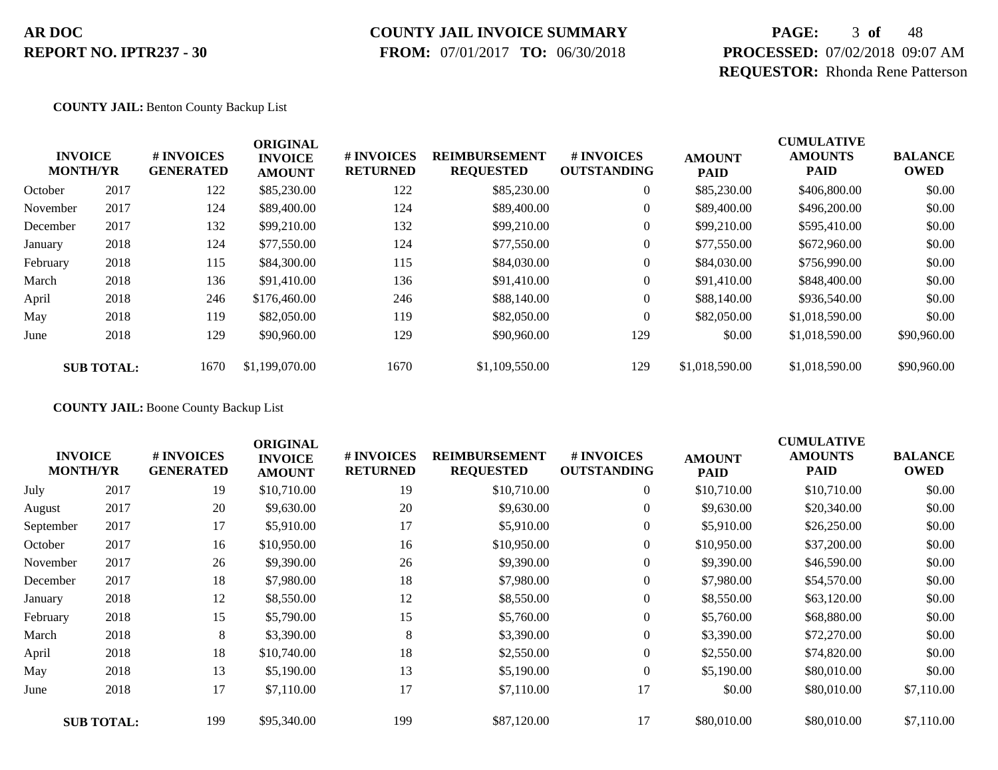### **COUNTY JAIL INVOICE SUMMARY**

 **FROM:** 07/01/2017 **TO:** 06/30/2018

# **PAGE:** 3 **of** 48 **PROCESSED:** 07/02/2018 09:07 AM **REQUESTOR:** Rhonda Rene Patterson

**COUNTY JAIL:** Benton County Backup List

|          | <b>INVOICE</b><br><b>MONTH/YR</b> | # INVOICES<br><b>GENERATED</b> | <b>ORIGINAL</b><br><b>INVOICE</b><br><b>AMOUNT</b> | # INVOICES<br><b>RETURNED</b> | <b>REIMBURSEMENT</b><br><b>REQUESTED</b> | <b>#INVOICES</b><br><b>OUTSTANDING</b> | <b>AMOUNT</b><br><b>PAID</b> | <b>CUMULATIVE</b><br><b>AMOUNTS</b><br><b>PAID</b> | <b>BALANCE</b><br><b>OWED</b> |
|----------|-----------------------------------|--------------------------------|----------------------------------------------------|-------------------------------|------------------------------------------|----------------------------------------|------------------------------|----------------------------------------------------|-------------------------------|
| October  | 2017                              | 122                            | \$85,230.00                                        | 122                           | \$85,230.00                              | $\overline{0}$                         | \$85,230.00                  | \$406,800.00                                       | \$0.00                        |
| November | 2017                              | 124                            | \$89,400.00                                        | 124                           | \$89,400.00                              | $\overline{0}$                         | \$89,400.00                  | \$496,200.00                                       | \$0.00                        |
| December | 2017                              | 132                            | \$99,210.00                                        | 132                           | \$99,210.00                              | $\overline{0}$                         | \$99,210.00                  | \$595,410.00                                       | \$0.00                        |
| January  | 2018                              | 124                            | \$77,550.00                                        | 124                           | \$77,550.00                              | 0                                      | \$77,550.00                  | \$672,960.00                                       | \$0.00                        |
| February | 2018                              | 115                            | \$84,300.00                                        | 115                           | \$84,030.00                              | 0                                      | \$84,030.00                  | \$756,990.00                                       | \$0.00                        |
| March    | 2018                              | 136                            | \$91,410.00                                        | 136                           | \$91,410.00                              | $\overline{0}$                         | \$91,410.00                  | \$848,400.00                                       | \$0.00                        |
| April    | 2018                              | 246                            | \$176,460.00                                       | 246                           | \$88,140.00                              | $\overline{0}$                         | \$88,140.00                  | \$936,540.00                                       | \$0.00                        |
| May      | 2018                              | 119                            | \$82,050.00                                        | 119                           | \$82,050.00                              | $\theta$                               | \$82,050.00                  | \$1,018,590.00                                     | \$0.00                        |
| June     | 2018                              | 129                            | \$90,960.00                                        | 129                           | \$90,960.00                              | 129                                    | \$0.00                       | \$1,018,590.00                                     | \$90,960.00                   |
|          | <b>SUB TOTAL:</b>                 | 1670                           | \$1,199,070.00                                     | 1670                          | \$1,109,550.00                           | 129                                    | \$1,018,590.00               | \$1,018,590.00                                     | \$90,960.00                   |

**COUNTY JAIL:** Boone County Backup List

| <b>INVOICE</b><br><b>MONTH/YR</b> |                   | # INVOICES<br><b>GENERATED</b> | <b>ORIGINAL</b><br><b>INVOICE</b><br><b>AMOUNT</b> | # INVOICES<br><b>RETURNED</b> | <b>REIMBURSEMENT</b><br><b>REQUESTED</b> | # INVOICES<br><b>OUTSTANDING</b> | <b>AMOUNT</b><br><b>PAID</b> | <b>CUMULATIVE</b><br><b>AMOUNTS</b><br><b>PAID</b> | <b>BALANCE</b><br><b>OWED</b> |
|-----------------------------------|-------------------|--------------------------------|----------------------------------------------------|-------------------------------|------------------------------------------|----------------------------------|------------------------------|----------------------------------------------------|-------------------------------|
| July                              | 2017              | 19                             | \$10,710.00                                        | 19                            | \$10,710.00                              | $\boldsymbol{0}$                 | \$10,710.00                  | \$10,710.00                                        | \$0.00                        |
| August                            | 2017              | 20                             | \$9,630.00                                         | 20                            | \$9,630.00                               | $\boldsymbol{0}$                 | \$9,630.00                   | \$20,340.00                                        | \$0.00                        |
| September                         | 2017              | 17                             | \$5,910.00                                         | 17                            | \$5,910.00                               | $\overline{0}$                   | \$5,910.00                   | \$26,250.00                                        | \$0.00                        |
| October                           | 2017              | 16                             | \$10,950.00                                        | 16                            | \$10,950.00                              | 0                                | \$10,950.00                  | \$37,200.00                                        | \$0.00                        |
| November                          | 2017              | 26                             | \$9,390.00                                         | 26                            | \$9,390.00                               | $\boldsymbol{0}$                 | \$9,390.00                   | \$46,590.00                                        | \$0.00                        |
| December                          | 2017              | 18                             | \$7,980.00                                         | 18                            | \$7,980.00                               | $\overline{0}$                   | \$7,980.00                   | \$54,570.00                                        | \$0.00                        |
| January                           | 2018              | 12                             | \$8,550.00                                         | 12                            | \$8,550.00                               | $\overline{0}$                   | \$8,550.00                   | \$63,120.00                                        | \$0.00                        |
| February                          | 2018              | 15                             | \$5,790.00                                         | 15                            | \$5,760.00                               | $\boldsymbol{0}$                 | \$5,760.00                   | \$68,880.00                                        | \$0.00                        |
| March                             | 2018              | 8                              | \$3,390.00                                         | 8                             | \$3,390.00                               | $\overline{0}$                   | \$3,390.00                   | \$72,270.00                                        | \$0.00                        |
| April                             | 2018              | 18                             | \$10,740.00                                        | 18                            | \$2,550.00                               | $\overline{0}$                   | \$2,550.00                   | \$74,820.00                                        | \$0.00                        |
| May                               | 2018              | 13                             | \$5,190.00                                         | 13                            | \$5,190.00                               | $\boldsymbol{0}$                 | \$5,190.00                   | \$80,010.00                                        | \$0.00                        |
| June                              | 2018              | 17                             | \$7,110.00                                         | 17                            | \$7,110.00                               | 17                               | \$0.00                       | \$80,010.00                                        | \$7,110.00                    |
|                                   | <b>SUB TOTAL:</b> | 199                            | \$95,340.00                                        | 199                           | \$87,120.00                              | 17                               | \$80,010.00                  | \$80,010.00                                        | \$7,110.00                    |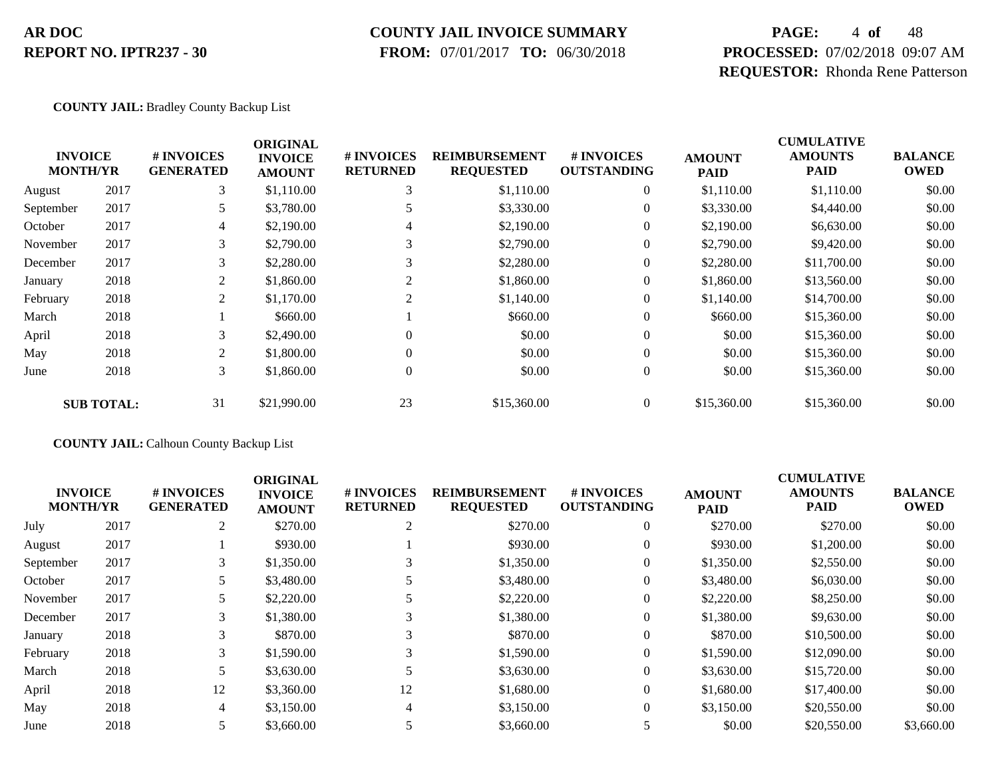#### **COUNTY JAIL INVOICE SUMMARY**

 **FROM:** 07/01/2017 **TO:** 06/30/2018

# **PAGE:** 4 **of** 48 **PROCESSED:** 07/02/2018 09:07 AM **REQUESTOR:** Rhonda Rene Patterson

**COUNTY JAIL:** Bradley County Backup List

|           |                                   |                                | <b>ORIGINAL</b>                 |                               |                                          |                                        |                              | <b>CUMULATIVE</b>      |                               |
|-----------|-----------------------------------|--------------------------------|---------------------------------|-------------------------------|------------------------------------------|----------------------------------------|------------------------------|------------------------|-------------------------------|
|           | <b>INVOICE</b><br><b>MONTH/YR</b> | # INVOICES<br><b>GENERATED</b> | <b>INVOICE</b><br><b>AMOUNT</b> | # INVOICES<br><b>RETURNED</b> | <b>REIMBURSEMENT</b><br><b>REQUESTED</b> | <b>#INVOICES</b><br><b>OUTSTANDING</b> | <b>AMOUNT</b><br><b>PAID</b> | <b>AMOUNTS</b><br>PAID | <b>BALANCE</b><br><b>OWED</b> |
| August    | 2017                              | 3                              | \$1,110.00                      |                               | \$1,110.00                               | $\theta$                               | \$1,110.00                   | \$1,110.00             | \$0.00                        |
| September | 2017                              | 5                              | \$3,780.00                      |                               | \$3,330.00                               |                                        | \$3,330.00                   | \$4,440.00             | \$0.00                        |
| October   | 2017                              | 4                              | \$2,190.00                      | 4                             | \$2,190.00                               |                                        | \$2,190.00                   | \$6,630.00             | \$0.00                        |
| November  | 2017                              | 3                              | \$2,790.00                      |                               | \$2,790.00                               |                                        | \$2,790.00                   | \$9,420.00             | \$0.00                        |
| December  | 2017                              | 3                              | \$2,280.00                      |                               | \$2,280.00                               |                                        | \$2,280.00                   | \$11,700.00            | \$0.00                        |
| January   | 2018                              | 2                              | \$1,860.00                      |                               | \$1,860.00                               | $\overline{0}$                         | \$1,860.00                   | \$13,560.00            | \$0.00                        |
| February  | 2018                              | 2                              | \$1,170.00                      | 2                             | \$1,140.00                               | $\mathbf{0}$                           | \$1,140.00                   | \$14,700.00            | \$0.00                        |
| March     | 2018                              |                                | \$660.00                        |                               | \$660.00                                 | $\overline{0}$                         | \$660.00                     | \$15,360.00            | \$0.00                        |
| April     | 2018                              | 3                              | \$2,490.00                      | $\Omega$                      | \$0.00                                   | $\theta$                               | \$0.00                       | \$15,360.00            | \$0.00                        |
| May       | 2018                              | 2                              | \$1,800.00                      | $\Omega$                      | \$0.00                                   | $\theta$                               | \$0.00                       | \$15,360.00            | \$0.00                        |
| June      | 2018                              | 3                              | \$1,860.00                      | $\overline{0}$                | \$0.00                                   | $\theta$                               | \$0.00                       | \$15,360.00            | \$0.00                        |
|           | <b>SUB TOTAL:</b>                 | 31                             | \$21,990.00                     | 23                            | \$15,360.00                              | $\Omega$                               | \$15,360.00                  | \$15,360.00            | \$0.00                        |

**COUNTY JAIL:** Calhoun County Backup List

| <b>INVOICE</b><br><b>MONTH/YR</b> |      | # INVOICES<br><b>GENERATED</b> | <b>ORIGINAL</b><br><b>INVOICE</b><br><b>AMOUNT</b> | # INVOICES<br><b>RETURNED</b> | <b>REIMBURSEMENT</b><br><b>REQUESTED</b> | <b>#INVOICES</b><br><b>OUTSTANDING</b> | <b>AMOUNT</b><br><b>PAID</b> | <b>CUMULATIVE</b><br><b>AMOUNTS</b><br><b>PAID</b> | <b>BALANCE</b><br><b>OWED</b> |
|-----------------------------------|------|--------------------------------|----------------------------------------------------|-------------------------------|------------------------------------------|----------------------------------------|------------------------------|----------------------------------------------------|-------------------------------|
| July                              | 2017 | 2                              | \$270.00                                           | 2                             | \$270.00                                 | $\overline{0}$                         | \$270.00                     | \$270.00                                           | \$0.00                        |
| August                            | 2017 |                                | \$930.00                                           |                               | \$930.00                                 | $\overline{0}$                         | \$930.00                     | \$1,200.00                                         | \$0.00                        |
| September                         | 2017 | 3                              | \$1,350.00                                         |                               | \$1,350.00                               | $\overline{0}$                         | \$1,350.00                   | \$2,550.00                                         | \$0.00                        |
| October                           | 2017 |                                | \$3,480.00                                         |                               | \$3,480.00                               | $\overline{0}$                         | \$3,480.00                   | \$6,030.00                                         | \$0.00                        |
| November                          | 2017 |                                | \$2,220.00                                         |                               | \$2,220.00                               | $\overline{0}$                         | \$2,220.00                   | \$8,250.00                                         | \$0.00                        |
| December                          | 2017 | 3                              | \$1,380.00                                         | 3                             | \$1,380.00                               | $\overline{0}$                         | \$1,380.00                   | \$9,630.00                                         | \$0.00                        |
| January                           | 2018 | 3                              | \$870.00                                           | 3                             | \$870.00                                 | $\Omega$                               | \$870.00                     | \$10,500.00                                        | \$0.00                        |
| February                          | 2018 | 3                              | \$1,590.00                                         | 3                             | \$1,590.00                               | $\overline{0}$                         | \$1,590.00                   | \$12,090.00                                        | \$0.00                        |
| March                             | 2018 | 5.                             | \$3,630.00                                         |                               | \$3,630.00                               | $\overline{0}$                         | \$3,630.00                   | \$15,720.00                                        | \$0.00                        |
| April                             | 2018 | 12                             | \$3,360.00                                         | 12                            | \$1,680.00                               | $\overline{0}$                         | \$1,680.00                   | \$17,400.00                                        | \$0.00                        |
| May                               | 2018 | 4                              | \$3,150.00                                         | 4                             | \$3,150.00                               | $\overline{0}$                         | \$3,150.00                   | \$20,550.00                                        | \$0.00                        |
| June                              | 2018 |                                | \$3,660.00                                         |                               | \$3,660.00                               | 5                                      | \$0.00                       | \$20,550.00                                        | \$3,660.00                    |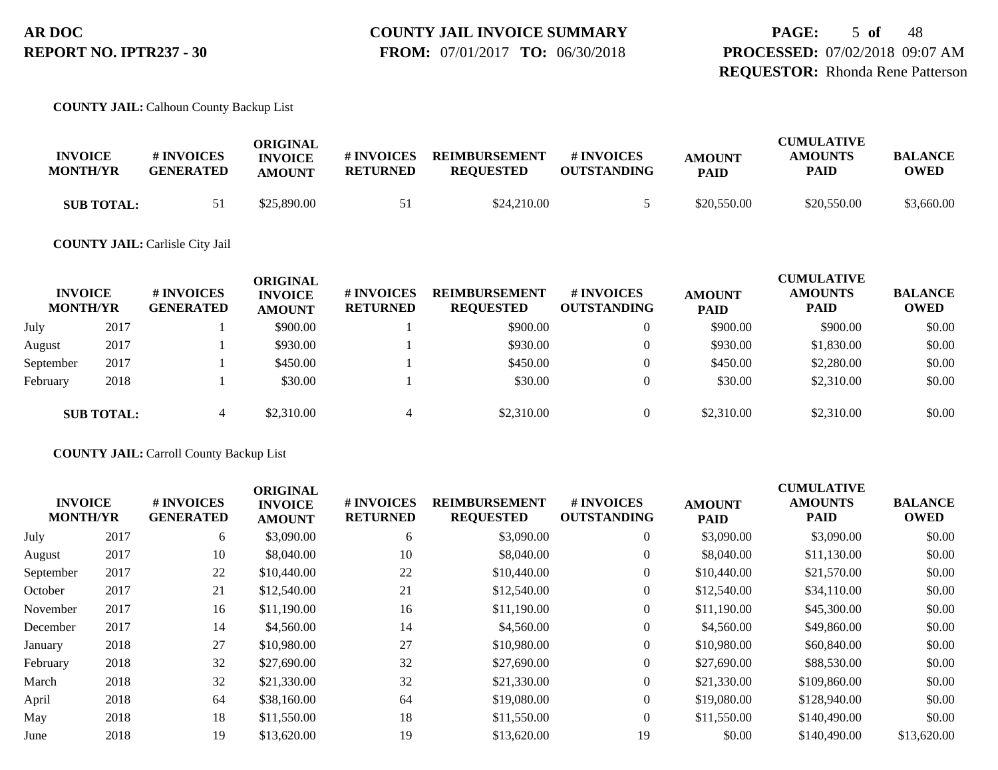**PAGE:** 5 **of** 48 **PROCESSED:** 07/02/2018 09:07 AM **REQUESTOR:** Rhonda Rene Patterson

#### **COUNTY JAIL:** Calhoun County Backup List

| <b>INVOICE</b><br><b>MONTH/YR</b> | # INVOICES<br><b>GENERATED</b> | ORIGINAL<br><b>INVOICE</b><br><b>AMOUNT</b> | # INVOICES<br><b>RETURNED</b> | <b>REIMBURSEMENT</b><br><b>REOUESTED</b> | # INVOICES<br><b>OUTSTANDING</b> | <b>AMOUNT</b><br><b>PAID</b> | <b>CUMULATIVE</b><br><b>AMOUNTS</b><br>PAID | <b>BALANCE</b><br>OWED |
|-----------------------------------|--------------------------------|---------------------------------------------|-------------------------------|------------------------------------------|----------------------------------|------------------------------|---------------------------------------------|------------------------|
| <b>SUB TOTAL:</b>                 |                                | \$25,890.00                                 | -51                           | \$24,210.00                              |                                  | \$20,550.00                  | \$20,550.00                                 | \$3,660.00             |

#### **COUNTY JAIL:** Carlisle City Jail

| <b>INVOICE</b><br><b>MONTH/YR</b> |                   | # INVOICES<br><b>GENERATED</b> | ORIGINAL<br><b>INVOICE</b><br><b>AMOUNT</b> | # INVOICES<br><b>RETURNED</b> | <b>REIMBURSEMENT</b><br><b>REQUESTED</b> | <b>#INVOICES</b><br><b>OUTSTANDING</b> | <b>AMOUNT</b><br><b>PAID</b> | <b>CUMULATIVE</b><br><b>AMOUNTS</b><br><b>PAID</b> | <b>BALANCE</b><br><b>OWED</b> |
|-----------------------------------|-------------------|--------------------------------|---------------------------------------------|-------------------------------|------------------------------------------|----------------------------------------|------------------------------|----------------------------------------------------|-------------------------------|
| July                              | 2017              |                                | \$900.00                                    |                               | \$900.00                                 | $\overline{0}$                         | \$900.00                     | \$900.00                                           | \$0.00                        |
| August                            | 2017              |                                | \$930.00                                    |                               | \$930.00                                 | $\overline{0}$                         | \$930.00                     | \$1,830.00                                         | \$0.00                        |
| September                         | 2017              |                                | \$450.00                                    |                               | \$450.00                                 | $\Omega$                               | \$450.00                     | \$2,280.00                                         | \$0.00                        |
| February                          | 2018              |                                | \$30.00                                     |                               | \$30.00                                  | $\Omega$                               | \$30.00                      | \$2,310.00                                         | \$0.00                        |
|                                   | <b>SUB TOTAL:</b> |                                | \$2,310.00                                  | 4                             | \$2,310.00                               | $\Omega$                               | \$2,310.00                   | \$2,310.00                                         | \$0.00                        |

#### **COUNTY JAIL:** Carroll County Backup List

|                                   |      |                                      | <b>ORIGINAL</b>                 |                               |                                          |                                  |                              | <b>CUMULATIVE</b>             |                               |
|-----------------------------------|------|--------------------------------------|---------------------------------|-------------------------------|------------------------------------------|----------------------------------|------------------------------|-------------------------------|-------------------------------|
| <b>INVOICE</b><br><b>MONTH/YR</b> |      | <b>#INVOICES</b><br><b>GENERATED</b> | <b>INVOICE</b><br><b>AMOUNT</b> | # INVOICES<br><b>RETURNED</b> | <b>REIMBURSEMENT</b><br><b>REQUESTED</b> | # INVOICES<br><b>OUTSTANDING</b> | <b>AMOUNT</b><br><b>PAID</b> | <b>AMOUNTS</b><br><b>PAID</b> | <b>BALANCE</b><br><b>OWED</b> |
| July                              | 2017 | 6                                    | \$3,090.00                      | 6                             | \$3,090.00                               | 0                                | \$3,090.00                   | \$3,090.00                    | \$0.00                        |
| August                            | 2017 | 10                                   | \$8,040.00                      | 10                            | \$8,040.00                               | $\overline{0}$                   | \$8,040.00                   | \$11,130.00                   | \$0.00                        |
| September                         | 2017 | 22                                   | \$10,440.00                     | 22                            | \$10,440.00                              | 0                                | \$10,440.00                  | \$21,570.00                   | \$0.00                        |
| October                           | 2017 | 21                                   | \$12,540.00                     | 21                            | \$12,540.00                              | 0                                | \$12,540.00                  | \$34,110.00                   | \$0.00                        |
| November                          | 2017 | 16                                   | \$11,190.00                     | 16                            | \$11,190.00                              | 0                                | \$11,190.00                  | \$45,300.00                   | \$0.00                        |
| December                          | 2017 | 14                                   | \$4,560.00                      | 14                            | \$4,560.00                               | 0                                | \$4,560.00                   | \$49,860.00                   | \$0.00                        |
| January                           | 2018 | 27                                   | \$10,980.00                     | 27                            | \$10,980.00                              | $\overline{0}$                   | \$10,980.00                  | \$60,840.00                   | \$0.00                        |
| February                          | 2018 | 32                                   | \$27,690.00                     | 32                            | \$27,690.00                              | $\overline{0}$                   | \$27,690.00                  | \$88,530.00                   | \$0.00                        |
| March                             | 2018 | 32                                   | \$21,330.00                     | 32                            | \$21,330.00                              | $\overline{0}$                   | \$21,330.00                  | \$109,860.00                  | \$0.00                        |
| April                             | 2018 | 64                                   | \$38,160.00                     | 64                            | \$19,080.00                              | $\Omega$                         | \$19,080.00                  | \$128,940.00                  | \$0.00                        |
| May                               | 2018 | 18                                   | \$11,550.00                     | 18                            | \$11,550.00                              | $\overline{0}$                   | \$11,550.00                  | \$140,490.00                  | \$0.00                        |
| June                              | 2018 | 19                                   | \$13,620.00                     | 19                            | \$13,620.00                              | 19                               | \$0.00                       | \$140,490.00                  | \$13,620.00                   |
|                                   |      |                                      |                                 |                               |                                          |                                  |                              |                               |                               |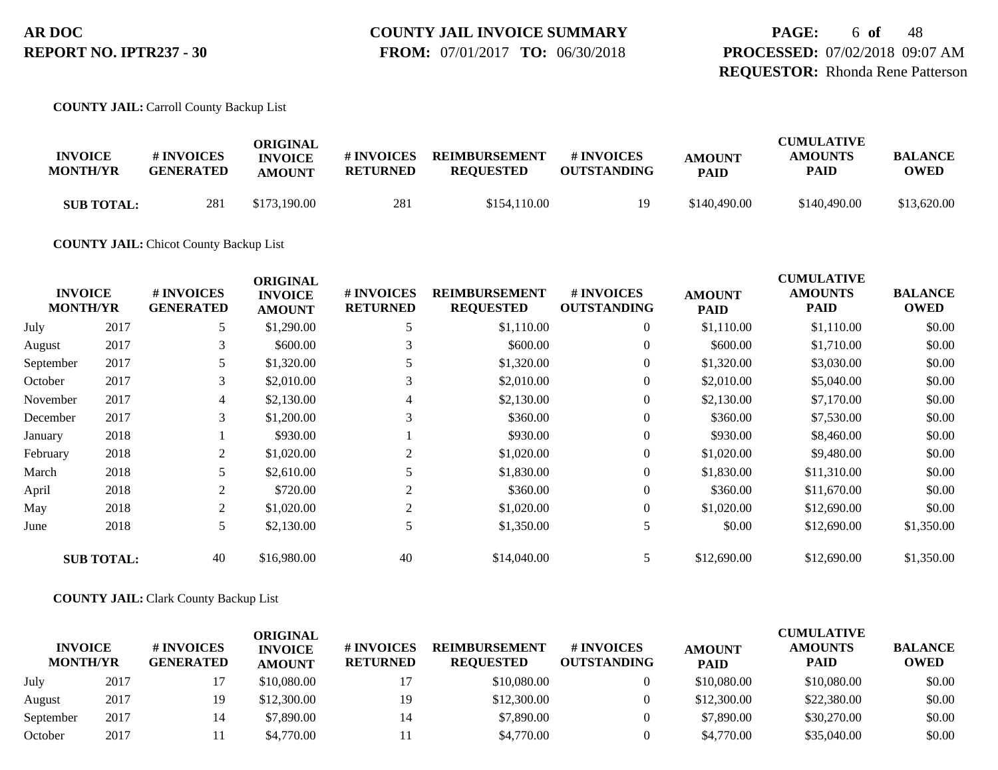**PAGE:** 6 **of** 48 **PROCESSED:** 07/02/2018 09:07 AM **REQUESTOR:** Rhonda Rene Patterson

**COUNTY JAIL:** Carroll County Backup List

|                   |                  | ORIGINAL       |                 |                      |                    |               | <b>CUMULATIVE</b> |                |  |
|-------------------|------------------|----------------|-----------------|----------------------|--------------------|---------------|-------------------|----------------|--|
| <b>INVOICE</b>    | # INVOICES       | <b>INVOICE</b> | # INVOICES      | <b>REIMBURSEMENT</b> | # INVOICES         | <b>AMOUNT</b> | <b>AMOUNTS</b>    | <b>BALANCE</b> |  |
| <b>MONTH/YR</b>   | <b>GENERATED</b> | <b>AMOUNT</b>  | <b>RETURNED</b> | <b>REOUESTED</b>     | <b>OUTSTANDING</b> | <b>PAID</b>   | PAID              | OWED           |  |
| <b>SUB TOTAL:</b> | 281              | \$173,190.00   | 281             | \$154.110.00         | ١Q                 | \$140,490.00  | \$140,490.00      | \$13,620.00    |  |

**COUNTY JAIL:** Chicot County Backup List

|           | <b>INVOICE</b><br><b>MONTH/YR</b> | # INVOICES<br><b>GENERATED</b> | <b>ORIGINAL</b><br><b>INVOICE</b><br><b>AMOUNT</b> | # INVOICES<br><b>RETURNED</b> | <b>REIMBURSEMENT</b><br><b>REQUESTED</b> | # INVOICES<br><b>OUTSTANDING</b> | <b>AMOUNT</b><br><b>PAID</b> | <b>CUMULATIVE</b><br><b>AMOUNTS</b><br><b>PAID</b> | <b>BALANCE</b><br><b>OWED</b> |
|-----------|-----------------------------------|--------------------------------|----------------------------------------------------|-------------------------------|------------------------------------------|----------------------------------|------------------------------|----------------------------------------------------|-------------------------------|
| July      | 2017                              | 5                              | \$1,290.00                                         |                               | \$1,110.00                               | $\boldsymbol{0}$                 | \$1,110.00                   | \$1,110.00                                         | \$0.00                        |
| August    | 2017                              | 3                              | \$600.00                                           |                               | \$600.00                                 | $\overline{0}$                   | \$600.00                     | \$1,710.00                                         | \$0.00                        |
| September | 2017                              |                                | \$1,320.00                                         |                               | \$1,320.00                               | $\overline{0}$                   | \$1,320.00                   | \$3,030.00                                         | \$0.00                        |
| October   | 2017                              | 3                              | \$2,010.00                                         | 3                             | \$2,010.00                               |                                  | \$2,010.00                   | \$5,040.00                                         | \$0.00                        |
| November  | 2017                              | 4                              | \$2,130.00                                         | 4                             | \$2,130.00                               | $\overline{0}$                   | \$2,130.00                   | \$7,170.00                                         | \$0.00                        |
| December  | 2017                              | 3                              | \$1,200.00                                         | 3                             | \$360.00                                 | $\Omega$                         | \$360.00                     | \$7,530.00                                         | \$0.00                        |
| January   | 2018                              |                                | \$930.00                                           |                               | \$930.00                                 | $\overline{0}$                   | \$930.00                     | \$8,460.00                                         | \$0.00                        |
| February  | 2018                              | 2                              | \$1,020.00                                         |                               | \$1,020.00                               | $\boldsymbol{0}$                 | \$1,020.00                   | \$9,480.00                                         | \$0.00                        |
| March     | 2018                              |                                | \$2,610.00                                         |                               | \$1,830.00                               | $\overline{0}$                   | \$1,830.00                   | \$11,310.00                                        | \$0.00                        |
| April     | 2018                              | 2                              | \$720.00                                           | 2                             | \$360.00                                 | $\theta$                         | \$360.00                     | \$11,670.00                                        | \$0.00                        |
| May       | 2018                              | 2                              | \$1,020.00                                         | $\overline{c}$                | \$1,020.00                               | $\overline{0}$                   | \$1,020.00                   | \$12,690.00                                        | \$0.00                        |
| June      | 2018                              | 5                              | \$2,130.00                                         | 5                             | \$1,350.00                               | 5                                | \$0.00                       | \$12,690.00                                        | \$1,350.00                    |
|           | <b>SUB TOTAL:</b>                 | 40                             | \$16,980.00                                        | 40                            | \$14,040.00                              | 5                                | \$12,690.00                  | \$12,690.00                                        | \$1,350.00                    |

#### **COUNTY JAIL:** Clark County Backup List

| <b>INVOICE</b><br><b>MONTH/YR</b> |      | # INVOICES<br><b>GENERATED</b> | ORIGINAL<br><b>INVOICE</b><br><b>AMOUNT</b> | # INVOICES<br><b>RETURNED</b> | <b>REIMBURSEMENT</b><br><b>REQUESTED</b> | <b>#INVOICES</b><br><b>OUTSTANDING</b> | <b>AMOUNT</b><br><b>PAID</b> | <b>CUMULATIVE</b><br><b>AMOUNTS</b><br><b>PAID</b> | <b>BALANCE</b><br><b>OWED</b> |
|-----------------------------------|------|--------------------------------|---------------------------------------------|-------------------------------|------------------------------------------|----------------------------------------|------------------------------|----------------------------------------------------|-------------------------------|
| July                              | 2017 |                                | \$10,080.00                                 |                               | \$10,080.00                              |                                        | \$10,080.00                  | \$10,080.00                                        | \$0.00                        |
| August                            | 2017 | 19                             | \$12,300.00                                 | 19                            | \$12,300.00                              |                                        | \$12,300.00                  | \$22,380.00                                        | \$0.00                        |
| September                         | 2017 | 14                             | \$7,890.00                                  |                               | \$7,890.00                               |                                        | \$7,890.00                   | \$30,270.00                                        | \$0.00                        |
| October                           | 2017 |                                | \$4,770.00                                  |                               | \$4,770.00                               |                                        | \$4,770.00                   | \$35,040.00                                        | \$0.00                        |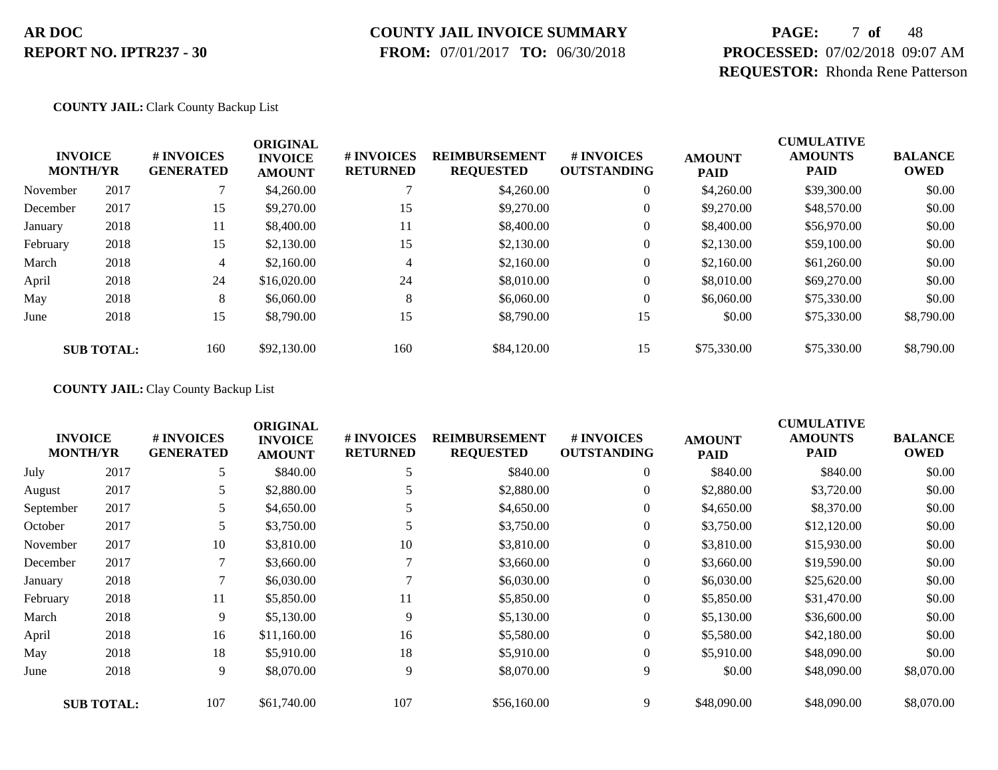### **COUNTY JAIL INVOICE SUMMARY**

 **FROM:** 07/01/2017 **TO:** 06/30/2018

# **PAGE:** 7 **of** 48 **PROCESSED:** 07/02/2018 09:07 AM **REQUESTOR:** Rhonda Rene Patterson

#### **COUNTY JAIL:** Clark County Backup List

|          | <b>INVOICE</b><br><b>MONTH/YR</b> | # INVOICES<br><b>GENERATED</b> | <b>ORIGINAL</b><br><b>INVOICE</b><br><b>AMOUNT</b> | # INVOICES<br><b>RETURNED</b> | <b>REIMBURSEMENT</b><br><b>REQUESTED</b> | # INVOICES<br><b>OUTSTANDING</b> | <b>AMOUNT</b><br><b>PAID</b> | <b>CUMULATIVE</b><br><b>AMOUNTS</b><br><b>PAID</b> | <b>BALANCE</b><br><b>OWED</b> |
|----------|-----------------------------------|--------------------------------|----------------------------------------------------|-------------------------------|------------------------------------------|----------------------------------|------------------------------|----------------------------------------------------|-------------------------------|
| November | 2017                              |                                | \$4,260.00                                         |                               | \$4,260.00                               | $\theta$                         | \$4,260.00                   | \$39,300.00                                        | \$0.00                        |
| December | 2017                              | 15                             | \$9,270.00                                         | 15                            | \$9,270.00                               | $\theta$                         | \$9,270.00                   | \$48,570.00                                        | \$0.00                        |
| January  | 2018                              | 11                             | \$8,400.00                                         | 11                            | \$8,400.00                               | $\theta$                         | \$8,400.00                   | \$56,970.00                                        | \$0.00                        |
| February | 2018                              | 15                             | \$2,130.00                                         | 15                            | \$2,130.00                               | $\theta$                         | \$2,130.00                   | \$59,100.00                                        | \$0.00                        |
| March    | 2018                              | 4                              | \$2,160.00                                         | 4                             | \$2,160.00                               | $\overline{0}$                   | \$2,160.00                   | \$61,260.00                                        | \$0.00                        |
| April    | 2018                              | 24                             | \$16,020.00                                        | 24                            | \$8,010.00                               | $\theta$                         | \$8,010.00                   | \$69,270.00                                        | \$0.00                        |
| May      | 2018                              | 8                              | \$6,060.00                                         | 8                             | \$6,060.00                               | $\theta$                         | \$6,060.00                   | \$75,330.00                                        | \$0.00                        |
| June     | 2018                              | 15                             | \$8,790.00                                         | 15                            | \$8,790.00                               | 15                               | \$0.00                       | \$75,330.00                                        | \$8,790.00                    |
|          | <b>SUB TOTAL:</b>                 | 160                            | \$92,130.00                                        | 160                           | \$84,120.00                              | 15                               | \$75,330.00                  | \$75,330.00                                        | \$8,790.00                    |

#### **COUNTY JAIL:** Clay County Backup List

|           | <b>INVOICE</b><br><b>MONTH/YR</b> | # INVOICES<br><b>GENERATED</b> | <b>ORIGINAL</b><br><b>INVOICE</b><br><b>AMOUNT</b> | # INVOICES<br><b>RETURNED</b> | <b>REIMBURSEMENT</b><br><b>REQUESTED</b> | # INVOICES<br><b>OUTSTANDING</b> | <b>AMOUNT</b><br><b>PAID</b> | <b>CUMULATIVE</b><br><b>AMOUNTS</b><br><b>PAID</b> | <b>BALANCE</b><br><b>OWED</b> |
|-----------|-----------------------------------|--------------------------------|----------------------------------------------------|-------------------------------|------------------------------------------|----------------------------------|------------------------------|----------------------------------------------------|-------------------------------|
| July      | 2017                              | 5                              | \$840.00                                           | 5                             | \$840.00                                 | $\overline{0}$                   | \$840.00                     | \$840.00                                           | \$0.00                        |
| August    | 2017                              | 5                              | \$2,880.00                                         |                               | \$2,880.00                               | $\overline{0}$                   | \$2,880.00                   | \$3,720.00                                         | \$0.00                        |
| September | 2017                              | 5                              | \$4,650.00                                         |                               | \$4,650.00                               | $\overline{0}$                   | \$4,650.00                   | \$8,370.00                                         | \$0.00                        |
| October   | 2017                              | 5                              | \$3,750.00                                         |                               | \$3,750.00                               | $\boldsymbol{0}$                 | \$3,750.00                   | \$12,120.00                                        | \$0.00                        |
| November  | 2017                              | 10                             | \$3,810.00                                         | 10                            | \$3,810.00                               | $\overline{0}$                   | \$3,810.00                   | \$15,930.00                                        | \$0.00                        |
| December  | 2017                              | 7                              | \$3,660.00                                         |                               | \$3,660.00                               | $\overline{0}$                   | \$3,660.00                   | \$19,590.00                                        | \$0.00                        |
| January   | 2018                              |                                | \$6,030.00                                         |                               | \$6,030.00                               | $\overline{0}$                   | \$6,030.00                   | \$25,620.00                                        | \$0.00                        |
| February  | 2018                              | 11                             | \$5,850.00                                         | 11                            | \$5,850.00                               | $\mathbf{0}$                     | \$5,850.00                   | \$31,470.00                                        | \$0.00                        |
| March     | 2018                              | 9                              | \$5,130.00                                         | 9                             | \$5,130.00                               | $\theta$                         | \$5,130.00                   | \$36,600.00                                        | \$0.00                        |
| April     | 2018                              | 16                             | \$11,160.00                                        | 16                            | \$5,580.00                               | $\theta$                         | \$5,580.00                   | \$42,180.00                                        | \$0.00                        |
| May       | 2018                              | 18                             | \$5,910.00                                         | 18                            | \$5,910.00                               | $\overline{0}$                   | \$5,910.00                   | \$48,090.00                                        | \$0.00                        |
| June      | 2018                              | 9                              | \$8,070.00                                         | 9                             | \$8,070.00                               | 9                                | \$0.00                       | \$48,090.00                                        | \$8,070.00                    |
|           | <b>SUB TOTAL:</b>                 | 107                            | \$61,740.00                                        | 107                           | \$56,160.00                              | 9                                | \$48,090.00                  | \$48,090.00                                        | \$8,070.00                    |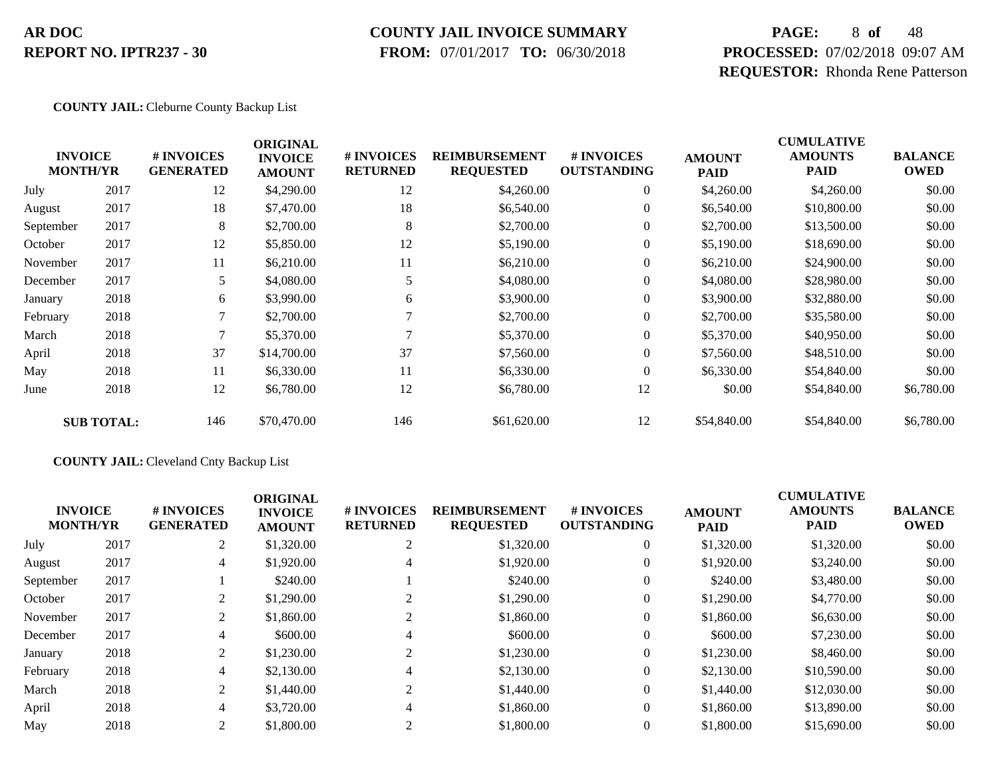#### **COUNTY JAIL INVOICE SUMMARY**

 **FROM:** 07/01/2017 **TO:** 06/30/2018

# **PAGE:** 8 **of** 48 **PROCESSED:** 07/02/2018 09:07 AM **REQUESTOR:** Rhonda Rene Patterson

#### **COUNTY JAIL:** Cleburne County Backup List

| <b>INVOICE</b><br><b>MONTH/YR</b> |                   | # INVOICES<br><b>GENERATED</b> | <b>ORIGINAL</b><br><b>INVOICE</b><br><b>AMOUNT</b> | # INVOICES<br><b>RETURNED</b> | <b>REIMBURSEMENT</b><br><b>REQUESTED</b> | # INVOICES<br><b>OUTSTANDING</b> | <b>AMOUNT</b><br><b>PAID</b> | <b>CUMULATIVE</b><br><b>AMOUNTS</b><br><b>PAID</b> | <b>BALANCE</b><br><b>OWED</b> |
|-----------------------------------|-------------------|--------------------------------|----------------------------------------------------|-------------------------------|------------------------------------------|----------------------------------|------------------------------|----------------------------------------------------|-------------------------------|
| July                              | 2017              | 12                             | \$4,290.00                                         | 12                            | \$4,260.00                               | $\boldsymbol{0}$                 | \$4,260.00                   | \$4,260.00                                         | \$0.00                        |
| August                            | 2017              | 18                             | \$7,470.00                                         | 18                            | \$6,540.00                               | $\overline{0}$                   | \$6,540.00                   | \$10,800.00                                        | \$0.00                        |
| September                         | 2017              | 8                              | \$2,700.00                                         | 8                             | \$2,700.00                               | $\theta$                         | \$2,700.00                   | \$13,500.00                                        | \$0.00                        |
| October                           | 2017              | 12                             | \$5,850.00                                         | 12                            | \$5,190.00                               | 0                                | \$5,190.00                   | \$18,690.00                                        | \$0.00                        |
| November                          | 2017              | 11                             | \$6,210.00                                         | 11                            | \$6,210.00                               | $\overline{0}$                   | \$6,210.00                   | \$24,900.00                                        | \$0.00                        |
| December                          | 2017              | 5                              | \$4,080.00                                         | 5                             | \$4,080.00                               | $\overline{0}$                   | \$4,080.00                   | \$28,980.00                                        | \$0.00                        |
| January                           | 2018              | 6                              | \$3,990.00                                         | 6                             | \$3,900.00                               | $\overline{0}$                   | \$3,900.00                   | \$32,880.00                                        | \$0.00                        |
| February                          | 2018              | 7                              | \$2,700.00                                         |                               | \$2,700.00                               | $\boldsymbol{0}$                 | \$2,700.00                   | \$35,580.00                                        | \$0.00                        |
| March                             | 2018              | 7                              | \$5,370.00                                         |                               | \$5,370.00                               | $\boldsymbol{0}$                 | \$5,370.00                   | \$40,950.00                                        | \$0.00                        |
| April                             | 2018              | 37                             | \$14,700.00                                        | 37                            | \$7,560.00                               | $\overline{0}$                   | \$7,560.00                   | \$48,510.00                                        | \$0.00                        |
| May                               | 2018              | 11                             | \$6,330.00                                         | 11                            | \$6,330.00                               | $\overline{0}$                   | \$6,330.00                   | \$54,840.00                                        | \$0.00                        |
| June                              | 2018              | 12                             | \$6,780.00                                         | 12                            | \$6,780.00                               | 12                               | \$0.00                       | \$54,840.00                                        | \$6,780.00                    |
|                                   | <b>SUB TOTAL:</b> | 146                            | \$70,470.00                                        | 146                           | \$61,620.00                              | 12                               | \$54,840.00                  | \$54,840.00                                        | \$6,780.00                    |

#### **COUNTY JAIL:** Cleveland Cnty Backup List

|           | <b>INVOICE</b><br><b>MONTH/YR</b> | <b>#INVOICES</b><br><b>GENERATED</b> | <b>ORIGINAL</b><br><b>INVOICE</b><br><b>AMOUNT</b> | <b># INVOICES</b><br><b>RETURNED</b> | <b>REIMBURSEMENT</b><br><b>REQUESTED</b> | # INVOICES<br><b>OUTSTANDING</b> | <b>AMOUNT</b><br><b>PAID</b> | <b>CUMULATIVE</b><br><b>AMOUNTS</b><br><b>PAID</b> | <b>BALANCE</b><br><b>OWED</b> |
|-----------|-----------------------------------|--------------------------------------|----------------------------------------------------|--------------------------------------|------------------------------------------|----------------------------------|------------------------------|----------------------------------------------------|-------------------------------|
| July      | 2017                              | 2                                    | \$1,320.00                                         | 2                                    | \$1,320.00                               | $\theta$                         | \$1,320.00                   | \$1,320.00                                         | \$0.00                        |
| August    | 2017                              | $\overline{4}$                       | \$1,920.00                                         | 4                                    | \$1,920.00                               | $\theta$                         | \$1,920.00                   | \$3,240.00                                         | \$0.00                        |
| September | 2017                              |                                      | \$240.00                                           |                                      | \$240.00                                 | $\theta$                         | \$240.00                     | \$3,480.00                                         | \$0.00                        |
| October   | 2017                              | 2                                    | \$1,290.00                                         | 2                                    | \$1,290.00                               | $\theta$                         | \$1,290.00                   | \$4,770.00                                         | \$0.00                        |
| November  | 2017                              | 2                                    | \$1,860.00                                         |                                      | \$1,860.00                               | $\theta$                         | \$1,860.00                   | \$6,630.00                                         | \$0.00                        |
| December  | 2017                              | 4                                    | \$600.00                                           | 4                                    | \$600.00                                 | $\theta$                         | \$600.00                     | \$7,230.00                                         | \$0.00                        |
| January   | 2018                              | 2                                    | \$1,230.00                                         |                                      | \$1,230.00                               | $\theta$                         | \$1,230.00                   | \$8,460.00                                         | \$0.00                        |
| February  | 2018                              | 4                                    | \$2,130.00                                         | 4                                    | \$2,130.00                               | $\mathbf{0}$                     | \$2,130.00                   | \$10,590.00                                        | \$0.00                        |
| March     | 2018                              | 2                                    | \$1,440.00                                         | 2                                    | \$1,440.00                               | $\theta$                         | \$1,440.00                   | \$12,030.00                                        | \$0.00                        |
| April     | 2018                              | 4                                    | \$3,720.00                                         | 4                                    | \$1,860.00                               | $\Omega$                         | \$1,860.00                   | \$13,890.00                                        | \$0.00                        |
| May       | 2018                              | 2                                    | \$1,800.00                                         |                                      | \$1,800.00                               |                                  | \$1,800.00                   | \$15,690.00                                        | \$0.00                        |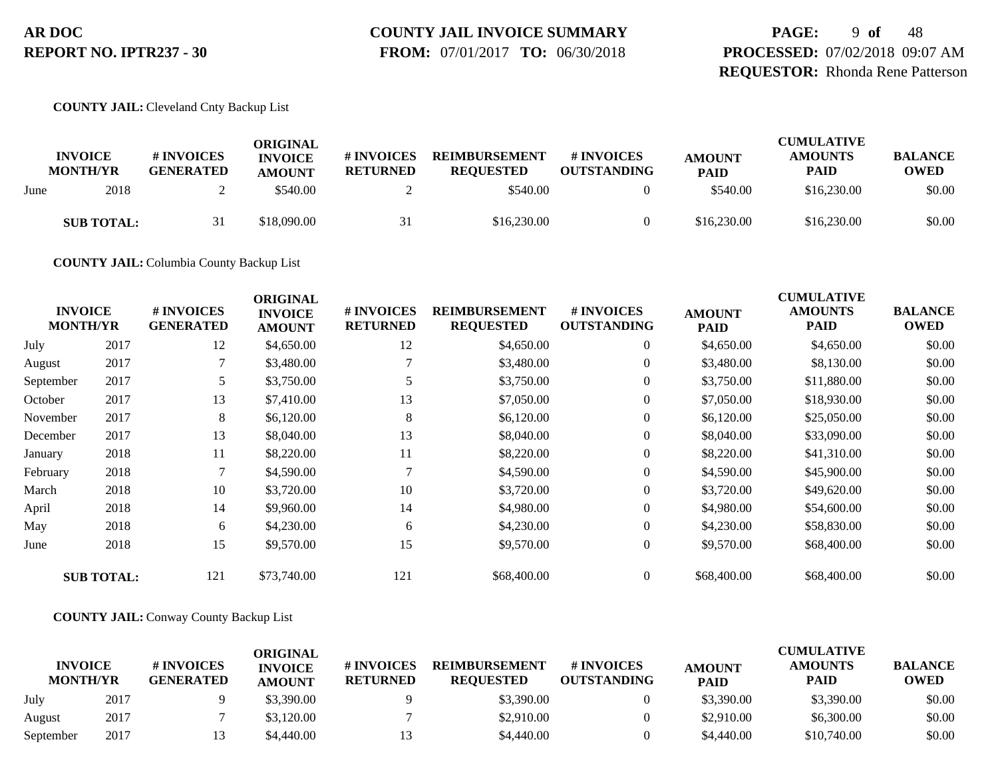# **COUNTY JAIL INVOICE SUMMARY**

 **FROM:** 07/01/2017 **TO:** 06/30/2018

**PAGE:** 9 **of** 48 **PROCESSED:** 07/02/2018 09:07 AM **REQUESTOR:** Rhonda Rene Patterson

#### **COUNTY JAIL:** Cleveland Cnty Backup List

|      | <b>INVOICE</b><br><b>MONTH/YR</b> | # INVOICES<br><b>GENERATED</b> | ORIGINAL<br><b>INVOICE</b><br><b>AMOUNT</b> | <b># INVOICES</b><br><b>RETURNED</b> | <b>REIMBURSEMENT</b><br><b>REQUESTED</b> | # INVOICES<br><b>OUTSTANDING</b> | <b>AMOUNT</b><br><b>PAID</b> | <b>CUMULATIVE</b><br><b>AMOUNTS</b><br><b>PAID</b> | <b>BALANCE</b><br><b>OWED</b> |
|------|-----------------------------------|--------------------------------|---------------------------------------------|--------------------------------------|------------------------------------------|----------------------------------|------------------------------|----------------------------------------------------|-------------------------------|
| June | 2018                              |                                | \$540.00                                    |                                      | \$540.00                                 |                                  | \$540.00                     | \$16,230.00                                        | \$0.00                        |
|      | <b>SUB TOTAL:</b>                 |                                | \$18,090.00                                 | 31                                   | \$16,230.00                              |                                  | \$16,230.00                  | \$16,230.00                                        | \$0.00                        |

**COUNTY JAIL:** Columbia County Backup List

| <b>INVOICE</b><br><b>MONTH/YR</b> |                   | # INVOICES<br><b>GENERATED</b> | <b>ORIGINAL</b><br><b>INVOICE</b><br><b>AMOUNT</b> | # INVOICES<br><b>RETURNED</b> | <b>REIMBURSEMENT</b><br><b>REQUESTED</b> | # INVOICES<br><b>OUTSTANDING</b> | <b>AMOUNT</b><br><b>PAID</b> | <b>CUMULATIVE</b><br><b>AMOUNTS</b><br><b>PAID</b> | <b>BALANCE</b><br><b>OWED</b> |
|-----------------------------------|-------------------|--------------------------------|----------------------------------------------------|-------------------------------|------------------------------------------|----------------------------------|------------------------------|----------------------------------------------------|-------------------------------|
| July                              | 2017              | 12                             | \$4,650.00                                         | 12                            | \$4,650.00                               | $\boldsymbol{0}$                 | \$4,650.00                   | \$4,650.00                                         | \$0.00                        |
| August                            | 2017              | 7                              | \$3,480.00                                         |                               | \$3,480.00                               | $\overline{0}$                   | \$3,480.00                   | \$8,130.00                                         | \$0.00                        |
| September                         | 2017              |                                | \$3,750.00                                         |                               | \$3,750.00                               | $\overline{0}$                   | \$3,750.00                   | \$11,880.00                                        | \$0.00                        |
| October                           | 2017              | 13                             | \$7,410.00                                         | 13                            | \$7,050.00                               | $\overline{0}$                   | \$7,050.00                   | \$18,930.00                                        | \$0.00                        |
| November                          | 2017              | 8                              | \$6,120.00                                         | 8                             | \$6,120.00                               | $\overline{0}$                   | \$6,120.00                   | \$25,050.00                                        | \$0.00                        |
| December                          | 2017              | 13                             | \$8,040.00                                         | 13                            | \$8,040.00                               | $\overline{0}$                   | \$8,040.00                   | \$33,090.00                                        | \$0.00                        |
| January                           | 2018              | 11                             | \$8,220.00                                         | 11                            | \$8,220.00                               | $\overline{0}$                   | \$8,220.00                   | \$41,310.00                                        | \$0.00                        |
| February                          | 2018              | 7                              | \$4,590.00                                         | 7                             | \$4,590.00                               | $\overline{0}$                   | \$4,590.00                   | \$45,900.00                                        | \$0.00                        |
| March                             | 2018              | 10                             | \$3,720.00                                         | 10                            | \$3,720.00                               | $\overline{0}$                   | \$3,720.00                   | \$49,620.00                                        | \$0.00                        |
| April                             | 2018              | 14                             | \$9,960.00                                         | 14                            | \$4,980.00                               | $\overline{0}$                   | \$4,980.00                   | \$54,600.00                                        | \$0.00                        |
| May                               | 2018              | 6                              | \$4,230.00                                         | 6                             | \$4,230.00                               | $\overline{0}$                   | \$4,230.00                   | \$58,830.00                                        | \$0.00                        |
| June                              | 2018              | 15                             | \$9,570.00                                         | 15                            | \$9,570.00                               | $\overline{0}$                   | \$9,570.00                   | \$68,400.00                                        | \$0.00                        |
|                                   | <b>SUB TOTAL:</b> | 121                            | \$73,740.00                                        | 121                           | \$68,400.00                              | $\overline{0}$                   | \$68,400.00                  | \$68,400.00                                        | \$0.00                        |

#### **COUNTY JAIL:** Conway County Backup List

|                                   |      |                                | ORIGINAL                        |                               |                                          |                                  |                              | <b>CUMULATIVE</b>             |                               |
|-----------------------------------|------|--------------------------------|---------------------------------|-------------------------------|------------------------------------------|----------------------------------|------------------------------|-------------------------------|-------------------------------|
| <b>INVOICE</b><br><b>MONTH/YR</b> |      | # INVOICES<br><b>GENERATED</b> | <b>INVOICE</b><br><b>AMOUNT</b> | # INVOICES<br><b>RETURNED</b> | <b>REIMBURSEMENT</b><br><b>REOUESTED</b> | # INVOICES<br><b>OUTSTANDING</b> | <b>AMOUNT</b><br><b>PAID</b> | <b>AMOUNTS</b><br><b>PAID</b> | <b>BALANCE</b><br><b>OWED</b> |
| July                              | 2017 |                                | \$3,390.00                      |                               | \$3,390.00                               |                                  | \$3,390.00                   | \$3,390.00                    | \$0.00                        |
| August                            | 2017 |                                | \$3,120.00                      |                               | \$2,910.00                               |                                  | \$2,910.00                   | \$6,300.00                    | \$0.00                        |
| September                         | 2017 |                                | \$4,440.00                      |                               | \$4,440.00                               |                                  | \$4,440.00                   | \$10,740.00                   | \$0.00                        |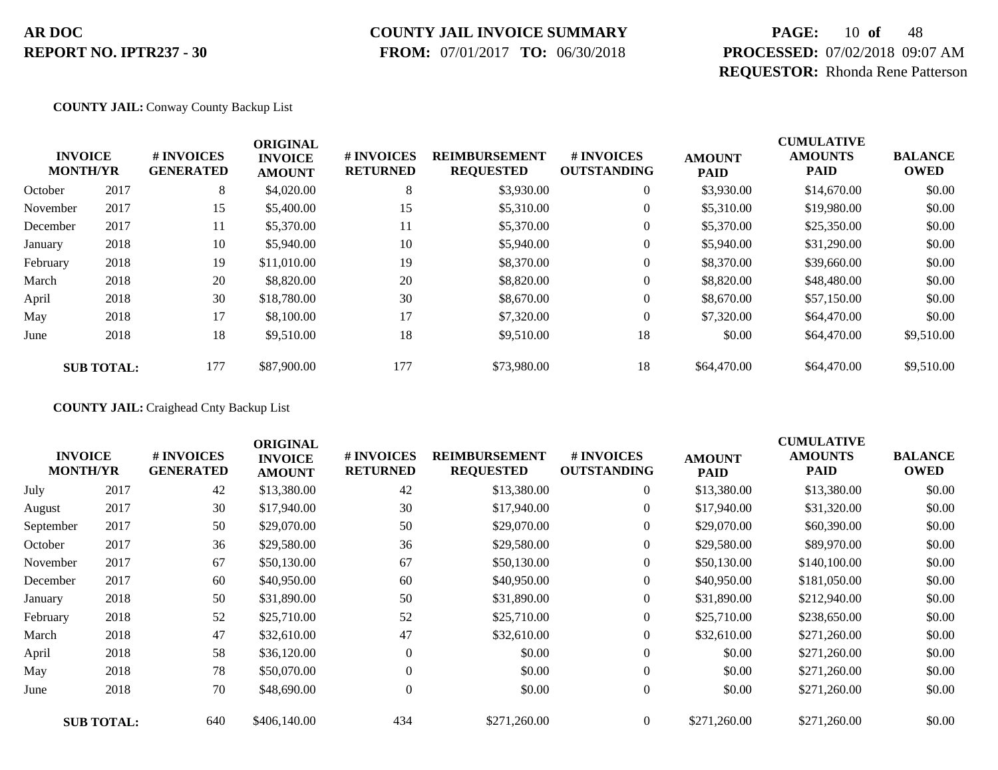### **COUNTY JAIL INVOICE SUMMARY**

 **FROM:** 07/01/2017 **TO:** 06/30/2018

# **PAGE:** 10 **of** 48 **PROCESSED:** 07/02/2018 09:07 AM **REQUESTOR:** Rhonda Rene Patterson

#### **COUNTY JAIL:** Conway County Backup List

|          | <b>INVOICE</b><br><b>MONTH/YR</b> | # INVOICES<br><b>GENERATED</b> | <b>ORIGINAL</b><br><b>INVOICE</b><br><b>AMOUNT</b> | # INVOICES<br><b>RETURNED</b> | <b>REIMBURSEMENT</b><br><b>REQUESTED</b> | # INVOICES<br><b>OUTSTANDING</b> | <b>AMOUNT</b><br><b>PAID</b> | <b>CUMULATIVE</b><br><b>AMOUNTS</b><br><b>PAID</b> | <b>BALANCE</b><br><b>OWED</b> |
|----------|-----------------------------------|--------------------------------|----------------------------------------------------|-------------------------------|------------------------------------------|----------------------------------|------------------------------|----------------------------------------------------|-------------------------------|
| October  | 2017                              | 8                              | \$4,020.00                                         | 8                             | \$3,930.00                               | $\theta$                         | \$3,930.00                   | \$14,670.00                                        | \$0.00                        |
| November | 2017                              | 15                             | \$5,400.00                                         | 15                            | \$5,310.00                               | $\theta$                         | \$5,310.00                   | \$19,980.00                                        | \$0.00                        |
| December | 2017                              | 11                             | \$5,370.00                                         | 11                            | \$5,370.00                               | $\boldsymbol{0}$                 | \$5,370.00                   | \$25,350.00                                        | \$0.00                        |
| January  | 2018                              | 10                             | \$5,940.00                                         | 10                            | \$5,940.00                               | $\boldsymbol{0}$                 | \$5,940.00                   | \$31,290.00                                        | \$0.00                        |
| February | 2018                              | 19                             | \$11,010.00                                        | 19                            | \$8,370.00                               | $\overline{0}$                   | \$8,370.00                   | \$39,660.00                                        | \$0.00                        |
| March    | 2018                              | 20                             | \$8,820.00                                         | 20                            | \$8,820.00                               | $\overline{0}$                   | \$8,820.00                   | \$48,480.00                                        | \$0.00                        |
| April    | 2018                              | 30                             | \$18,780.00                                        | 30                            | \$8,670.00                               | $\overline{0}$                   | \$8,670.00                   | \$57,150.00                                        | \$0.00                        |
| May      | 2018                              | 17                             | \$8,100.00                                         | 17                            | \$7,320.00                               | $\theta$                         | \$7,320.00                   | \$64,470.00                                        | \$0.00                        |
| June     | 2018                              | 18                             | \$9,510.00                                         | 18                            | \$9,510.00                               | 18                               | \$0.00                       | \$64,470.00                                        | \$9,510.00                    |
|          | <b>SUB TOTAL:</b>                 | 177                            | \$87,900.00                                        | 177                           | \$73,980.00                              | 18                               | \$64,470.00                  | \$64,470.00                                        | \$9,510.00                    |

**COUNTY JAIL:** Craighead Cnty Backup List

| <b>INVOICE</b><br><b>MONTH/YR</b> |                   | # INVOICES<br><b>GENERATED</b> | <b>ORIGINAL</b><br><b>INVOICE</b><br><b>AMOUNT</b> | # INVOICES<br><b>RETURNED</b> | <b>REIMBURSEMENT</b><br><b>REQUESTED</b> | # INVOICES<br><b>OUTSTANDING</b> | <b>AMOUNT</b><br><b>PAID</b> | <b>CUMULATIVE</b><br><b>AMOUNTS</b><br><b>PAID</b> | <b>BALANCE</b><br><b>OWED</b> |
|-----------------------------------|-------------------|--------------------------------|----------------------------------------------------|-------------------------------|------------------------------------------|----------------------------------|------------------------------|----------------------------------------------------|-------------------------------|
| July                              | 2017              | 42                             | \$13,380.00                                        | 42                            | \$13,380.00                              | $\overline{0}$                   | \$13,380.00                  | \$13,380.00                                        | \$0.00                        |
| August                            | 2017              | 30                             | \$17,940.00                                        | 30                            | \$17,940.00                              | $\boldsymbol{0}$                 | \$17,940.00                  | \$31,320.00                                        | \$0.00                        |
| September                         | 2017              | 50                             | \$29,070.00                                        | 50                            | \$29,070.00                              | $\overline{0}$                   | \$29,070.00                  | \$60,390.00                                        | \$0.00                        |
| October                           | 2017              | 36                             | \$29,580.00                                        | 36                            | \$29,580.00                              | 0                                | \$29,580.00                  | \$89,970.00                                        | \$0.00                        |
| November                          | 2017              | 67                             | \$50,130.00                                        | 67                            | \$50,130.00                              | $\boldsymbol{0}$                 | \$50,130.00                  | \$140,100.00                                       | \$0.00                        |
| December                          | 2017              | 60                             | \$40,950.00                                        | 60                            | \$40,950.00                              | $\overline{0}$                   | \$40,950.00                  | \$181,050.00                                       | \$0.00                        |
| January                           | 2018              | 50                             | \$31,890.00                                        | 50                            | \$31,890.00                              | $\overline{0}$                   | \$31,890.00                  | \$212,940.00                                       | \$0.00                        |
| February                          | 2018              | 52                             | \$25,710.00                                        | 52                            | \$25,710.00                              | $\overline{0}$                   | \$25,710.00                  | \$238,650.00                                       | \$0.00                        |
| March                             | 2018              | 47                             | \$32,610.00                                        | 47                            | \$32,610.00                              | $\overline{0}$                   | \$32,610.00                  | \$271,260.00                                       | \$0.00                        |
| April                             | 2018              | 58                             | \$36,120.00                                        | $\mathbf{0}$                  | \$0.00                                   | $\boldsymbol{0}$                 | \$0.00                       | \$271,260.00                                       | \$0.00                        |
| May                               | 2018              | 78                             | \$50,070.00                                        | $\theta$                      | \$0.00                                   | $\overline{0}$                   | \$0.00                       | \$271,260.00                                       | \$0.00                        |
| June                              | 2018              | 70                             | \$48,690.00                                        | $\mathbf{0}$                  | \$0.00                                   | $\boldsymbol{0}$                 | \$0.00                       | \$271,260.00                                       | \$0.00                        |
|                                   | <b>SUB TOTAL:</b> | 640                            | \$406,140.00                                       | 434                           | \$271,260.00                             | $\Omega$                         | \$271,260.00                 | \$271,260.00                                       | \$0.00                        |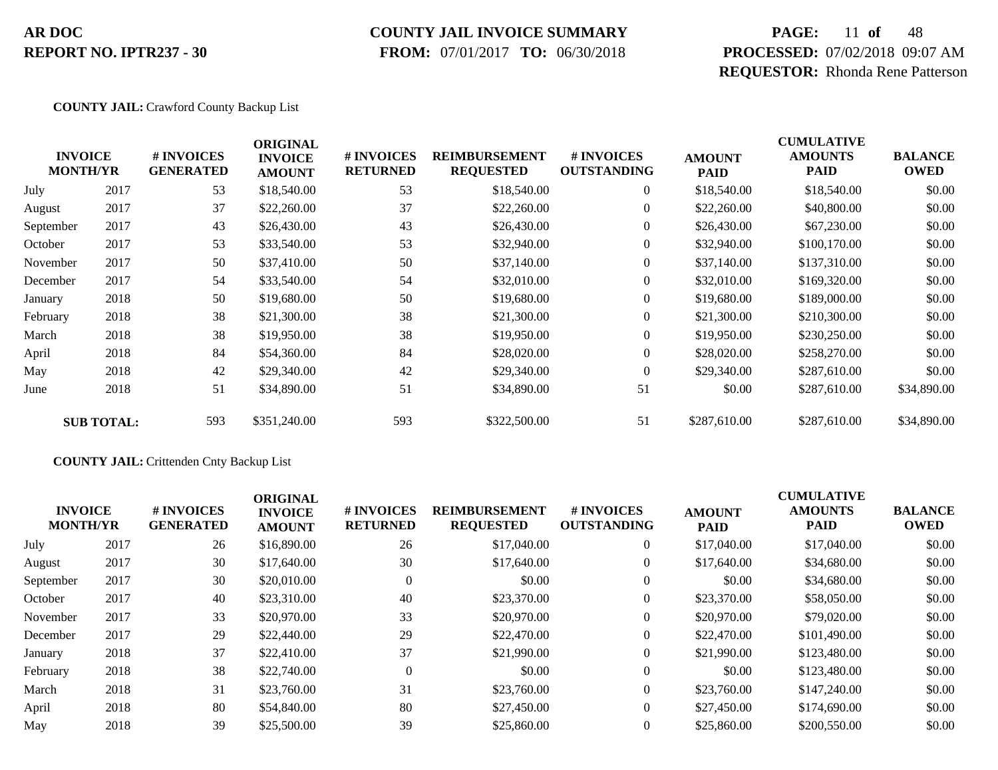### **COUNTY JAIL INVOICE SUMMARY**

 **FROM:** 07/01/2017 **TO:** 06/30/2018

# **PAGE:** 11 **of** 48 **PROCESSED:** 07/02/2018 09:07 AM **REQUESTOR:** Rhonda Rene Patterson

#### **COUNTY JAIL:** Crawford County Backup List

|           | <b>INVOICE</b><br><b>MONTH/YR</b> | # INVOICES<br><b>GENERATED</b> | <b>ORIGINAL</b><br><b>INVOICE</b><br><b>AMOUNT</b> | # INVOICES<br><b>RETURNED</b> | <b>REIMBURSEMENT</b><br><b>REQUESTED</b> | # INVOICES<br><b>OUTSTANDING</b> | <b>AMOUNT</b><br><b>PAID</b> | <b>CUMULATIVE</b><br><b>AMOUNTS</b><br><b>PAID</b> | <b>BALANCE</b><br><b>OWED</b> |
|-----------|-----------------------------------|--------------------------------|----------------------------------------------------|-------------------------------|------------------------------------------|----------------------------------|------------------------------|----------------------------------------------------|-------------------------------|
| July      | 2017                              | 53                             | \$18,540.00                                        | 53                            | \$18,540.00                              | $\overline{0}$                   | \$18,540.00                  | \$18,540.00                                        | \$0.00                        |
| August    | 2017                              | 37                             | \$22,260.00                                        | 37                            | \$22,260.00                              | $\boldsymbol{0}$                 | \$22,260.00                  | \$40,800.00                                        | \$0.00                        |
| September | 2017                              | 43                             | \$26,430.00                                        | 43                            | \$26,430.00                              | $\overline{0}$                   | \$26,430.00                  | \$67,230.00                                        | \$0.00                        |
| October   | 2017                              | 53                             | \$33,540.00                                        | 53                            | \$32,940.00                              | $\overline{0}$                   | \$32,940.00                  | \$100,170.00                                       | \$0.00                        |
| November  | 2017                              | 50                             | \$37,410.00                                        | 50                            | \$37,140.00                              | $\boldsymbol{0}$                 | \$37,140.00                  | \$137,310.00                                       | \$0.00                        |
| December  | 2017                              | 54                             | \$33,540.00                                        | 54                            | \$32,010.00                              | $\overline{0}$                   | \$32,010.00                  | \$169,320.00                                       | \$0.00                        |
| January   | 2018                              | 50                             | \$19,680.00                                        | 50                            | \$19,680.00                              | $\overline{0}$                   | \$19,680.00                  | \$189,000.00                                       | \$0.00                        |
| February  | 2018                              | 38                             | \$21,300.00                                        | 38                            | \$21,300.00                              | $\overline{0}$                   | \$21,300.00                  | \$210,300.00                                       | \$0.00                        |
| March     | 2018                              | 38                             | \$19,950.00                                        | 38                            | \$19,950.00                              | $\overline{0}$                   | \$19,950.00                  | \$230,250.00                                       | \$0.00                        |
| April     | 2018                              | 84                             | \$54,360.00                                        | 84                            | \$28,020.00                              | $\overline{0}$                   | \$28,020.00                  | \$258,270.00                                       | \$0.00                        |
| May       | 2018                              | 42                             | \$29,340.00                                        | 42                            | \$29,340.00                              | $\overline{0}$                   | \$29,340.00                  | \$287,610.00                                       | \$0.00                        |
| June      | 2018                              | 51                             | \$34,890.00                                        | 51                            | \$34,890.00                              | 51                               | \$0.00                       | \$287,610.00                                       | \$34,890.00                   |
|           | <b>SUB TOTAL:</b>                 | 593                            | \$351,240.00                                       | 593                           | \$322,500.00                             | 51                               | \$287,610.00                 | \$287,610.00                                       | \$34,890.00                   |

#### **COUNTY JAIL:** Crittenden Cnty Backup List

|           | <b>INVOICE</b><br><b>MONTH/YR</b> | <b>#INVOICES</b><br><b>GENERATED</b> | <b>ORIGINAL</b><br><b>INVOICE</b><br><b>AMOUNT</b> | <b># INVOICES</b><br><b>RETURNED</b> | <b>REIMBURSEMENT</b><br><b>REQUESTED</b> | # INVOICES<br><b>OUTSTANDING</b> | <b>AMOUNT</b><br><b>PAID</b> | <b>CUMULATIVE</b><br><b>AMOUNTS</b><br><b>PAID</b> | <b>BALANCE</b><br><b>OWED</b> |
|-----------|-----------------------------------|--------------------------------------|----------------------------------------------------|--------------------------------------|------------------------------------------|----------------------------------|------------------------------|----------------------------------------------------|-------------------------------|
| July      | 2017                              | 26                                   | \$16,890.00                                        | 26                                   | \$17,040.00                              | $\overline{0}$                   | \$17,040.00                  | \$17,040.00                                        | \$0.00                        |
| August    | 2017                              | 30                                   | \$17,640.00                                        | 30                                   | \$17,640.00                              | $\overline{0}$                   | \$17,640.00                  | \$34,680.00                                        | \$0.00                        |
| September | 2017                              | 30                                   | \$20,010.00                                        |                                      | \$0.00                                   | $\theta$                         | \$0.00                       | \$34,680.00                                        | \$0.00                        |
| October   | 2017                              | 40                                   | \$23,310.00                                        | 40                                   | \$23,370.00                              | $\overline{0}$                   | \$23,370.00                  | \$58,050.00                                        | \$0.00                        |
| November  | 2017                              | 33                                   | \$20,970.00                                        | 33                                   | \$20,970.00                              | $\overline{0}$                   | \$20,970.00                  | \$79,020.00                                        | \$0.00                        |
| December  | 2017                              | 29                                   | \$22,440.00                                        | 29                                   | \$22,470.00                              | $\overline{0}$                   | \$22,470.00                  | \$101,490.00                                       | \$0.00                        |
| January   | 2018                              | 37                                   | \$22,410.00                                        | 37                                   | \$21,990.00                              | $\boldsymbol{0}$                 | \$21,990.00                  | \$123,480.00                                       | \$0.00                        |
| February  | 2018                              | 38                                   | \$22,740.00                                        | $\Omega$                             | \$0.00                                   | $\overline{0}$                   | \$0.00                       | \$123,480.00                                       | \$0.00                        |
| March     | 2018                              | 31                                   | \$23,760.00                                        | 31                                   | \$23,760.00                              | $\overline{0}$                   | \$23,760.00                  | \$147,240.00                                       | \$0.00                        |
| April     | 2018                              | 80                                   | \$54,840.00                                        | 80                                   | \$27,450.00                              | $\Omega$                         | \$27,450.00                  | \$174,690.00                                       | \$0.00                        |
| May       | 2018                              | 39                                   | \$25,500.00                                        | 39                                   | \$25,860.00                              | $\overline{0}$                   | \$25,860.00                  | \$200,550.00                                       | \$0.00                        |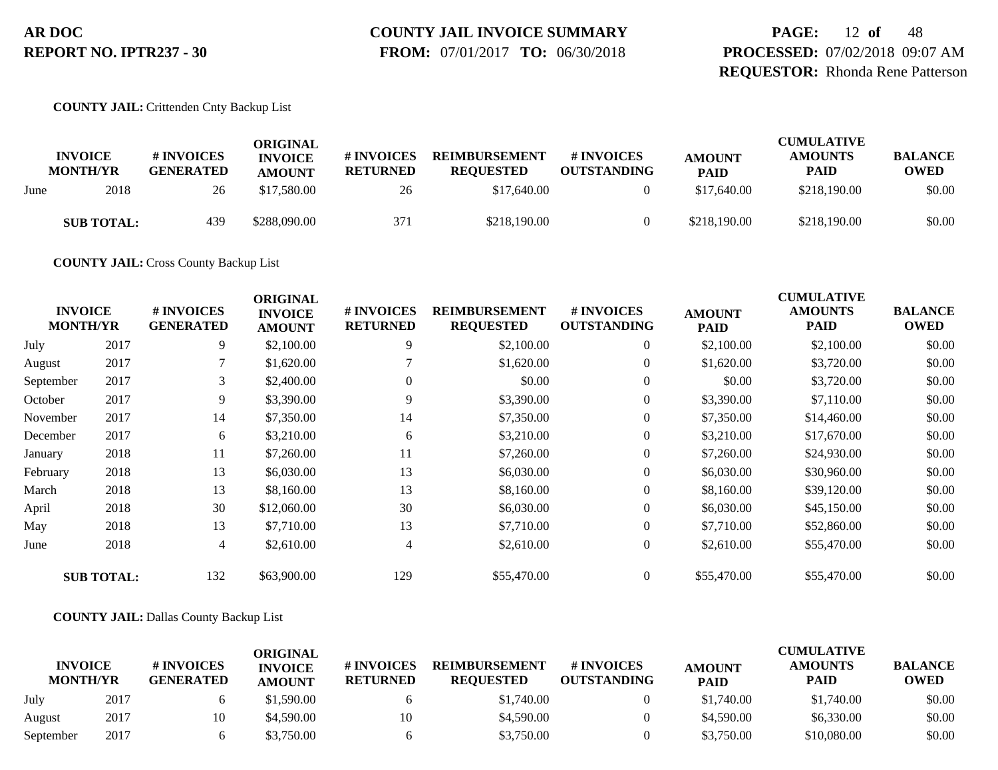# **COUNTY JAIL INVOICE SUMMARY**

 **FROM:** 07/01/2017 **TO:** 06/30/2018

**PAGE:** 12 **of** 48 **PROCESSED:** 07/02/2018 09:07 AM **REQUESTOR:** Rhonda Rene Patterson

#### **COUNTY JAIL:** Crittenden Cnty Backup List

|      | <b>INVOICE</b><br><b>MONTH/YR</b> | # INVOICES<br><b>GENERATED</b> | ORIGINAL<br><b>INVOICE</b><br><b>AMOUNT</b> | # INVOICES<br><b>RETURNED</b> | <b>REIMBURSEMENT</b><br><b>REQUESTED</b> | # INVOICES<br><b>OUTSTANDING</b> | <b>AMOUNT</b><br><b>PAID</b> | <b>CUMULATIVE</b><br><b>AMOUNTS</b><br><b>PAID</b> | <b>BALANCE</b><br><b>OWED</b> |
|------|-----------------------------------|--------------------------------|---------------------------------------------|-------------------------------|------------------------------------------|----------------------------------|------------------------------|----------------------------------------------------|-------------------------------|
| June | 2018                              | 26                             | \$17,580.00                                 | 26                            | \$17,640.00                              |                                  | \$17,640.00                  | \$218,190.00                                       | \$0.00                        |
|      | <b>SUB TOTAL:</b>                 | 439                            | \$288,090.00                                | 371                           | \$218,190.00                             |                                  | \$218,190.00                 | \$218,190.00                                       | \$0.00                        |

**COUNTY JAIL:** Cross County Backup List

| <b>INVOICE</b><br><b>MONTH/YR</b> |                   | # INVOICES<br><b>GENERATED</b> | <b>ORIGINAL</b><br><b>INVOICE</b><br><b>AMOUNT</b> | # INVOICES<br><b>RETURNED</b> | <b>REIMBURSEMENT</b><br><b>REQUESTED</b> | # INVOICES<br><b>OUTSTANDING</b> | <b>AMOUNT</b><br><b>PAID</b> | <b>CUMULATIVE</b><br><b>AMOUNTS</b><br><b>PAID</b> | <b>BALANCE</b><br><b>OWED</b> |
|-----------------------------------|-------------------|--------------------------------|----------------------------------------------------|-------------------------------|------------------------------------------|----------------------------------|------------------------------|----------------------------------------------------|-------------------------------|
| July                              | 2017              | 9                              | \$2,100.00                                         | 9                             | \$2,100.00                               | $\overline{0}$                   | \$2,100.00                   | \$2,100.00                                         | \$0.00                        |
| August                            | 2017              |                                | \$1,620.00                                         |                               | \$1,620.00                               | $\overline{0}$                   | \$1,620.00                   | \$3,720.00                                         | \$0.00                        |
| September                         | 2017              | 3                              | \$2,400.00                                         | $\theta$                      | \$0.00                                   | $\overline{0}$                   | \$0.00                       | \$3,720.00                                         | \$0.00                        |
| October                           | 2017              | 9                              | \$3,390.00                                         | 9                             | \$3,390.00                               | $\overline{0}$                   | \$3,390.00                   | \$7,110.00                                         | \$0.00                        |
| November                          | 2017              | 14                             | \$7,350.00                                         | 14                            | \$7,350.00                               | $\overline{0}$                   | \$7,350.00                   | \$14,460.00                                        | \$0.00                        |
| December                          | 2017              | 6                              | \$3,210.00                                         | 6                             | \$3,210.00                               | $\overline{0}$                   | \$3,210.00                   | \$17,670.00                                        | \$0.00                        |
| January                           | 2018              | 11                             | \$7,260.00                                         | 11                            | \$7,260.00                               | $\overline{0}$                   | \$7,260.00                   | \$24,930.00                                        | \$0.00                        |
| February                          | 2018              | 13                             | \$6,030.00                                         | 13                            | \$6,030.00                               | $\overline{0}$                   | \$6,030.00                   | \$30,960.00                                        | \$0.00                        |
| March                             | 2018              | 13                             | \$8,160.00                                         | 13                            | \$8,160.00                               | $\overline{0}$                   | \$8,160.00                   | \$39,120.00                                        | \$0.00                        |
| April                             | 2018              | 30                             | \$12,060.00                                        | 30                            | \$6,030.00                               | $\overline{0}$                   | \$6,030.00                   | \$45,150.00                                        | \$0.00                        |
| May                               | 2018              | 13                             | \$7,710.00                                         | 13                            | \$7,710.00                               | $\overline{0}$                   | \$7,710.00                   | \$52,860.00                                        | \$0.00                        |
| June                              | 2018              | $\overline{4}$                 | \$2,610.00                                         | 4                             | \$2,610.00                               | $\overline{0}$                   | \$2,610.00                   | \$55,470.00                                        | \$0.00                        |
|                                   | <b>SUB TOTAL:</b> | 132                            | \$63,900.00                                        | 129                           | \$55,470.00                              | $\overline{0}$                   | \$55,470.00                  | \$55,470.00                                        | \$0.00                        |

#### **COUNTY JAIL:** Dallas County Backup List

|                                   |      |                                | ORIGINAL                        |                               |                                          |                                        |                              | <b>CUMULATIVE</b>             |                               |
|-----------------------------------|------|--------------------------------|---------------------------------|-------------------------------|------------------------------------------|----------------------------------------|------------------------------|-------------------------------|-------------------------------|
| <b>INVOICE</b><br><b>MONTH/YR</b> |      | # INVOICES<br><b>GENERATED</b> | <b>INVOICE</b><br><b>AMOUNT</b> | # INVOICES<br><b>RETURNED</b> | <b>REIMBURSEMENT</b><br><b>REOUESTED</b> | <b>#INVOICES</b><br><b>OUTSTANDING</b> | <b>AMOUNT</b><br><b>PAID</b> | <b>AMOUNTS</b><br><b>PAID</b> | <b>BALANCE</b><br><b>OWED</b> |
| July                              | 2017 |                                | \$1.590.00                      |                               | \$1,740.00                               |                                        | \$1,740.00                   | \$1,740.00                    | \$0.00                        |
| August                            | 2017 | 10                             | \$4,590.00                      | 10                            | \$4,590.00                               |                                        | \$4,590.00                   | \$6,330.00                    | \$0.00                        |
| September                         | 2017 |                                | \$3,750.00                      |                               | \$3,750.00                               |                                        | \$3,750.00                   | \$10,080.00                   | \$0.00                        |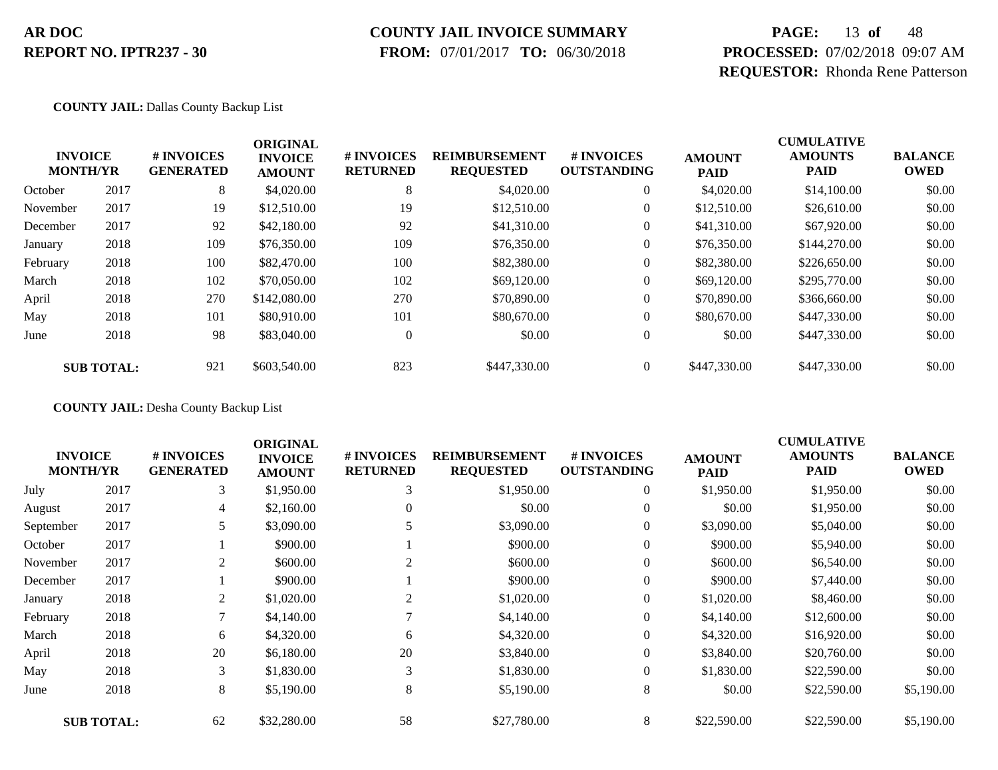### **COUNTY JAIL INVOICE SUMMARY**

 **FROM:** 07/01/2017 **TO:** 06/30/2018

# **PAGE:** 13 **of** 48 **PROCESSED:** 07/02/2018 09:07 AM **REQUESTOR:** Rhonda Rene Patterson

#### **COUNTY JAIL:** Dallas County Backup List

|          | <b>INVOICE</b><br><b>MONTH/YR</b> | # INVOICES<br><b>GENERATED</b> | <b>ORIGINAL</b><br><b>INVOICE</b><br><b>AMOUNT</b> | # INVOICES<br><b>RETURNED</b> | <b>REIMBURSEMENT</b><br><b>REQUESTED</b> | <b>#INVOICES</b><br><b>OUTSTANDING</b> | <b>AMOUNT</b><br><b>PAID</b> | <b>CUMULATIVE</b><br><b>AMOUNTS</b><br><b>PAID</b> | <b>BALANCE</b><br><b>OWED</b> |
|----------|-----------------------------------|--------------------------------|----------------------------------------------------|-------------------------------|------------------------------------------|----------------------------------------|------------------------------|----------------------------------------------------|-------------------------------|
| October  | 2017                              | 8                              | \$4,020.00                                         | 8                             | \$4,020.00                               | $\overline{0}$                         | \$4,020.00                   | \$14,100.00                                        | \$0.00                        |
| November | 2017                              | 19                             | \$12,510.00                                        | 19                            | \$12,510.00                              | 0                                      | \$12,510.00                  | \$26,610.00                                        | \$0.00                        |
| December | 2017                              | 92                             | \$42,180.00                                        | 92                            | \$41,310.00                              | $\overline{0}$                         | \$41,310.00                  | \$67,920.00                                        | \$0.00                        |
| January  | 2018                              | 109                            | \$76,350.00                                        | 109                           | \$76,350.00                              | 0                                      | \$76,350.00                  | \$144,270.00                                       | \$0.00                        |
| February | 2018                              | 100                            | \$82,470.00                                        | 100                           | \$82,380.00                              | 0                                      | \$82,380.00                  | \$226,650.00                                       | \$0.00                        |
| March    | 2018                              | 102                            | \$70,050.00                                        | 102                           | \$69,120.00                              | $\overline{0}$                         | \$69,120.00                  | \$295,770.00                                       | \$0.00                        |
| April    | 2018                              | 270                            | \$142,080.00                                       | 270                           | \$70,890.00                              | $\overline{0}$                         | \$70,890.00                  | \$366,660.00                                       | \$0.00                        |
| May      | 2018                              | 101                            | \$80,910.00                                        | 101                           | \$80,670.00                              | $\overline{0}$                         | \$80,670.00                  | \$447,330.00                                       | \$0.00                        |
| June     | 2018                              | 98                             | \$83,040.00                                        | $\overline{0}$                | \$0.00                                   | $\overline{0}$                         | \$0.00                       | \$447,330.00                                       | \$0.00                        |
|          | <b>SUB TOTAL:</b>                 | 921                            | \$603,540.00                                       | 823                           | \$447,330.00                             | $\overline{0}$                         | \$447,330.00                 | \$447,330.00                                       | \$0.00                        |

**COUNTY JAIL:** Desha County Backup List

| <b>INVOICE</b><br><b>MONTH/YR</b> |                   | # INVOICES<br><b>GENERATED</b> | <b>ORIGINAL</b><br><b>INVOICE</b><br><b>AMOUNT</b> | # INVOICES<br><b>RETURNED</b> | <b>REIMBURSEMENT</b><br><b>REQUESTED</b> | # INVOICES<br><b>OUTSTANDING</b> | <b>AMOUNT</b><br><b>PAID</b> | <b>CUMULATIVE</b><br><b>AMOUNTS</b><br><b>PAID</b> | <b>BALANCE</b><br><b>OWED</b> |
|-----------------------------------|-------------------|--------------------------------|----------------------------------------------------|-------------------------------|------------------------------------------|----------------------------------|------------------------------|----------------------------------------------------|-------------------------------|
| July                              | 2017              | 3                              | \$1,950.00                                         | 3                             | \$1,950.00                               | $\boldsymbol{0}$                 | \$1,950.00                   | \$1,950.00                                         | \$0.00                        |
| August                            | 2017              | 4                              | \$2,160.00                                         | $\theta$                      | \$0.00                                   | $\overline{0}$                   | \$0.00                       | \$1,950.00                                         | \$0.00                        |
| September                         | 2017              | 5                              | \$3,090.00                                         |                               | \$3,090.00                               | $\overline{0}$                   | \$3,090.00                   | \$5,040.00                                         | \$0.00                        |
| October                           | 2017              |                                | \$900.00                                           |                               | \$900.00                                 | $\boldsymbol{0}$                 | \$900.00                     | \$5,940.00                                         | \$0.00                        |
| November                          | 2017              | 2                              | \$600.00                                           | $\overline{2}$                | \$600.00                                 | $\overline{0}$                   | \$600.00                     | \$6,540.00                                         | \$0.00                        |
| December                          | 2017              |                                | \$900.00                                           |                               | \$900.00                                 | $\overline{0}$                   | \$900.00                     | \$7,440.00                                         | \$0.00                        |
| January                           | 2018              | 2                              | \$1,020.00                                         | 2                             | \$1,020.00                               | $\overline{0}$                   | \$1,020.00                   | \$8,460.00                                         | \$0.00                        |
| February                          | 2018              | $\mathcal{L}$                  | \$4,140.00                                         |                               | \$4,140.00                               | $\overline{0}$                   | \$4,140.00                   | \$12,600.00                                        | \$0.00                        |
| March                             | 2018              | 6                              | \$4,320.00                                         | 6                             | \$4,320.00                               | $\overline{0}$                   | \$4,320.00                   | \$16,920.00                                        | \$0.00                        |
| April                             | 2018              | 20                             | \$6,180.00                                         | 20                            | \$3,840.00                               | $\overline{0}$                   | \$3,840.00                   | \$20,760.00                                        | \$0.00                        |
| May                               | 2018              | 3                              | \$1,830.00                                         | 3                             | \$1,830.00                               | 0                                | \$1,830.00                   | \$22,590.00                                        | \$0.00                        |
| June                              | 2018              | 8                              | \$5,190.00                                         | 8                             | \$5,190.00                               | 8                                | \$0.00                       | \$22,590.00                                        | \$5,190.00                    |
|                                   | <b>SUB TOTAL:</b> | 62                             | \$32,280.00                                        | 58                            | \$27,780.00                              | 8                                | \$22,590.00                  | \$22,590.00                                        | \$5,190.00                    |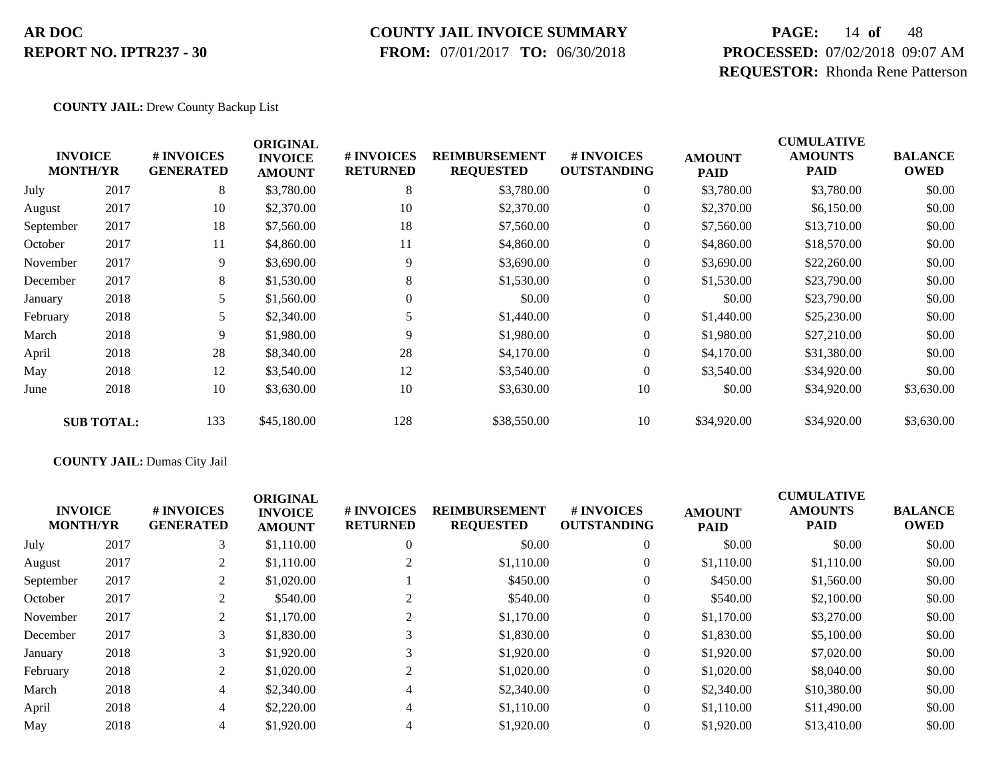#### **COUNTY JAIL INVOICE SUMMARY**

 **FROM:** 07/01/2017 **TO:** 06/30/2018

# **PAGE:** 14 **of** 48 **PROCESSED:** 07/02/2018 09:07 AM **REQUESTOR:** Rhonda Rene Patterson

#### **COUNTY JAIL:** Drew County Backup List

| <b>INVOICE</b><br><b>MONTH/YR</b> |                   | # INVOICES<br><b>GENERATED</b> | <b>ORIGINAL</b><br><b>INVOICE</b><br><b>AMOUNT</b> | # INVOICES<br><b>RETURNED</b> | <b>REIMBURSEMENT</b><br><b>REQUESTED</b> | # INVOICES<br><b>OUTSTANDING</b> | <b>AMOUNT</b><br><b>PAID</b> | <b>CUMULATIVE</b><br><b>AMOUNTS</b><br><b>PAID</b> | <b>BALANCE</b><br><b>OWED</b> |
|-----------------------------------|-------------------|--------------------------------|----------------------------------------------------|-------------------------------|------------------------------------------|----------------------------------|------------------------------|----------------------------------------------------|-------------------------------|
| July                              | 2017              | 8                              | \$3,780.00                                         | 8                             | \$3,780.00                               | $\overline{0}$                   | \$3,780.00                   | \$3,780.00                                         | \$0.00                        |
| August                            | 2017              | 10                             | \$2,370.00                                         | 10                            | \$2,370.00                               | $\overline{0}$                   | \$2,370.00                   | \$6,150.00                                         | \$0.00                        |
| September                         | 2017              | 18                             | \$7,560.00                                         | 18                            | \$7,560.00                               | $\overline{0}$                   | \$7,560.00                   | \$13,710.00                                        | \$0.00                        |
| October                           | 2017              | 11                             | \$4,860.00                                         | 11                            | \$4,860.00                               | $\overline{0}$                   | \$4,860.00                   | \$18,570.00                                        | \$0.00                        |
| November                          | 2017              | 9                              | \$3,690.00                                         | 9                             | \$3,690.00                               | $\overline{0}$                   | \$3,690.00                   | \$22,260.00                                        | \$0.00                        |
| December                          | 2017              | 8                              | \$1,530.00                                         | 8                             | \$1,530.00                               | $\overline{0}$                   | \$1,530.00                   | \$23,790.00                                        | \$0.00                        |
| January                           | 2018              | 5                              | \$1,560.00                                         | $\theta$                      | \$0.00                                   | $\overline{0}$                   | \$0.00                       | \$23,790.00                                        | \$0.00                        |
| February                          | 2018              | 5                              | \$2,340.00                                         |                               | \$1,440.00                               | $\boldsymbol{0}$                 | \$1,440.00                   | \$25,230.00                                        | \$0.00                        |
| March                             | 2018              | 9                              | \$1,980.00                                         | 9                             | \$1,980.00                               | $\overline{0}$                   | \$1,980.00                   | \$27,210.00                                        | \$0.00                        |
| April                             | 2018              | 28                             | \$8,340.00                                         | 28                            | \$4,170.00                               | $\overline{0}$                   | \$4,170.00                   | \$31,380.00                                        | \$0.00                        |
| May                               | 2018              | 12                             | \$3,540.00                                         | 12                            | \$3,540.00                               | $\overline{0}$                   | \$3,540.00                   | \$34,920.00                                        | \$0.00                        |
| June                              | 2018              | 10                             | \$3,630.00                                         | 10                            | \$3,630.00                               | 10                               | \$0.00                       | \$34,920.00                                        | \$3,630.00                    |
|                                   | <b>SUB TOTAL:</b> | 133                            | \$45,180.00                                        | 128                           | \$38,550.00                              | 10                               | \$34,920.00                  | \$34,920.00                                        | \$3,630.00                    |

#### **COUNTY JAIL:** Dumas City Jail

|           | <b>INVOICE</b><br><b>MONTH/YR</b> | <b>#INVOICES</b><br><b>GENERATED</b> | <b>ORIGINAL</b><br><b>INVOICE</b><br><b>AMOUNT</b> | # INVOICES<br><b>RETURNED</b> | <b>REIMBURSEMENT</b><br><b>REQUESTED</b> | # INVOICES<br><b>OUTSTANDING</b> | <b>AMOUNT</b><br><b>PAID</b> | <b>CUMULATIVE</b><br><b>AMOUNTS</b><br><b>PAID</b> | <b>BALANCE</b><br><b>OWED</b> |
|-----------|-----------------------------------|--------------------------------------|----------------------------------------------------|-------------------------------|------------------------------------------|----------------------------------|------------------------------|----------------------------------------------------|-------------------------------|
| July      | 2017                              | 3 <sup>1</sup>                       | \$1,110.00                                         | $\overline{0}$                | \$0.00                                   | $\overline{0}$                   | \$0.00                       | \$0.00                                             | \$0.00                        |
| August    | 2017                              | 2                                    | \$1,110.00                                         |                               | \$1,110.00                               | $\overline{0}$                   | \$1,110.00                   | \$1,110.00                                         | \$0.00                        |
| September | 2017                              | 2                                    | \$1,020.00                                         |                               | \$450.00                                 | $\overline{0}$                   | \$450.00                     | \$1,560.00                                         | \$0.00                        |
| October   | 2017                              | 2                                    | \$540.00                                           |                               | \$540.00                                 | $\overline{0}$                   | \$540.00                     | \$2,100.00                                         | \$0.00                        |
| November  | 2017                              | 2                                    | \$1,170.00                                         |                               | \$1,170.00                               | $\overline{0}$                   | \$1,170.00                   | \$3,270.00                                         | \$0.00                        |
| December  | 2017                              | 3                                    | \$1,830.00                                         |                               | \$1,830.00                               | $\overline{0}$                   | \$1,830.00                   | \$5,100.00                                         | \$0.00                        |
| January   | 2018                              | 3                                    | \$1,920.00                                         | 3                             | \$1,920.00                               | $\overline{0}$                   | \$1,920.00                   | \$7,020.00                                         | \$0.00                        |
| February  | 2018                              | $\overline{2}$                       | \$1,020.00                                         | 2                             | \$1,020.00                               | $\overline{0}$                   | \$1,020.00                   | \$8,040.00                                         | \$0.00                        |
| March     | 2018                              | 4                                    | \$2,340.00                                         | 4                             | \$2,340.00                               | $\overline{0}$                   | \$2,340.00                   | \$10,380.00                                        | \$0.00                        |
| April     | 2018                              | 4                                    | \$2,220.00                                         | 4                             | \$1,110.00                               | $\Omega$                         | \$1,110.00                   | \$11,490.00                                        | \$0.00                        |
| May       | 2018                              | $\overline{4}$                       | \$1,920.00                                         | 4                             | \$1,920.00                               | $\overline{0}$                   | \$1,920.00                   | \$13,410.00                                        | \$0.00                        |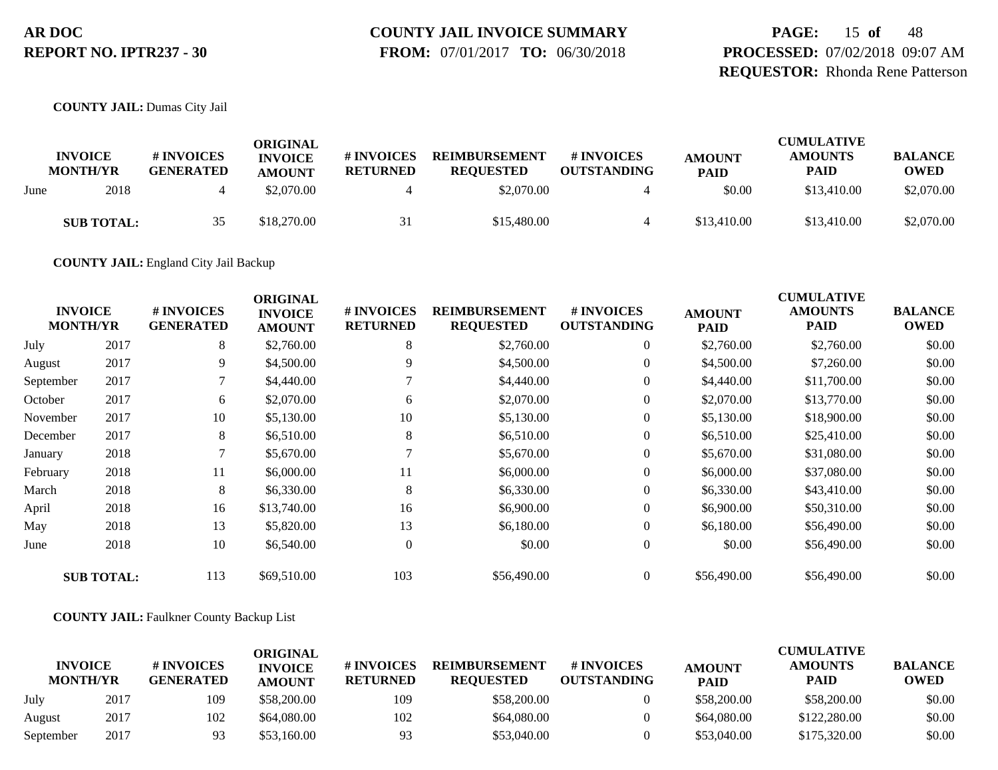# **COUNTY JAIL INVOICE SUMMARY**

 **FROM:** 07/01/2017 **TO:** 06/30/2018

# **PAGE:** 15 **of** 48 **PROCESSED:** 07/02/2018 09:07 AM **REQUESTOR:** Rhonda Rene Patterson

**COUNTY JAIL:** Dumas City Jail

|      | <b>INVOICE</b><br><b>MONTH/YR</b> | # INVOICES<br><b>GENERATED</b> | ORIGINAL<br><b>INVOICE</b><br><b>AMOUNT</b> | # INVOICES<br><b>RETURNED</b> | <b>REIMBURSEMENT</b><br><b>REOUESTED</b> | # INVOICES<br><b>OUTSTANDING</b> | <b>AMOUNT</b><br><b>PAID</b> | <b>CUMULATIVE</b><br><b>AMOUNTS</b><br><b>PAID</b> | <b>BALANCE</b><br><b>OWED</b> |
|------|-----------------------------------|--------------------------------|---------------------------------------------|-------------------------------|------------------------------------------|----------------------------------|------------------------------|----------------------------------------------------|-------------------------------|
| June | 2018                              |                                | \$2,070.00                                  |                               | \$2,070.00                               |                                  | \$0.00                       | \$13,410.00                                        | \$2,070.00                    |
|      | <b>SUB TOTAL:</b>                 | 35                             | \$18,270.00                                 | 31                            | \$15,480.00                              | 4                                | \$13,410.00                  | \$13,410.00                                        | \$2,070.00                    |

**COUNTY JAIL:** England City Jail Backup

| <b>INVOICE</b><br><b>MONTH/YR</b> |                   | # INVOICES<br><b>GENERATED</b> | <b>ORIGINAL</b><br><b>INVOICE</b><br><b>AMOUNT</b> | # INVOICES<br><b>RETURNED</b> | <b>REIMBURSEMENT</b><br><b>REQUESTED</b> | # INVOICES<br><b>OUTSTANDING</b> | <b>AMOUNT</b><br><b>PAID</b> | <b>CUMULATIVE</b><br><b>AMOUNTS</b><br><b>PAID</b> | <b>BALANCE</b><br><b>OWED</b> |
|-----------------------------------|-------------------|--------------------------------|----------------------------------------------------|-------------------------------|------------------------------------------|----------------------------------|------------------------------|----------------------------------------------------|-------------------------------|
| July                              | 2017              | 8                              | \$2,760.00                                         | 8                             | \$2,760.00                               | $\overline{0}$                   | \$2,760.00                   | \$2,760.00                                         | \$0.00                        |
| August                            | 2017              | 9                              | \$4,500.00                                         | 9                             | \$4,500.00                               | $\boldsymbol{0}$                 | \$4,500.00                   | \$7,260.00                                         | \$0.00                        |
| September                         | 2017              | $\tau$                         | \$4,440.00                                         |                               | \$4,440.00                               | $\overline{0}$                   | \$4,440.00                   | \$11,700.00                                        | \$0.00                        |
| October                           | 2017              | 6                              | \$2,070.00                                         | 6                             | \$2,070.00                               | $\overline{0}$                   | \$2,070.00                   | \$13,770.00                                        | \$0.00                        |
| November                          | 2017              | 10                             | \$5,130.00                                         | 10                            | \$5,130.00                               | $\overline{0}$                   | \$5,130.00                   | \$18,900.00                                        | \$0.00                        |
| December                          | 2017              | 8                              | \$6,510.00                                         | 8                             | \$6,510.00                               | $\overline{0}$                   | \$6,510.00                   | \$25,410.00                                        | \$0.00                        |
| January                           | 2018              | 7                              | \$5,670.00                                         |                               | \$5,670.00                               | $\boldsymbol{0}$                 | \$5,670.00                   | \$31,080.00                                        | \$0.00                        |
| February                          | 2018              | 11                             | \$6,000.00                                         | 11                            | \$6,000.00                               | $\overline{0}$                   | \$6,000.00                   | \$37,080.00                                        | \$0.00                        |
| March                             | 2018              | 8                              | \$6,330.00                                         | 8                             | \$6,330.00                               | $\overline{0}$                   | \$6,330.00                   | \$43,410.00                                        | \$0.00                        |
| April                             | 2018              | 16                             | \$13,740.00                                        | 16                            | \$6,900.00                               | $\overline{0}$                   | \$6,900.00                   | \$50,310.00                                        | \$0.00                        |
| May                               | 2018              | 13                             | \$5,820.00                                         | 13                            | \$6,180.00                               | $\overline{0}$                   | \$6,180.00                   | \$56,490.00                                        | \$0.00                        |
| June                              | 2018              | 10                             | \$6,540.00                                         | $\Omega$                      | \$0.00                                   | $\overline{0}$                   | \$0.00                       | \$56,490.00                                        | \$0.00                        |
|                                   | <b>SUB TOTAL:</b> | 113                            | \$69,510.00                                        | 103                           | \$56,490.00                              | $\overline{0}$                   | \$56,490.00                  | \$56,490.00                                        | \$0.00                        |

#### **COUNTY JAIL:** Faulkner County Backup List

|                                   |      |                                | ORIGINAL                        |                               |                                          |                                  |                              | <b>CUMULATIVE</b>      |                               |
|-----------------------------------|------|--------------------------------|---------------------------------|-------------------------------|------------------------------------------|----------------------------------|------------------------------|------------------------|-------------------------------|
| <b>INVOICE</b><br><b>MONTH/YR</b> |      | # INVOICES<br><b>GENERATED</b> | <b>INVOICE</b><br><b>AMOUNT</b> | # INVOICES<br><b>RETURNED</b> | <b>REIMBURSEMENT</b><br><b>REOUESTED</b> | # INVOICES<br><b>OUTSTANDING</b> | <b>AMOUNT</b><br><b>PAID</b> | <b>AMOUNTS</b><br>PAID | <b>BALANCE</b><br><b>OWED</b> |
| July                              | 2017 | 109                            | \$58,200.00                     | 109                           | \$58,200,00                              |                                  | \$58,200.00                  | \$58,200.00            | \$0.00                        |
| August                            | 2017 | 102                            | \$64,080.00                     | 102                           | \$64,080.00                              |                                  | \$64,080.00                  | \$122,280.00           | \$0.00                        |
| September                         | 2017 | 93                             | \$53,160.00                     | 93                            | \$53,040.00                              |                                  | \$53,040.00                  | \$175,320.00           | \$0.00                        |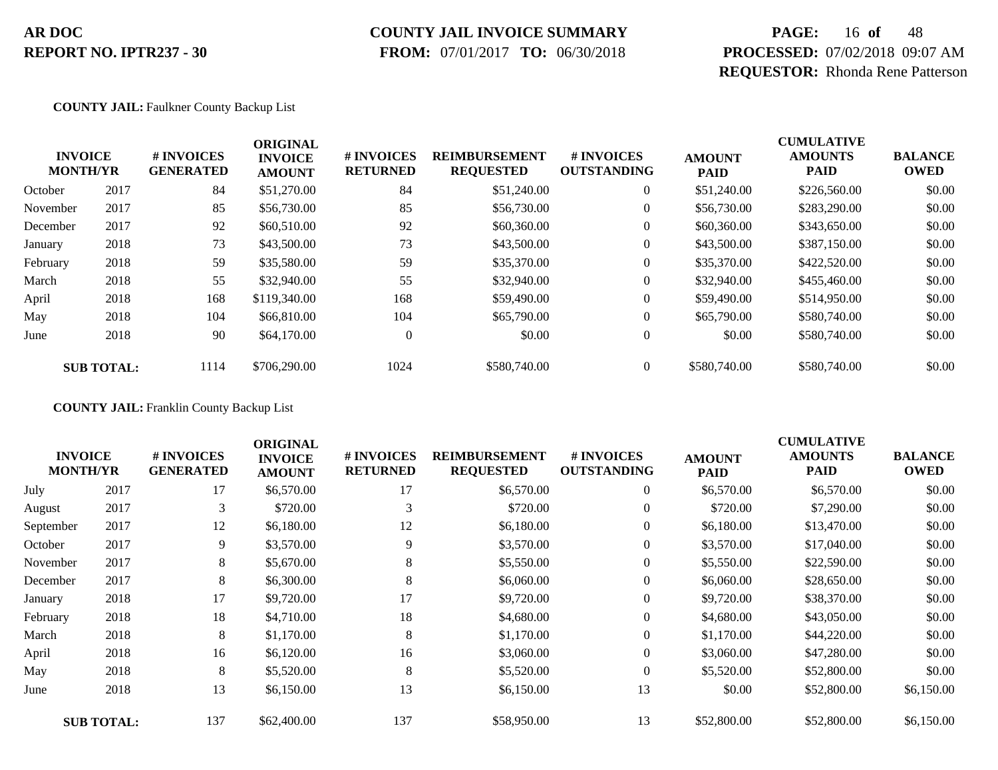### **COUNTY JAIL INVOICE SUMMARY**

 **FROM:** 07/01/2017 **TO:** 06/30/2018

# **PAGE:** 16 **of** 48 **PROCESSED:** 07/02/2018 09:07 AM **REQUESTOR:** Rhonda Rene Patterson

#### **COUNTY JAIL:** Faulkner County Backup List

|          | <b>INVOICE</b><br><b>MONTH/YR</b> | # INVOICES<br><b>GENERATED</b> | <b>ORIGINAL</b><br><b>INVOICE</b><br><b>AMOUNT</b> | # INVOICES<br><b>RETURNED</b> | <b>REIMBURSEMENT</b><br><b>REQUESTED</b> | <b>#INVOICES</b><br><b>OUTSTANDING</b> | <b>AMOUNT</b><br><b>PAID</b> | <b>CUMULATIVE</b><br><b>AMOUNTS</b><br><b>PAID</b> | <b>BALANCE</b><br><b>OWED</b> |
|----------|-----------------------------------|--------------------------------|----------------------------------------------------|-------------------------------|------------------------------------------|----------------------------------------|------------------------------|----------------------------------------------------|-------------------------------|
| October  | 2017                              | 84                             | \$51,270.00                                        | 84                            | \$51,240.00                              | $\overline{0}$                         | \$51,240.00                  | \$226,560.00                                       | \$0.00                        |
| November | 2017                              | 85                             | \$56,730.00                                        | 85                            | \$56,730.00                              | $\overline{0}$                         | \$56,730.00                  | \$283,290.00                                       | \$0.00                        |
| December | 2017                              | 92                             | \$60,510.00                                        | 92                            | \$60,360.00                              | $\overline{0}$                         | \$60,360.00                  | \$343,650.00                                       | \$0.00                        |
| January  | 2018                              | 73                             | \$43,500.00                                        | 73                            | \$43,500.00                              | 0                                      | \$43,500.00                  | \$387,150.00                                       | \$0.00                        |
| February | 2018                              | 59                             | \$35,580.00                                        | 59                            | \$35,370.00                              | 0                                      | \$35,370.00                  | \$422,520.00                                       | \$0.00                        |
| March    | 2018                              | 55                             | \$32,940.00                                        | 55                            | \$32,940.00                              | $\overline{0}$                         | \$32,940.00                  | \$455,460.00                                       | \$0.00                        |
| April    | 2018                              | 168                            | \$119,340.00                                       | 168                           | \$59,490.00                              | $\overline{0}$                         | \$59,490.00                  | \$514,950.00                                       | \$0.00                        |
| May      | 2018                              | 104                            | \$66,810.00                                        | 104                           | \$65,790.00                              | $\overline{0}$                         | \$65,790.00                  | \$580,740.00                                       | \$0.00                        |
| June     | 2018                              | 90                             | \$64,170.00                                        | $\overline{0}$                | \$0.00                                   | $\overline{0}$                         | \$0.00                       | \$580,740.00                                       | \$0.00                        |
|          | <b>SUB TOTAL:</b>                 | 1114                           | \$706,290.00                                       | 1024                          | \$580,740.00                             | $\overline{0}$                         | \$580,740.00                 | \$580,740.00                                       | \$0.00                        |

**COUNTY JAIL:** Franklin County Backup List

|           | <b>INVOICE</b><br><b>MONTH/YR</b> | # INVOICES<br><b>GENERATED</b> | <b>ORIGINAL</b><br><b>INVOICE</b><br><b>AMOUNT</b> | # INVOICES<br><b>RETURNED</b> | <b>REIMBURSEMENT</b><br><b>REQUESTED</b> | # INVOICES<br><b>OUTSTANDING</b> | <b>AMOUNT</b><br><b>PAID</b> | <b>CUMULATIVE</b><br><b>AMOUNTS</b><br><b>PAID</b> | <b>BALANCE</b><br><b>OWED</b> |
|-----------|-----------------------------------|--------------------------------|----------------------------------------------------|-------------------------------|------------------------------------------|----------------------------------|------------------------------|----------------------------------------------------|-------------------------------|
| July      | 2017                              | 17                             | \$6,570.00                                         | 17                            | \$6,570.00                               | $\overline{0}$                   | \$6,570.00                   | \$6,570.00                                         | \$0.00                        |
| August    | 2017                              | 3                              | \$720.00                                           | 3                             | \$720.00                                 | $\overline{0}$                   | \$720.00                     | \$7,290.00                                         | \$0.00                        |
| September | 2017                              | 12                             | \$6,180.00                                         | 12                            | \$6,180.00                               | $\overline{0}$                   | \$6,180.00                   | \$13,470.00                                        | \$0.00                        |
| October   | 2017                              | 9                              | \$3,570.00                                         | 9                             | \$3,570.00                               | 0                                | \$3,570.00                   | \$17,040.00                                        | \$0.00                        |
| November  | 2017                              | 8                              | \$5,670.00                                         | 8                             | \$5,550.00                               | $\overline{0}$                   | \$5,550.00                   | \$22,590.00                                        | \$0.00                        |
| December  | 2017                              | 8                              | \$6,300.00                                         | 8                             | \$6,060.00                               | $\overline{0}$                   | \$6,060.00                   | \$28,650.00                                        | \$0.00                        |
| January   | 2018                              | 17                             | \$9,720.00                                         | 17                            | \$9,720.00                               | $\overline{0}$                   | \$9,720.00                   | \$38,370.00                                        | \$0.00                        |
| February  | 2018                              | 18                             | \$4,710.00                                         | 18                            | \$4,680.00                               | $\overline{0}$                   | \$4,680.00                   | \$43,050.00                                        | \$0.00                        |
| March     | 2018                              | 8                              | \$1,170.00                                         | 8                             | \$1,170.00                               | 0                                | \$1,170.00                   | \$44,220.00                                        | \$0.00                        |
| April     | 2018                              | 16                             | \$6,120.00                                         | 16                            | \$3,060.00                               | $\overline{0}$                   | \$3,060.00                   | \$47,280.00                                        | \$0.00                        |
| May       | 2018                              | 8                              | \$5,520.00                                         | 8                             | \$5,520.00                               | $\overline{0}$                   | \$5,520.00                   | \$52,800.00                                        | \$0.00                        |
| June      | 2018                              | 13                             | \$6,150.00                                         | 13                            | \$6,150.00                               | 13                               | \$0.00                       | \$52,800.00                                        | \$6,150.00                    |
|           | <b>SUB TOTAL:</b>                 | 137                            | \$62,400.00                                        | 137                           | \$58,950.00                              | 13                               | \$52,800.00                  | \$52,800.00                                        | \$6,150.00                    |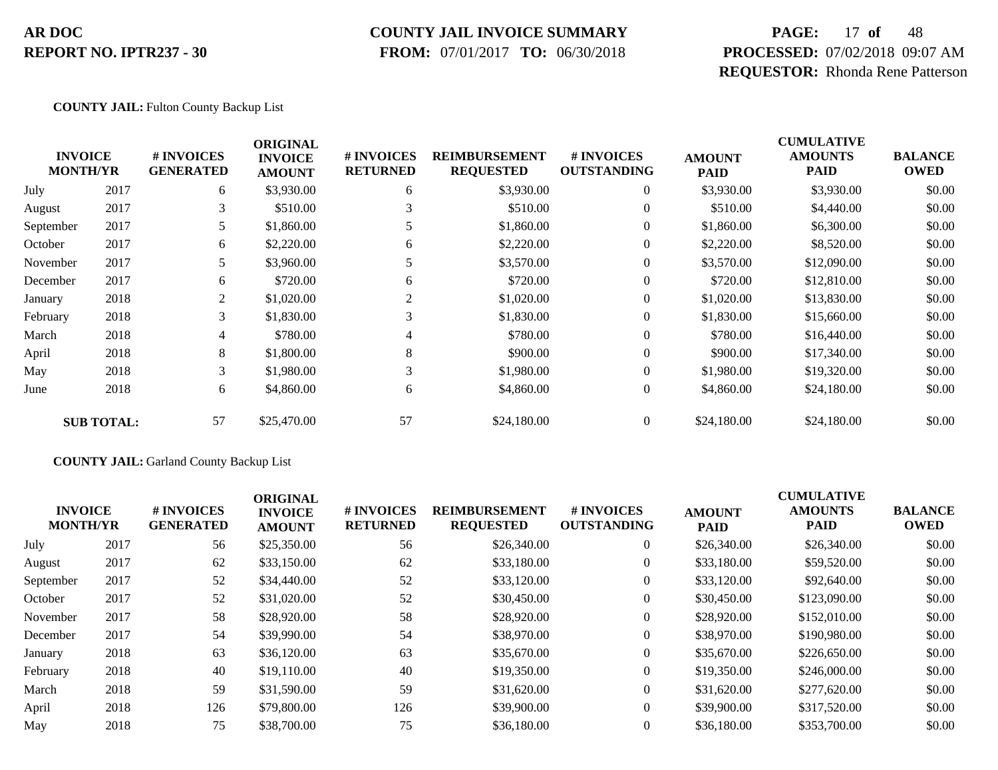#### **COUNTY JAIL INVOICE SUMMARY**

 **FROM:** 07/01/2017 **TO:** 06/30/2018

# **PAGE:** 17 **of** 48 **PROCESSED:** 07/02/2018 09:07 AM **REQUESTOR:** Rhonda Rene Patterson

#### **COUNTY JAIL:** Fulton County Backup List

|           | <b>INVOICE</b><br><b>MONTH/YR</b> | # INVOICES<br><b>GENERATED</b> | <b>ORIGINAL</b><br><b>INVOICE</b><br><b>AMOUNT</b> | # INVOICES<br><b>RETURNED</b> | <b>REIMBURSEMENT</b><br><b>REQUESTED</b> | <b>#INVOICES</b><br><b>OUTSTANDING</b> | <b>AMOUNT</b><br><b>PAID</b> | <b>CUMULATIVE</b><br><b>AMOUNTS</b><br><b>PAID</b> | <b>BALANCE</b><br><b>OWED</b> |
|-----------|-----------------------------------|--------------------------------|----------------------------------------------------|-------------------------------|------------------------------------------|----------------------------------------|------------------------------|----------------------------------------------------|-------------------------------|
| July      | 2017                              | 6                              | \$3,930.00                                         | 6                             | \$3,930.00                               | $\overline{0}$                         | \$3,930.00                   | \$3,930.00                                         | \$0.00                        |
| August    | 2017                              | 3                              | \$510.00                                           | 3                             | \$510.00                                 | $\overline{0}$                         | \$510.00                     | \$4,440.00                                         | \$0.00                        |
| September | 2017                              | 5                              | \$1,860.00                                         |                               | \$1,860.00                               | $\theta$                               | \$1,860.00                   | \$6,300.00                                         | \$0.00                        |
| October   | 2017                              | 6                              | \$2,220.00                                         | 6                             | \$2,220.00                               | $\theta$                               | \$2,220.00                   | \$8,520.00                                         | \$0.00                        |
| November  | 2017                              | 5                              | \$3,960.00                                         |                               | \$3,570.00                               | $\overline{0}$                         | \$3,570.00                   | \$12,090.00                                        | \$0.00                        |
| December  | 2017                              | 6                              | \$720.00                                           | 6                             | \$720.00                                 | $\overline{0}$                         | \$720.00                     | \$12,810.00                                        | \$0.00                        |
| January   | 2018                              | 2                              | \$1,020.00                                         | 2                             | \$1,020.00                               | $\overline{0}$                         | \$1,020.00                   | \$13,830.00                                        | \$0.00                        |
| February  | 2018                              | 3                              | \$1,830.00                                         | 3                             | \$1,830.00                               | $\overline{0}$                         | \$1,830.00                   | \$15,660.00                                        | \$0.00                        |
| March     | 2018                              | 4                              | \$780.00                                           | 4                             | \$780.00                                 | $\overline{0}$                         | \$780.00                     | \$16,440.00                                        | \$0.00                        |
| April     | 2018                              | 8                              | \$1,800.00                                         | 8                             | \$900.00                                 | $\mathbf{0}$                           | \$900.00                     | \$17,340.00                                        | \$0.00                        |
| May       | 2018                              | 3                              | \$1,980.00                                         | 3                             | \$1,980.00                               | $\overline{0}$                         | \$1,980.00                   | \$19,320.00                                        | \$0.00                        |
| June      | 2018                              | 6                              | \$4,860.00                                         | 6                             | \$4,860.00                               | $\overline{0}$                         | \$4,860.00                   | \$24,180.00                                        | \$0.00                        |
|           | <b>SUB TOTAL:</b>                 | 57                             | \$25,470.00                                        | 57                            | \$24,180.00                              | $\overline{0}$                         | \$24,180.00                  | \$24,180.00                                        | \$0.00                        |

#### **COUNTY JAIL:** Garland County Backup List

| <b>INVOICE</b>  |      | <b>#INVOICES</b> | <b>ORIGINAL</b><br><b>INVOICE</b> | <b># INVOICES</b> | <b>REIMBURSEMENT</b> | # INVOICES         | <b>AMOUNT</b> | <b>CUMULATIVE</b><br><b>AMOUNTS</b> | <b>BALANCE</b> |
|-----------------|------|------------------|-----------------------------------|-------------------|----------------------|--------------------|---------------|-------------------------------------|----------------|
| <b>MONTH/YR</b> |      | <b>GENERATED</b> | <b>AMOUNT</b>                     | <b>RETURNED</b>   | <b>REQUESTED</b>     | <b>OUTSTANDING</b> | <b>PAID</b>   | <b>PAID</b>                         | <b>OWED</b>    |
| July            | 2017 | 56               | \$25,350.00                       | 56                | \$26,340.00          | $\overline{0}$     | \$26,340.00   | \$26,340.00                         | \$0.00         |
| August          | 2017 | 62               | \$33,150.00                       | 62                | \$33,180.00          | $\overline{0}$     | \$33,180.00   | \$59,520.00                         | \$0.00         |
| September       | 2017 | 52               | \$34,440.00                       | 52                | \$33,120.00          | 0                  | \$33,120.00   | \$92,640.00                         | \$0.00         |
| October         | 2017 | 52               | \$31,020.00                       | 52                | \$30,450.00          | $\overline{0}$     | \$30,450.00   | \$123,090.00                        | \$0.00         |
| November        | 2017 | 58               | \$28,920.00                       | 58                | \$28,920.00          | $\overline{0}$     | \$28,920.00   | \$152,010.00                        | \$0.00         |
| December        | 2017 | 54               | \$39,990.00                       | 54                | \$38,970.00          | $\overline{0}$     | \$38,970.00   | \$190,980.00                        | \$0.00         |
| January         | 2018 | 63               | \$36,120.00                       | 63                | \$35,670.00          | $\overline{0}$     | \$35,670.00   | \$226,650.00                        | \$0.00         |
| February        | 2018 | 40               | \$19,110.00                       | 40                | \$19,350.00          | $\overline{0}$     | \$19,350.00   | \$246,000.00                        | \$0.00         |
| March           | 2018 | 59               | \$31,590.00                       | 59                | \$31,620.00          | $\overline{0}$     | \$31,620.00   | \$277,620.00                        | \$0.00         |
| April           | 2018 | 126              | \$79,800.00                       | 126               | \$39,900.00          | $\Omega$           | \$39,900.00   | \$317,520.00                        | \$0.00         |
| May             | 2018 | 75               | \$38,700.00                       | 75                | \$36,180.00          | $\overline{0}$     | \$36,180.00   | \$353,700.00                        | \$0.00         |
|                 |      |                  |                                   |                   |                      |                    |               |                                     |                |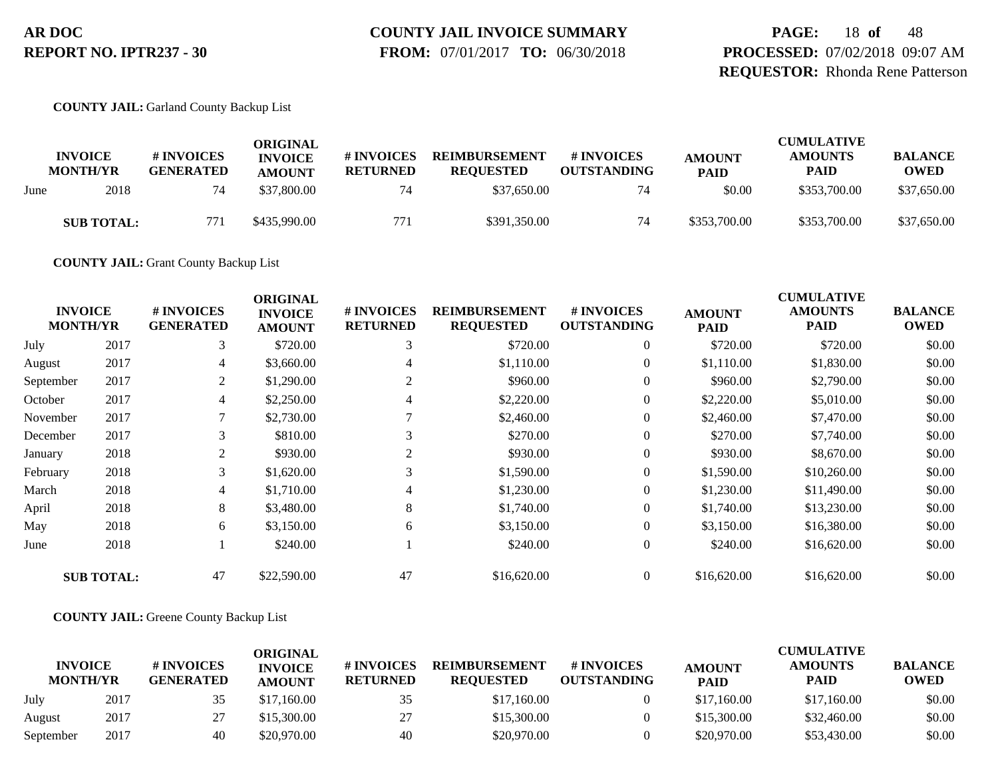# **COUNTY JAIL INVOICE SUMMARY**

 **FROM:** 07/01/2017 **TO:** 06/30/2018

**PAGE:** 18 **of** 48 **PROCESSED:** 07/02/2018 09:07 AM **REQUESTOR:** Rhonda Rene Patterson

**COUNTY JAIL:** Garland County Backup List

|      | <b>INVOICE</b><br><b>MONTH/YR</b> | # INVOICES<br><b>GENERATED</b> | ORIGINAL<br><b>INVOICE</b><br><b>AMOUNT</b> | <b># INVOICES</b><br><b>RETURNED</b> | <b>REIMBURSEMENT</b><br><b>REQUESTED</b> | <b># INVOICES</b><br><b>OUTSTANDING</b> | <b>AMOUNT</b><br><b>PAID</b> | <b>CUMULATIVE</b><br><b>AMOUNTS</b><br><b>PAID</b> | <b>BALANCE</b><br><b>OWED</b> |
|------|-----------------------------------|--------------------------------|---------------------------------------------|--------------------------------------|------------------------------------------|-----------------------------------------|------------------------------|----------------------------------------------------|-------------------------------|
| June | 2018                              | 74                             | \$37,800.00                                 | 74                                   | \$37,650.00                              | 74                                      | \$0.00                       | \$353,700.00                                       | \$37,650.00                   |
|      | <b>SUB TOTAL:</b>                 | 771                            | \$435,990.00                                | 771                                  | \$391,350.00                             | 74                                      | \$353,700.00                 | \$353,700.00                                       | \$37,650.00                   |

**COUNTY JAIL:** Grant County Backup List

| <b>INVOICE</b><br><b>MONTH/YR</b> |                   | # INVOICES<br><b>GENERATED</b> | <b>ORIGINAL</b><br><b>INVOICE</b><br><b>AMOUNT</b> | # INVOICES<br><b>RETURNED</b> | <b>REIMBURSEMENT</b><br><b>REQUESTED</b> | # INVOICES<br><b>OUTSTANDING</b> | <b>AMOUNT</b><br><b>PAID</b> | <b>CUMULATIVE</b><br><b>AMOUNTS</b><br><b>PAID</b> | <b>BALANCE</b><br><b>OWED</b> |
|-----------------------------------|-------------------|--------------------------------|----------------------------------------------------|-------------------------------|------------------------------------------|----------------------------------|------------------------------|----------------------------------------------------|-------------------------------|
| July                              | 2017              | 3                              | \$720.00                                           | 3                             | \$720.00                                 | $\overline{0}$                   | \$720.00                     | \$720.00                                           | \$0.00                        |
| August                            | 2017              | 4                              | \$3,660.00                                         | 4                             | \$1,110.00                               | $\overline{0}$                   | \$1,110.00                   | \$1,830.00                                         | \$0.00                        |
| September                         | 2017              | 2                              | \$1,290.00                                         | 2                             | \$960.00                                 | $\overline{0}$                   | \$960.00                     | \$2,790.00                                         | \$0.00                        |
| October                           | 2017              | 4                              | \$2,250.00                                         |                               | \$2,220.00                               | $\overline{0}$                   | \$2,220.00                   | \$5,010.00                                         | \$0.00                        |
| November                          | 2017              | 7                              | \$2,730.00                                         |                               | \$2,460.00                               | $\overline{0}$                   | \$2,460.00                   | \$7,470.00                                         | \$0.00                        |
| December                          | 2017              | 3                              | \$810.00                                           | 3                             | \$270.00                                 | $\overline{0}$                   | \$270.00                     | \$7,740.00                                         | \$0.00                        |
| January                           | 2018              | $\overline{c}$                 | \$930.00                                           | $\overline{c}$                | \$930.00                                 | $\boldsymbol{0}$                 | \$930.00                     | \$8,670.00                                         | \$0.00                        |
| February                          | 2018              | 3                              | \$1,620.00                                         | 3                             | \$1,590.00                               | 0                                | \$1,590.00                   | \$10,260.00                                        | \$0.00                        |
| March                             | 2018              | 4                              | \$1,710.00                                         | 4                             | \$1,230.00                               | $\overline{0}$                   | \$1,230.00                   | \$11,490.00                                        | \$0.00                        |
| April                             | 2018              | 8                              | \$3,480.00                                         | 8                             | \$1,740.00                               | 0                                | \$1,740.00                   | \$13,230.00                                        | \$0.00                        |
| May                               | 2018              | 6                              | \$3,150.00                                         | 6                             | \$3,150.00                               | $\overline{0}$                   | \$3,150.00                   | \$16,380.00                                        | \$0.00                        |
| June                              | 2018              |                                | \$240.00                                           |                               | \$240.00                                 | $\overline{0}$                   | \$240.00                     | \$16,620.00                                        | \$0.00                        |
|                                   | <b>SUB TOTAL:</b> | 47                             | \$22,590.00                                        | 47                            | \$16,620.00                              | $\overline{0}$                   | \$16,620.00                  | \$16,620.00                                        | \$0.00                        |

**COUNTY JAIL:** Greene County Backup List

|                                   |      |                                      | ORIGINAL                        |                               |                                          |                                  |                              | <b>CUMULATIVE</b>             |                               |
|-----------------------------------|------|--------------------------------------|---------------------------------|-------------------------------|------------------------------------------|----------------------------------|------------------------------|-------------------------------|-------------------------------|
| <b>INVOICE</b><br><b>MONTH/YR</b> |      | <b>#INVOICES</b><br><b>GENERATED</b> | <b>INVOICE</b><br><b>AMOUNT</b> | # INVOICES<br><b>RETURNED</b> | <b>REIMBURSEMENT</b><br><b>REOUESTED</b> | # INVOICES<br><b>OUTSTANDING</b> | <b>AMOUNT</b><br><b>PAID</b> | <b>AMOUNTS</b><br><b>PAID</b> | <b>BALANCE</b><br><b>OWED</b> |
| July                              | 2017 | 35                                   | \$17,160.00                     | 35                            | \$17,160.00                              |                                  | \$17,160.00                  | \$17,160.00                   | \$0.00                        |
| August                            | 2017 | 27                                   | \$15,300.00                     | 27                            | \$15,300.00                              |                                  | \$15,300.00                  | \$32,460.00                   | \$0.00                        |
| September                         | 2017 | 40                                   | \$20,970.00                     | 40                            | \$20,970.00                              |                                  | \$20,970.00                  | \$53,430.00                   | \$0.00                        |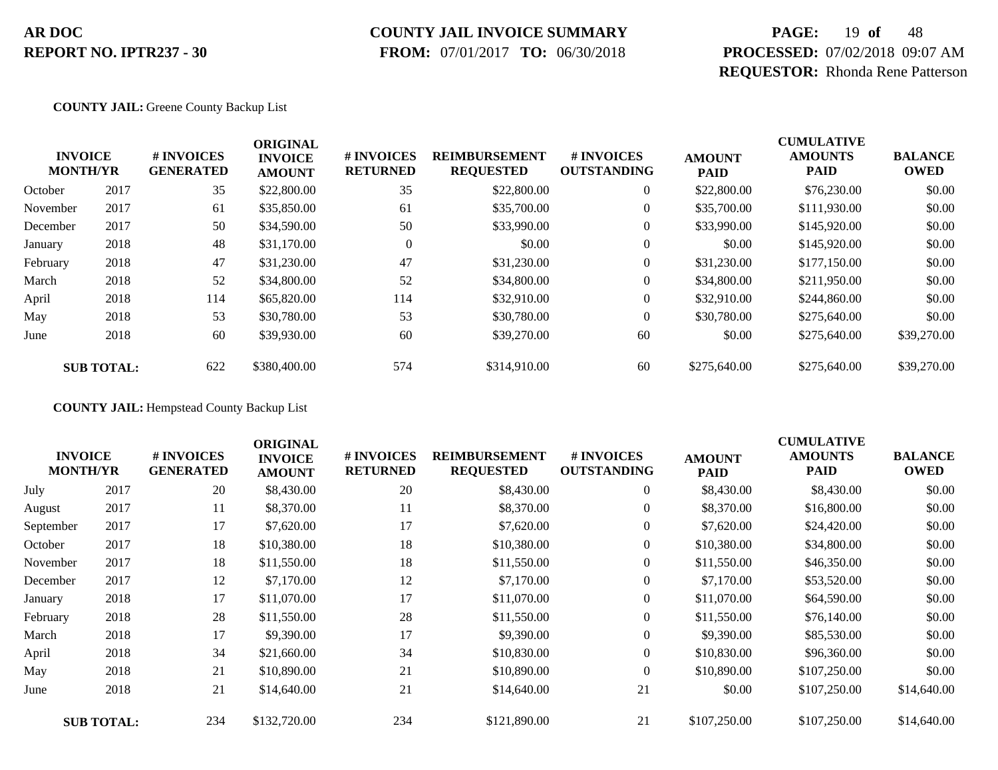### **COUNTY JAIL INVOICE SUMMARY**

 **FROM:** 07/01/2017 **TO:** 06/30/2018

# **PAGE:** 19 **of** 48 **PROCESSED:** 07/02/2018 09:07 AM **REQUESTOR:** Rhonda Rene Patterson

**COUNTY JAIL:** Greene County Backup List

|          | <b>INVOICE</b><br><b>MONTH/YR</b> | # INVOICES<br><b>GENERATED</b> | <b>ORIGINAL</b><br><b>INVOICE</b><br><b>AMOUNT</b> | # INVOICES<br><b>RETURNED</b> | <b>REIMBURSEMENT</b><br><b>REQUESTED</b> | # INVOICES<br><b>OUTSTANDING</b> | <b>AMOUNT</b><br><b>PAID</b> | <b>CUMULATIVE</b><br><b>AMOUNTS</b><br><b>PAID</b> | <b>BALANCE</b><br><b>OWED</b> |
|----------|-----------------------------------|--------------------------------|----------------------------------------------------|-------------------------------|------------------------------------------|----------------------------------|------------------------------|----------------------------------------------------|-------------------------------|
| October  | 2017                              | 35                             | \$22,800.00                                        | 35                            | \$22,800.00                              | $\overline{0}$                   | \$22,800.00                  | \$76,230.00                                        | \$0.00                        |
| November | 2017                              | 61                             | \$35,850.00                                        | 61                            | \$35,700.00                              | $\overline{0}$                   | \$35,700.00                  | \$111,930.00                                       | \$0.00                        |
| December | 2017                              | 50                             | \$34,590.00                                        | 50                            | \$33,990.00                              | $\overline{0}$                   | \$33,990.00                  | \$145,920.00                                       | \$0.00                        |
| January  | 2018                              | 48                             | \$31,170.00                                        | $\mathbf{0}$                  | \$0.00                                   | $\overline{0}$                   | \$0.00                       | \$145,920.00                                       | \$0.00                        |
| February | 2018                              | 47                             | \$31,230.00                                        | 47                            | \$31,230.00                              | $\boldsymbol{0}$                 | \$31,230.00                  | \$177,150.00                                       | \$0.00                        |
| March    | 2018                              | 52                             | \$34,800.00                                        | 52                            | \$34,800.00                              | $\overline{0}$                   | \$34,800.00                  | \$211,950.00                                       | \$0.00                        |
| April    | 2018                              | 114                            | \$65,820.00                                        | 114                           | \$32,910.00                              | $\overline{0}$                   | \$32,910.00                  | \$244,860.00                                       | \$0.00                        |
| May      | 2018                              | 53                             | \$30,780.00                                        | 53                            | \$30,780.00                              | $\overline{0}$                   | \$30,780.00                  | \$275,640.00                                       | \$0.00                        |
| June     | 2018                              | 60                             | \$39,930.00                                        | 60                            | \$39,270.00                              | 60                               | \$0.00                       | \$275,640.00                                       | \$39,270.00                   |
|          | <b>SUB TOTAL:</b>                 | 622                            | \$380,400.00                                       | 574                           | \$314,910.00                             | 60                               | \$275,640.00                 | \$275,640.00                                       | \$39,270.00                   |

**COUNTY JAIL:** Hempstead County Backup List

|                                   |                   |                                | <b>ORIGINAL</b>                 |                               |                                          |                                  |                              | <b>CUMULATIVE</b>             |                               |
|-----------------------------------|-------------------|--------------------------------|---------------------------------|-------------------------------|------------------------------------------|----------------------------------|------------------------------|-------------------------------|-------------------------------|
| <b>INVOICE</b><br><b>MONTH/YR</b> |                   | # INVOICES<br><b>GENERATED</b> | <b>INVOICE</b><br><b>AMOUNT</b> | # INVOICES<br><b>RETURNED</b> | <b>REIMBURSEMENT</b><br><b>REQUESTED</b> | # INVOICES<br><b>OUTSTANDING</b> | <b>AMOUNT</b><br><b>PAID</b> | <b>AMOUNTS</b><br><b>PAID</b> | <b>BALANCE</b><br><b>OWED</b> |
| July                              | 2017              | 20                             | \$8,430.00                      | 20                            | \$8,430.00                               | $\boldsymbol{0}$                 | \$8,430.00                   | \$8,430.00                    | \$0.00                        |
| August                            | 2017              | 11                             | \$8,370.00                      | 11                            | \$8,370.00                               | $\overline{0}$                   | \$8,370.00                   | \$16,800.00                   | \$0.00                        |
| September                         | 2017              | 17                             | \$7,620.00                      | 17                            | \$7,620.00                               | $\overline{0}$                   | \$7,620.00                   | \$24,420.00                   | \$0.00                        |
| October                           | 2017              | 18                             | \$10,380.00                     | 18                            | \$10,380.00                              | 0                                | \$10,380.00                  | \$34,800.00                   | \$0.00                        |
| November                          | 2017              | 18                             | \$11,550.00                     | 18                            | \$11,550.00                              | $\overline{0}$                   | \$11,550.00                  | \$46,350.00                   | \$0.00                        |
| December                          | 2017              | 12                             | \$7,170.00                      | 12                            | \$7,170.00                               | $\overline{0}$                   | \$7,170.00                   | \$53,520.00                   | \$0.00                        |
| January                           | 2018              | 17                             | \$11,070.00                     | 17                            | \$11,070.00                              | 0                                | \$11,070.00                  | \$64,590.00                   | \$0.00                        |
| February                          | 2018              | 28                             | \$11,550.00                     | 28                            | \$11,550.00                              | $\overline{0}$                   | \$11,550.00                  | \$76,140.00                   | \$0.00                        |
| March                             | 2018              | 17                             | \$9,390.00                      | 17                            | \$9,390.00                               | $\overline{0}$                   | \$9,390.00                   | \$85,530.00                   | \$0.00                        |
| April                             | 2018              | 34                             | \$21,660.00                     | 34                            | \$10,830.00                              | $\overline{0}$                   | \$10,830.00                  | \$96,360.00                   | \$0.00                        |
| May                               | 2018              | 21                             | \$10,890.00                     | 21                            | \$10,890.00                              | $\theta$                         | \$10,890.00                  | \$107,250.00                  | \$0.00                        |
| June                              | 2018              | 21                             | \$14,640.00                     | 21                            | \$14,640.00                              | 21                               | \$0.00                       | \$107,250.00                  | \$14,640.00                   |
|                                   | <b>SUB TOTAL:</b> | 234                            | \$132,720.00                    | 234                           | \$121,890.00                             | 21                               | \$107,250.00                 | \$107,250.00                  | \$14,640.00                   |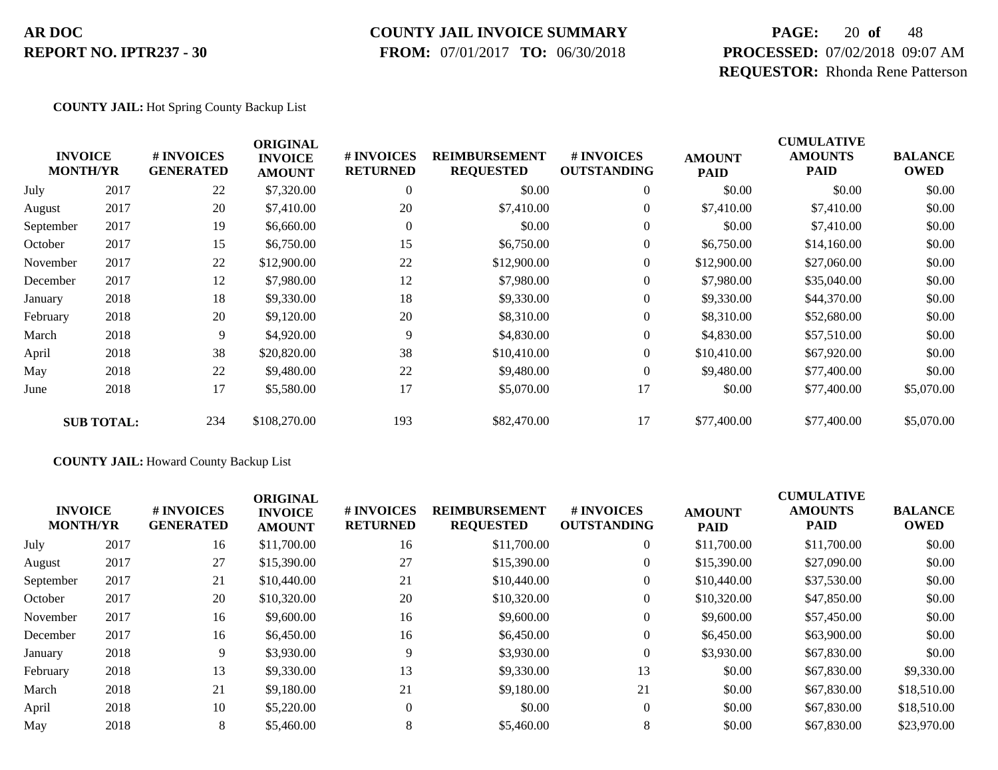#### **COUNTY JAIL INVOICE SUMMARY**

 **FROM:** 07/01/2017 **TO:** 06/30/2018

# **PAGE:** 20 **of** 48 **PROCESSED:** 07/02/2018 09:07 AM **REQUESTOR:** Rhonda Rene Patterson

#### **COUNTY JAIL:** Hot Spring County Backup List

|           | <b>INVOICE</b><br><b>MONTH/YR</b> | # INVOICES<br><b>GENERATED</b> | <b>ORIGINAL</b><br><b>INVOICE</b><br><b>AMOUNT</b> | # INVOICES<br><b>RETURNED</b> | <b>REIMBURSEMENT</b><br><b>REQUESTED</b> | <b>#INVOICES</b><br><b>OUTSTANDING</b> | <b>AMOUNT</b><br><b>PAID</b> | <b>CUMULATIVE</b><br><b>AMOUNTS</b><br><b>PAID</b> | <b>BALANCE</b><br><b>OWED</b> |
|-----------|-----------------------------------|--------------------------------|----------------------------------------------------|-------------------------------|------------------------------------------|----------------------------------------|------------------------------|----------------------------------------------------|-------------------------------|
| July      | 2017                              | 22                             | \$7,320.00                                         | $\theta$                      | \$0.00                                   | $\mathbf{0}$                           | \$0.00                       | \$0.00                                             | \$0.00                        |
| August    | 2017                              | 20                             | \$7,410.00                                         | 20                            | \$7,410.00                               | $\overline{0}$                         | \$7,410.00                   | \$7,410.00                                         | \$0.00                        |
| September | 2017                              | 19                             | \$6,660.00                                         | $\Omega$                      | \$0.00                                   | $\theta$                               | \$0.00                       | \$7,410.00                                         | \$0.00                        |
| October   | 2017                              | 15                             | \$6,750.00                                         | 15                            | \$6,750.00                               | $\overline{0}$                         | \$6,750.00                   | \$14,160.00                                        | \$0.00                        |
| November  | 2017                              | 22                             | \$12,900.00                                        | 22                            | \$12,900.00                              | $\boldsymbol{0}$                       | \$12,900.00                  | \$27,060.00                                        | \$0.00                        |
| December  | 2017                              | 12                             | \$7,980.00                                         | 12                            | \$7,980.00                               | $\overline{0}$                         | \$7,980.00                   | \$35,040.00                                        | \$0.00                        |
| January   | 2018                              | 18                             | \$9,330.00                                         | 18                            | \$9,330.00                               | $\overline{0}$                         | \$9,330.00                   | \$44,370.00                                        | \$0.00                        |
| February  | 2018                              | 20                             | \$9,120.00                                         | 20                            | \$8,310.00                               | $\boldsymbol{0}$                       | \$8,310.00                   | \$52,680.00                                        | \$0.00                        |
| March     | 2018                              | 9                              | \$4,920.00                                         | 9                             | \$4,830.00                               | $\boldsymbol{0}$                       | \$4,830.00                   | \$57,510.00                                        | \$0.00                        |
| April     | 2018                              | 38                             | \$20,820.00                                        | 38                            | \$10,410.00                              | $\overline{0}$                         | \$10,410.00                  | \$67,920.00                                        | \$0.00                        |
| May       | 2018                              | 22                             | \$9,480.00                                         | 22                            | \$9,480.00                               | $\overline{0}$                         | \$9,480.00                   | \$77,400.00                                        | \$0.00                        |
| June      | 2018                              | 17                             | \$5,580.00                                         | 17                            | \$5,070.00                               | 17                                     | \$0.00                       | \$77,400.00                                        | \$5,070.00                    |
|           | <b>SUB TOTAL:</b>                 | 234                            | \$108,270.00                                       | 193                           | \$82,470.00                              | 17                                     | \$77,400.00                  | \$77,400.00                                        | \$5,070.00                    |

#### **COUNTY JAIL:** Howard County Backup List

|           | <b>INVOICE</b><br><b>MONTH/YR</b> | <b>#INVOICES</b><br><b>GENERATED</b> | <b>ORIGINAL</b><br><b>INVOICE</b><br><b>AMOUNT</b> | <b># INVOICES</b><br><b>RETURNED</b> | <b>REIMBURSEMENT</b><br><b>REQUESTED</b> | # INVOICES<br><b>OUTSTANDING</b> | <b>AMOUNT</b><br><b>PAID</b> | <b>CUMULATIVE</b><br><b>AMOUNTS</b><br><b>PAID</b> | <b>BALANCE</b><br><b>OWED</b> |
|-----------|-----------------------------------|--------------------------------------|----------------------------------------------------|--------------------------------------|------------------------------------------|----------------------------------|------------------------------|----------------------------------------------------|-------------------------------|
| July      | 2017                              | 16                                   | \$11,700.00                                        | 16                                   | \$11,700.00                              | $\overline{0}$                   | \$11,700.00                  | \$11,700.00                                        | \$0.00                        |
| August    | 2017                              | 27                                   | \$15,390.00                                        | 27                                   | \$15,390.00                              | $\overline{0}$                   | \$15,390.00                  | \$27,090.00                                        | \$0.00                        |
| September | 2017                              | 21                                   | \$10,440.00                                        | 21                                   | \$10,440.00                              | $\overline{0}$                   | \$10,440.00                  | \$37,530.00                                        | \$0.00                        |
| October   | 2017                              | 20                                   | \$10,320.00                                        | 20                                   | \$10,320.00                              | $\overline{0}$                   | \$10,320.00                  | \$47,850.00                                        | \$0.00                        |
| November  | 2017                              | 16                                   | \$9,600.00                                         | 16                                   | \$9,600.00                               | $\theta$                         | \$9,600.00                   | \$57,450.00                                        | \$0.00                        |
| December  | 2017                              | 16                                   | \$6,450.00                                         | 16                                   | \$6,450.00                               | $\theta$                         | \$6,450.00                   | \$63,900.00                                        | \$0.00                        |
| January   | 2018                              | 9                                    | \$3,930.00                                         | 9                                    | \$3,930.00                               | $\theta$                         | \$3,930.00                   | \$67,830.00                                        | \$0.00                        |
| February  | 2018                              | 13                                   | \$9,330.00                                         | 13                                   | \$9,330.00                               | 13                               | \$0.00                       | \$67,830.00                                        | \$9,330.00                    |
| March     | 2018                              | 21                                   | \$9,180.00                                         | 21                                   | \$9,180.00                               | 21                               | \$0.00                       | \$67,830.00                                        | \$18,510.00                   |
| April     | 2018                              | 10                                   | \$5,220.00                                         | $\Omega$                             | \$0.00                                   | $\theta$                         | \$0.00                       | \$67,830.00                                        | \$18,510.00                   |
| May       | 2018                              | 8                                    | \$5,460.00                                         | 8                                    | \$5,460.00                               | 8                                | \$0.00                       | \$67,830.00                                        | \$23,970.00                   |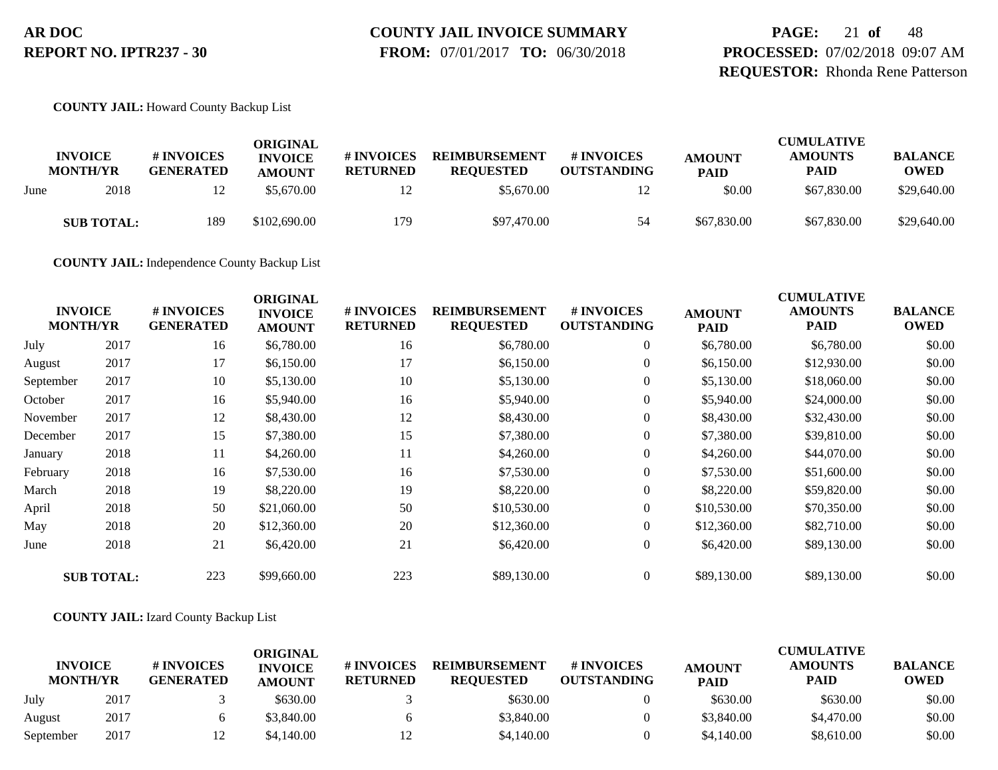# **COUNTY JAIL INVOICE SUMMARY**

 **FROM:** 07/01/2017 **TO:** 06/30/2018

**PAGE:** 21 **of** 48 **PROCESSED:** 07/02/2018 09:07 AM **REQUESTOR:** Rhonda Rene Patterson

**COUNTY JAIL:** Howard County Backup List

|      | <b>INVOICE</b><br><b>MONTH/YR</b> | # INVOICES<br><b>GENERATED</b> | ORIGINAL<br><b>INVOICE</b><br><b>AMOUNT</b> | <b># INVOICES</b><br><b>RETURNED</b> | <b>REIMBURSEMENT</b><br><b>REQUESTED</b> | # INVOICES<br><b>OUTSTANDING</b> | <b>AMOUNT</b><br><b>PAID</b> | <b>CUMULATIVE</b><br><b>AMOUNTS</b><br><b>PAID</b> | <b>BALANCE</b><br><b>OWED</b> |
|------|-----------------------------------|--------------------------------|---------------------------------------------|--------------------------------------|------------------------------------------|----------------------------------|------------------------------|----------------------------------------------------|-------------------------------|
| June | 2018                              | 12                             | \$5,670.00                                  | 12                                   | \$5,670.00                               | 12                               | \$0.00                       | \$67,830.00                                        | \$29,640.00                   |
|      | <b>SUB TOTAL:</b>                 | 189                            | \$102,690.00                                | 179                                  | \$97,470.00                              | 54                               | \$67,830.00                  | \$67,830.00                                        | \$29,640.00                   |

**COUNTY JAIL:** Independence County Backup List

| <b>INVOICE</b><br><b>MONTH/YR</b> |                   | # INVOICES<br><b>GENERATED</b> | <b>ORIGINAL</b><br><b>INVOICE</b><br><b>AMOUNT</b> | # INVOICES<br><b>RETURNED</b> | <b>REIMBURSEMENT</b><br><b>REQUESTED</b> | # INVOICES<br><b>OUTSTANDING</b> | <b>AMOUNT</b><br><b>PAID</b> | <b>CUMULATIVE</b><br><b>AMOUNTS</b><br><b>PAID</b> | <b>BALANCE</b><br><b>OWED</b> |
|-----------------------------------|-------------------|--------------------------------|----------------------------------------------------|-------------------------------|------------------------------------------|----------------------------------|------------------------------|----------------------------------------------------|-------------------------------|
| July                              | 2017              | 16                             | \$6,780.00                                         | 16                            | \$6,780.00                               | $\overline{0}$                   | \$6,780.00                   | \$6,780.00                                         | \$0.00                        |
| August                            | 2017              | 17                             | \$6,150.00                                         | 17                            | \$6,150.00                               | $\overline{0}$                   | \$6,150.00                   | \$12,930.00                                        | \$0.00                        |
| September                         | 2017              | 10                             | \$5,130.00                                         | 10                            | \$5,130.00                               | $\boldsymbol{0}$                 | \$5,130.00                   | \$18,060.00                                        | \$0.00                        |
| October                           | 2017              | 16                             | \$5,940.00                                         | 16                            | \$5,940.00                               | $\overline{0}$                   | \$5,940.00                   | \$24,000.00                                        | \$0.00                        |
| November                          | 2017              | 12                             | \$8,430.00                                         | 12                            | \$8,430.00                               | $\overline{0}$                   | \$8,430.00                   | \$32,430.00                                        | \$0.00                        |
| December                          | 2017              | 15                             | \$7,380.00                                         | 15                            | \$7,380.00                               | $\boldsymbol{0}$                 | \$7,380.00                   | \$39,810.00                                        | \$0.00                        |
| January                           | 2018              | 11                             | \$4,260.00                                         | 11                            | \$4,260.00                               | 0                                | \$4,260.00                   | \$44,070.00                                        | \$0.00                        |
| February                          | 2018              | 16                             | \$7,530.00                                         | 16                            | \$7,530.00                               | $\overline{0}$                   | \$7,530.00                   | \$51,600.00                                        | \$0.00                        |
| March                             | 2018              | 19                             | \$8,220.00                                         | 19                            | \$8,220.00                               | $\overline{0}$                   | \$8,220.00                   | \$59,820.00                                        | \$0.00                        |
| April                             | 2018              | 50                             | \$21,060.00                                        | 50                            | \$10,530.00                              | 0                                | \$10,530.00                  | \$70,350.00                                        | \$0.00                        |
| May                               | 2018              | 20                             | \$12,360.00                                        | 20                            | \$12,360.00                              | $\boldsymbol{0}$                 | \$12,360.00                  | \$82,710.00                                        | \$0.00                        |
| June                              | 2018              | 21                             | \$6,420.00                                         | 21                            | \$6,420.00                               | $\boldsymbol{0}$                 | \$6,420.00                   | \$89,130.00                                        | \$0.00                        |
|                                   | <b>SUB TOTAL:</b> | 223                            | \$99,660.00                                        | 223                           | \$89,130.00                              | $\overline{0}$                   | \$89,130.00                  | \$89,130.00                                        | \$0.00                        |

#### **COUNTY JAIL:** Izard County Backup List

|                                   |      |                                | ORIGINAL                        |                               |                                          |                                        |                              | <b>CUMULATIVE</b>             |                               |
|-----------------------------------|------|--------------------------------|---------------------------------|-------------------------------|------------------------------------------|----------------------------------------|------------------------------|-------------------------------|-------------------------------|
| <b>INVOICE</b><br><b>MONTH/YR</b> |      | # INVOICES<br><b>GENERATED</b> | <b>INVOICE</b><br><b>AMOUNT</b> | # INVOICES<br><b>RETURNED</b> | <b>REIMBURSEMENT</b><br><b>REOUESTED</b> | <b>#INVOICES</b><br><b>OUTSTANDING</b> | <b>AMOUNT</b><br><b>PAID</b> | <b>AMOUNTS</b><br><b>PAID</b> | <b>BALANCE</b><br><b>OWED</b> |
| July                              | 2017 |                                | \$630.00                        |                               | \$630.00                                 |                                        | \$630.00                     | \$630.00                      | \$0.00                        |
| August                            | 2017 |                                | \$3,840.00                      |                               | \$3,840.00                               |                                        | \$3,840.00                   | \$4,470.00                    | \$0.00                        |
| September                         | 2017 |                                | \$4.140.00                      |                               | \$4,140.00                               |                                        | \$4,140.00                   | \$8,610.00                    | \$0.00                        |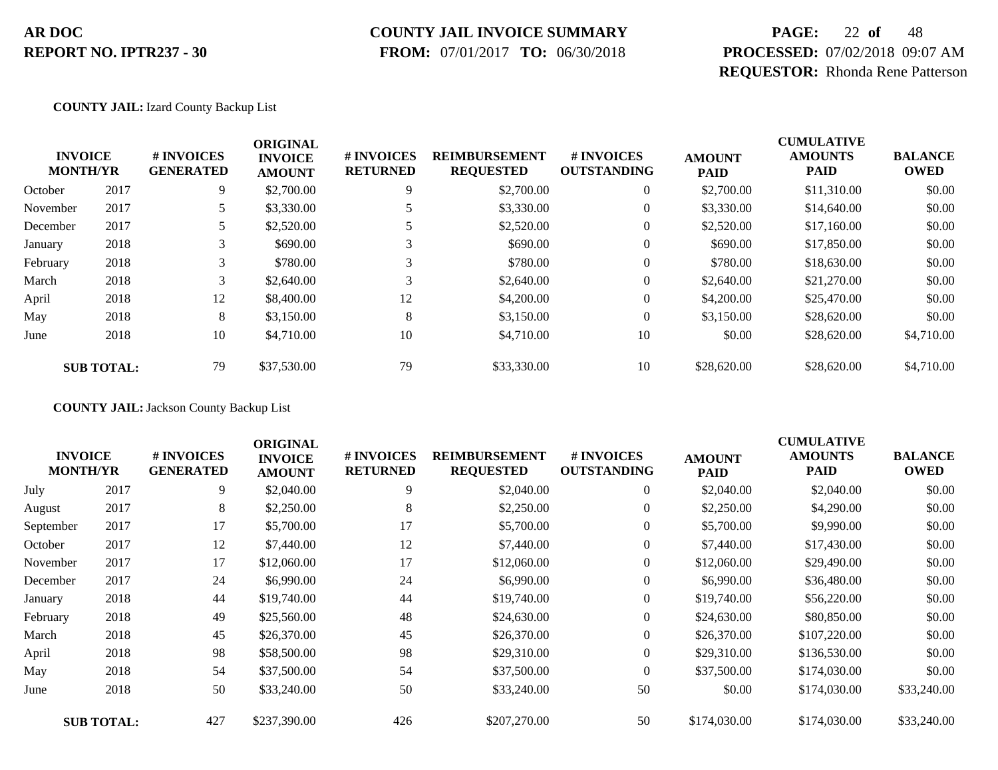#### **COUNTY JAIL INVOICE SUMMARY**

 **FROM:** 07/01/2017 **TO:** 06/30/2018

# **PAGE:** 22 **of** 48 **PROCESSED:** 07/02/2018 09:07 AM **REQUESTOR:** Rhonda Rene Patterson

**COUNTY JAIL:** Izard County Backup List

|                                   |                   |                                | <b>ORIGINAL</b>                 |                               |                                          |                                  | <b>CUMULATIVE</b>            |                               |                               |
|-----------------------------------|-------------------|--------------------------------|---------------------------------|-------------------------------|------------------------------------------|----------------------------------|------------------------------|-------------------------------|-------------------------------|
| <b>INVOICE</b><br><b>MONTH/YR</b> |                   | # INVOICES<br><b>GENERATED</b> | <b>INVOICE</b><br><b>AMOUNT</b> | # INVOICES<br><b>RETURNED</b> | <b>REIMBURSEMENT</b><br><b>REQUESTED</b> | # INVOICES<br><b>OUTSTANDING</b> | <b>AMOUNT</b><br><b>PAID</b> | <b>AMOUNTS</b><br><b>PAID</b> | <b>BALANCE</b><br><b>OWED</b> |
| October                           | 2017              | 9                              | \$2,700.00                      | 9                             | \$2,700.00                               | $\overline{0}$                   | \$2,700.00                   | \$11,310.00                   | \$0.00                        |
| November                          | 2017              |                                | \$3,330.00                      |                               | \$3,330.00                               | 0                                | \$3,330.00                   | \$14,640.00                   | \$0.00                        |
| December                          | 2017              |                                | \$2,520.00                      |                               | \$2,520.00                               | 0                                | \$2,520.00                   | \$17,160.00                   | \$0.00                        |
| January                           | 2018              | 3                              | \$690.00                        | ⌒                             | \$690.00                                 | $\overline{0}$                   | \$690.00                     | \$17,850.00                   | \$0.00                        |
| February                          | 2018              | 3                              | \$780.00                        | 3                             | \$780.00                                 | 0                                | \$780.00                     | \$18,630.00                   | \$0.00                        |
| March                             | 2018              | 3                              | \$2,640.00                      | 3                             | \$2,640.00                               | $\overline{0}$                   | \$2,640.00                   | \$21,270.00                   | \$0.00                        |
| April                             | 2018              | 12                             | \$8,400.00                      | 12                            | \$4,200.00                               | $\overline{0}$                   | \$4,200.00                   | \$25,470.00                   | \$0.00                        |
| May                               | 2018              | 8                              | \$3,150.00                      | 8                             | \$3,150.00                               | $\theta$                         | \$3,150.00                   | \$28,620.00                   | \$0.00                        |
| June                              | 2018              | 10                             | \$4,710.00                      | 10                            | \$4,710.00                               | 10                               | \$0.00                       | \$28,620.00                   | \$4,710.00                    |
|                                   | <b>SUB TOTAL:</b> | 79                             | \$37,530.00                     | 79                            | \$33,330.00                              | 10                               | \$28,620.00                  | \$28,620.00                   | \$4,710.00                    |

**COUNTY JAIL:** Jackson County Backup List

|           |                                   |                                | <b>ORIGINAL</b>                 |                               |                                          |                                  | <b>CUMULATIVE</b>            |                               |                               |
|-----------|-----------------------------------|--------------------------------|---------------------------------|-------------------------------|------------------------------------------|----------------------------------|------------------------------|-------------------------------|-------------------------------|
|           | <b>INVOICE</b><br><b>MONTH/YR</b> | # INVOICES<br><b>GENERATED</b> | <b>INVOICE</b><br><b>AMOUNT</b> | # INVOICES<br><b>RETURNED</b> | <b>REIMBURSEMENT</b><br><b>REQUESTED</b> | # INVOICES<br><b>OUTSTANDING</b> | <b>AMOUNT</b><br><b>PAID</b> | <b>AMOUNTS</b><br><b>PAID</b> | <b>BALANCE</b><br><b>OWED</b> |
| July      | 2017                              | 9                              | \$2,040.00                      | 9                             | \$2,040.00                               | $\boldsymbol{0}$                 | \$2,040.00                   | \$2,040.00                    | \$0.00                        |
| August    | 2017                              | 8                              | \$2,250.00                      | 8                             | \$2,250.00                               | $\overline{0}$                   | \$2,250.00                   | \$4,290.00                    | \$0.00                        |
| September | 2017                              | 17                             | \$5,700.00                      | 17                            | \$5,700.00                               | $\overline{0}$                   | \$5,700.00                   | \$9,990.00                    | \$0.00                        |
| October   | 2017                              | 12                             | \$7,440.00                      | 12                            | \$7,440.00                               | 0                                | \$7,440.00                   | \$17,430.00                   | \$0.00                        |
| November  | 2017                              | 17                             | \$12,060.00                     | 17                            | \$12,060.00                              | $\overline{0}$                   | \$12,060.00                  | \$29,490.00                   | \$0.00                        |
| December  | 2017                              | 24                             | \$6,990.00                      | 24                            | \$6,990.00                               | $\overline{0}$                   | \$6,990.00                   | \$36,480.00                   | \$0.00                        |
| January   | 2018                              | 44                             | \$19,740.00                     | 44                            | \$19,740.00                              | $\boldsymbol{0}$                 | \$19,740.00                  | \$56,220.00                   | \$0.00                        |
| February  | 2018                              | 49                             | \$25,560.00                     | 48                            | \$24,630.00                              | $\overline{0}$                   | \$24,630.00                  | \$80,850.00                   | \$0.00                        |
| March     | 2018                              | 45                             | \$26,370.00                     | 45                            | \$26,370.00                              | $\overline{0}$                   | \$26,370.00                  | \$107,220.00                  | \$0.00                        |
| April     | 2018                              | 98                             | \$58,500.00                     | 98                            | \$29,310.00                              | $\overline{0}$                   | \$29,310.00                  | \$136,530.00                  | \$0.00                        |
| May       | 2018                              | 54                             | \$37,500.00                     | 54                            | \$37,500.00                              | $\overline{0}$                   | \$37,500.00                  | \$174,030.00                  | \$0.00                        |
| June      | 2018                              | 50                             | \$33,240.00                     | 50                            | \$33,240.00                              | 50                               | \$0.00                       | \$174,030.00                  | \$33,240.00                   |
|           | <b>SUB TOTAL:</b>                 | 427                            | \$237,390.00                    | 426                           | \$207,270.00                             | 50                               | \$174,030.00                 | \$174,030.00                  | \$33,240.00                   |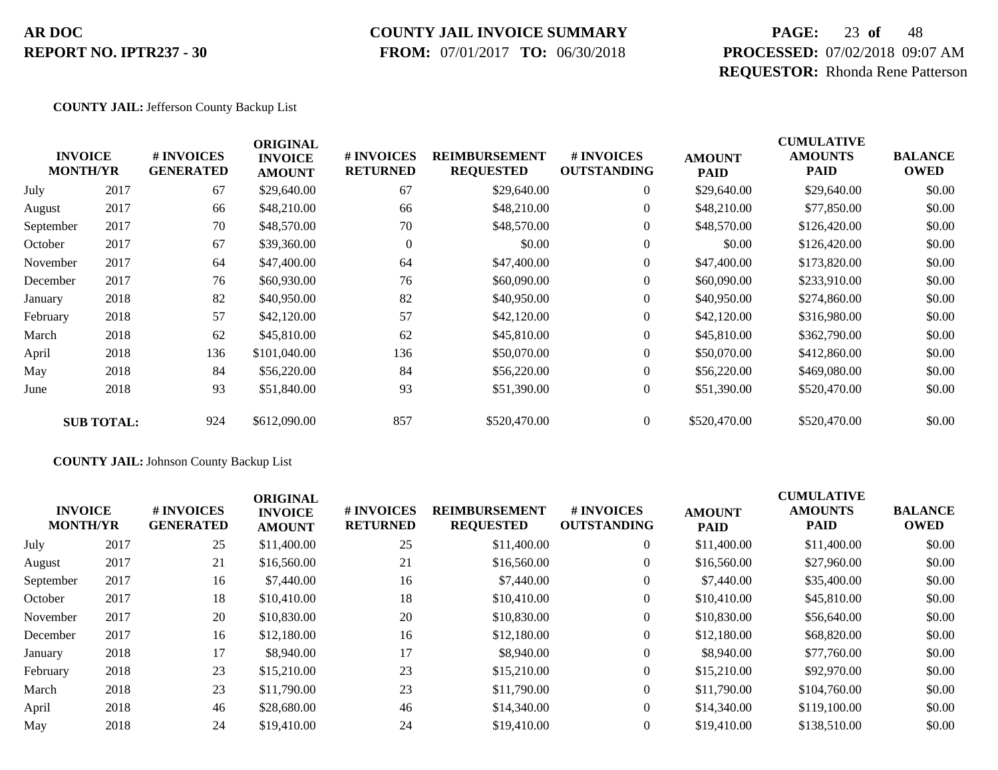#### **COUNTY JAIL INVOICE SUMMARY**

 **FROM:** 07/01/2017 **TO:** 06/30/2018

# **PAGE:** 23 **of** 48 **PROCESSED:** 07/02/2018 09:07 AM **REQUESTOR:** Rhonda Rene Patterson

#### **COUNTY JAIL:** Jefferson County Backup List

|           | <b>INVOICE</b><br><b>MONTH/YR</b> | # INVOICES<br><b>GENERATED</b> | <b>ORIGINAL</b><br><b>INVOICE</b><br><b>AMOUNT</b> | # INVOICES<br><b>RETURNED</b> | <b>REIMBURSEMENT</b><br><b>REQUESTED</b> | # INVOICES<br><b>OUTSTANDING</b> | <b>AMOUNT</b><br><b>PAID</b> | <b>CUMULATIVE</b><br><b>AMOUNTS</b><br><b>PAID</b> | <b>BALANCE</b><br><b>OWED</b> |
|-----------|-----------------------------------|--------------------------------|----------------------------------------------------|-------------------------------|------------------------------------------|----------------------------------|------------------------------|----------------------------------------------------|-------------------------------|
| July      | 2017                              | 67                             | \$29,640.00                                        | 67                            | \$29,640.00                              | $\boldsymbol{0}$                 | \$29,640.00                  | \$29,640.00                                        | \$0.00                        |
| August    | 2017                              | 66                             | \$48,210.00                                        | 66                            | \$48,210.00                              | $\overline{0}$                   | \$48,210.00                  | \$77,850.00                                        | \$0.00                        |
| September | 2017                              | 70                             | \$48,570.00                                        | 70                            | \$48,570.00                              | $\overline{0}$                   | \$48,570.00                  | \$126,420.00                                       | \$0.00                        |
| October   | 2017                              | 67                             | \$39,360.00                                        | $\theta$                      | \$0.00                                   | $\mathbf{0}$                     | \$0.00                       | \$126,420.00                                       | \$0.00                        |
| November  | 2017                              | 64                             | \$47,400.00                                        | 64                            | \$47,400.00                              | $\boldsymbol{0}$                 | \$47,400.00                  | \$173,820.00                                       | \$0.00                        |
| December  | 2017                              | 76                             | \$60,930.00                                        | 76                            | \$60,090.00                              | $\overline{0}$                   | \$60,090.00                  | \$233,910.00                                       | \$0.00                        |
| January   | 2018                              | 82                             | \$40,950.00                                        | 82                            | \$40,950.00                              | $\overline{0}$                   | \$40,950.00                  | \$274,860.00                                       | \$0.00                        |
| February  | 2018                              | 57                             | \$42,120.00                                        | 57                            | \$42,120.00                              | $\boldsymbol{0}$                 | \$42,120.00                  | \$316,980.00                                       | \$0.00                        |
| March     | 2018                              | 62                             | \$45,810.00                                        | 62                            | \$45,810.00                              | $\boldsymbol{0}$                 | \$45,810.00                  | \$362,790.00                                       | \$0.00                        |
| April     | 2018                              | 136                            | \$101,040.00                                       | 136                           | \$50,070.00                              | $\overline{0}$                   | \$50,070.00                  | \$412,860.00                                       | \$0.00                        |
| May       | 2018                              | 84                             | \$56,220.00                                        | 84                            | \$56,220.00                              | $\overline{0}$                   | \$56,220.00                  | \$469,080.00                                       | \$0.00                        |
| June      | 2018                              | 93                             | \$51,840.00                                        | 93                            | \$51,390.00                              | $\boldsymbol{0}$                 | \$51,390.00                  | \$520,470.00                                       | \$0.00                        |
|           | <b>SUB TOTAL:</b>                 | 924                            | \$612,090.00                                       | 857                           | \$520,470.00                             | $\overline{0}$                   | \$520,470.00                 | \$520,470.00                                       | \$0.00                        |

#### **COUNTY JAIL:** Johnson County Backup List

| <b>INVOICE</b><br><b>MONTH/YR</b> |      | <b>#INVOICES</b><br><b>GENERATED</b> | <b>ORIGINAL</b><br><b>INVOICE</b><br><b>AMOUNT</b> | <b># INVOICES</b><br><b>RETURNED</b> | <b>REIMBURSEMENT</b><br><b>REQUESTED</b> | # INVOICES<br><b>OUTSTANDING</b> | <b>AMOUNT</b><br><b>PAID</b> | <b>CUMULATIVE</b><br><b>AMOUNTS</b><br><b>PAID</b> | <b>BALANCE</b><br><b>OWED</b> |
|-----------------------------------|------|--------------------------------------|----------------------------------------------------|--------------------------------------|------------------------------------------|----------------------------------|------------------------------|----------------------------------------------------|-------------------------------|
| July                              | 2017 | 25                                   | \$11,400.00                                        | 25                                   | \$11,400.00                              | $\overline{0}$                   | \$11,400.00                  | \$11,400.00                                        | \$0.00                        |
| August                            | 2017 | 21                                   | \$16,560.00                                        | 21                                   | \$16,560.00                              | $\overline{0}$                   | \$16,560.00                  | \$27,960.00                                        | \$0.00                        |
| September                         | 2017 | 16                                   | \$7,440.00                                         | 16                                   | \$7,440.00                               | $\overline{0}$                   | \$7,440.00                   | \$35,400.00                                        | \$0.00                        |
| October                           | 2017 | 18                                   | \$10,410.00                                        | 18                                   | \$10,410.00                              | $\overline{0}$                   | \$10,410.00                  | \$45,810.00                                        | \$0.00                        |
| November                          | 2017 | 20                                   | \$10,830.00                                        | 20                                   | \$10,830.00                              | $\overline{0}$                   | \$10,830.00                  | \$56,640.00                                        | \$0.00                        |
| December                          | 2017 | 16                                   | \$12,180.00                                        | 16                                   | \$12,180.00                              | $\overline{0}$                   | \$12,180.00                  | \$68,820.00                                        | \$0.00                        |
| January                           | 2018 | 17                                   | \$8,940.00                                         | 17                                   | \$8,940.00                               | $\overline{0}$                   | \$8,940.00                   | \$77,760.00                                        | \$0.00                        |
| February                          | 2018 | 23                                   | \$15,210.00                                        | 23                                   | \$15,210.00                              | $\overline{0}$                   | \$15,210.00                  | \$92,970.00                                        | \$0.00                        |
| March                             | 2018 | 23                                   | \$11,790.00                                        | 23                                   | \$11,790.00                              | $\overline{0}$                   | \$11,790.00                  | \$104,760.00                                       | \$0.00                        |
| April                             | 2018 | 46                                   | \$28,680.00                                        | 46                                   | \$14,340.00                              | $\Omega$                         | \$14,340.00                  | \$119,100.00                                       | \$0.00                        |
| May                               | 2018 | 24                                   | \$19,410.00                                        | 24                                   | \$19,410.00                              | $\overline{0}$                   | \$19,410.00                  | \$138,510.00                                       | \$0.00                        |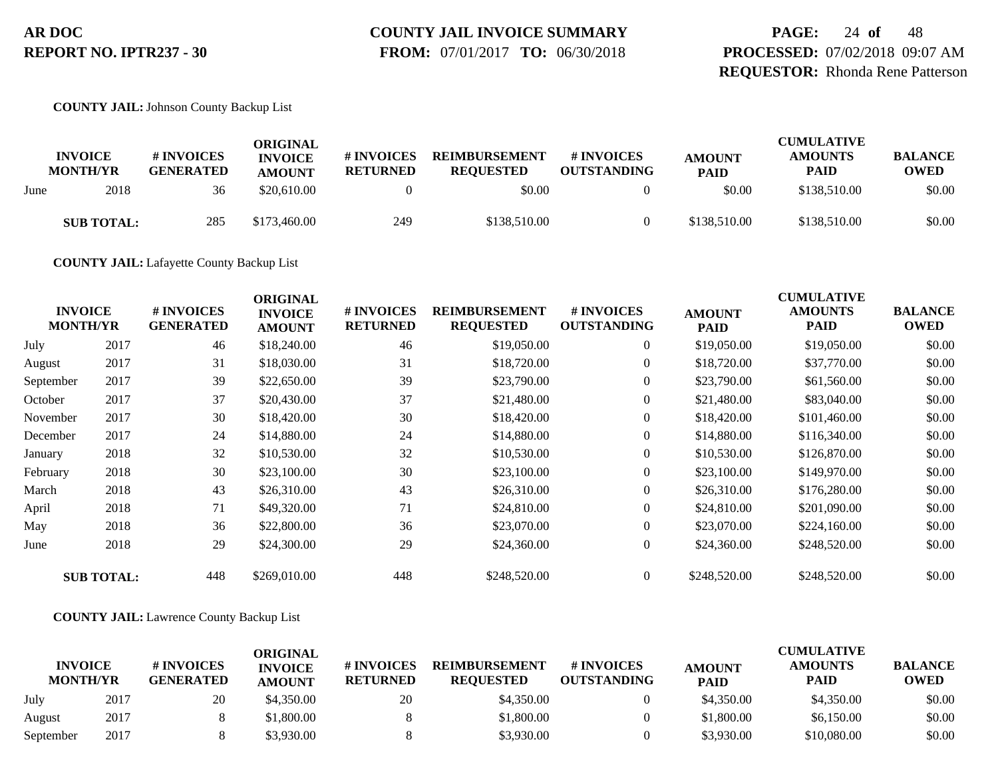# **COUNTY JAIL INVOICE SUMMARY**

 **FROM:** 07/01/2017 **TO:** 06/30/2018

**PAGE:** 24 **of** 48 **PROCESSED:** 07/02/2018 09:07 AM **REQUESTOR:** Rhonda Rene Patterson

**COUNTY JAIL:** Johnson County Backup List

|      | <b>INVOICE</b><br><b>MONTH/YR</b> | # INVOICES<br><b>GENERATED</b> | ORIGINAL<br><b>INVOICE</b><br><b>AMOUNT</b> | # INVOICES<br><b>RETURNED</b> | <b>REIMBURSEMENT</b><br><b>REOUESTED</b> | # INVOICES<br><b>OUTSTANDING</b> | <b>AMOUNT</b><br><b>PAID</b> | <b>CUMULATIVE</b><br><b>AMOUNTS</b><br><b>PAID</b> | <b>BALANCE</b><br><b>OWED</b> |
|------|-----------------------------------|--------------------------------|---------------------------------------------|-------------------------------|------------------------------------------|----------------------------------|------------------------------|----------------------------------------------------|-------------------------------|
| June | 2018                              | 36                             | \$20,610.00                                 |                               | \$0.00                                   |                                  | \$0.00                       | \$138,510.00                                       | \$0.00                        |
|      | <b>SUB TOTAL:</b>                 | 285                            | \$173,460.00                                | 249                           | \$138,510.00                             |                                  | \$138,510.00                 | \$138,510.00                                       | \$0.00                        |

**COUNTY JAIL:** Lafayette County Backup List

| <b>INVOICE</b><br><b>MONTH/YR</b> |                   | # INVOICES<br><b>GENERATED</b> | <b>ORIGINAL</b><br><b>INVOICE</b><br><b>AMOUNT</b> | # INVOICES<br><b>RETURNED</b> | <b>REIMBURSEMENT</b><br><b>REQUESTED</b> | <b>#INVOICES</b><br><b>OUTSTANDING</b> | <b>AMOUNT</b><br><b>PAID</b> | <b>CUMULATIVE</b><br><b>AMOUNTS</b><br><b>PAID</b> | <b>BALANCE</b><br><b>OWED</b> |
|-----------------------------------|-------------------|--------------------------------|----------------------------------------------------|-------------------------------|------------------------------------------|----------------------------------------|------------------------------|----------------------------------------------------|-------------------------------|
| July                              | 2017              | 46                             | \$18,240.00                                        | 46                            | \$19,050.00                              | $\boldsymbol{0}$                       | \$19,050.00                  | \$19,050.00                                        | \$0.00                        |
| August                            | 2017              | 31                             | \$18,030.00                                        | 31                            | \$18,720.00                              | $\overline{0}$                         | \$18,720.00                  | \$37,770.00                                        | \$0.00                        |
| September                         | 2017              | 39                             | \$22,650.00                                        | 39                            | \$23,790.00                              | $\overline{0}$                         | \$23,790.00                  | \$61,560.00                                        | \$0.00                        |
| October                           | 2017              | 37                             | \$20,430.00                                        | 37                            | \$21,480.00                              | $\overline{0}$                         | \$21,480.00                  | \$83,040.00                                        | \$0.00                        |
| November                          | 2017              | 30                             | \$18,420.00                                        | 30                            | \$18,420.00                              | $\overline{0}$                         | \$18,420.00                  | \$101,460.00                                       | \$0.00                        |
| December                          | 2017              | 24                             | \$14,880.00                                        | 24                            | \$14,880.00                              | $\overline{0}$                         | \$14,880.00                  | \$116,340.00                                       | \$0.00                        |
| January                           | 2018              | 32                             | \$10,530.00                                        | 32                            | \$10,530.00                              | $\overline{0}$                         | \$10,530.00                  | \$126,870.00                                       | \$0.00                        |
| February                          | 2018              | 30                             | \$23,100.00                                        | 30                            | \$23,100.00                              | $\overline{0}$                         | \$23,100.00                  | \$149,970.00                                       | \$0.00                        |
| March                             | 2018              | 43                             | \$26,310.00                                        | 43                            | \$26,310.00                              | $\overline{0}$                         | \$26,310.00                  | \$176,280.00                                       | \$0.00                        |
| April                             | 2018              | 71                             | \$49,320.00                                        | 71                            | \$24,810.00                              | $\overline{0}$                         | \$24,810.00                  | \$201,090.00                                       | \$0.00                        |
| May                               | 2018              | 36                             | \$22,800.00                                        | 36                            | \$23,070.00                              | $\overline{0}$                         | \$23,070.00                  | \$224,160.00                                       | \$0.00                        |
| June                              | 2018              | 29                             | \$24,300.00                                        | 29                            | \$24,360.00                              | $\overline{0}$                         | \$24,360.00                  | \$248,520.00                                       | \$0.00                        |
|                                   | <b>SUB TOTAL:</b> | 448                            | \$269,010.00                                       | 448                           | \$248,520.00                             | $\overline{0}$                         | \$248,520.00                 | \$248,520.00                                       | \$0.00                        |

#### **COUNTY JAIL:** Lawrence County Backup List

|                                   |      |                                | ORIGINAL                        |                               |                                          |                                  |                              | <b>CUMULATIVE</b>             |                               |
|-----------------------------------|------|--------------------------------|---------------------------------|-------------------------------|------------------------------------------|----------------------------------|------------------------------|-------------------------------|-------------------------------|
| <b>INVOICE</b><br><b>MONTH/YR</b> |      | # INVOICES<br><b>GENERATED</b> | <b>INVOICE</b><br><b>AMOUNT</b> | # INVOICES<br><b>RETURNED</b> | <b>REIMBURSEMENT</b><br><b>REOUESTED</b> | # INVOICES<br><b>OUTSTANDING</b> | <b>AMOUNT</b><br><b>PAID</b> | <b>AMOUNTS</b><br><b>PAID</b> | <b>BALANCE</b><br><b>OWED</b> |
| July                              | 2017 | 20                             | \$4,350.00                      | 20                            | \$4,350.00                               |                                  | \$4,350.00                   | \$4,350.00                    | \$0.00                        |
| August                            | 2017 |                                | \$1.800.00                      |                               | \$1,800.00                               |                                  | \$1,800.00                   | \$6,150.00                    | \$0.00                        |
| September                         | 2017 |                                | \$3.930.00                      |                               | \$3,930.00                               |                                  | \$3,930.00                   | \$10,080.00                   | \$0.00                        |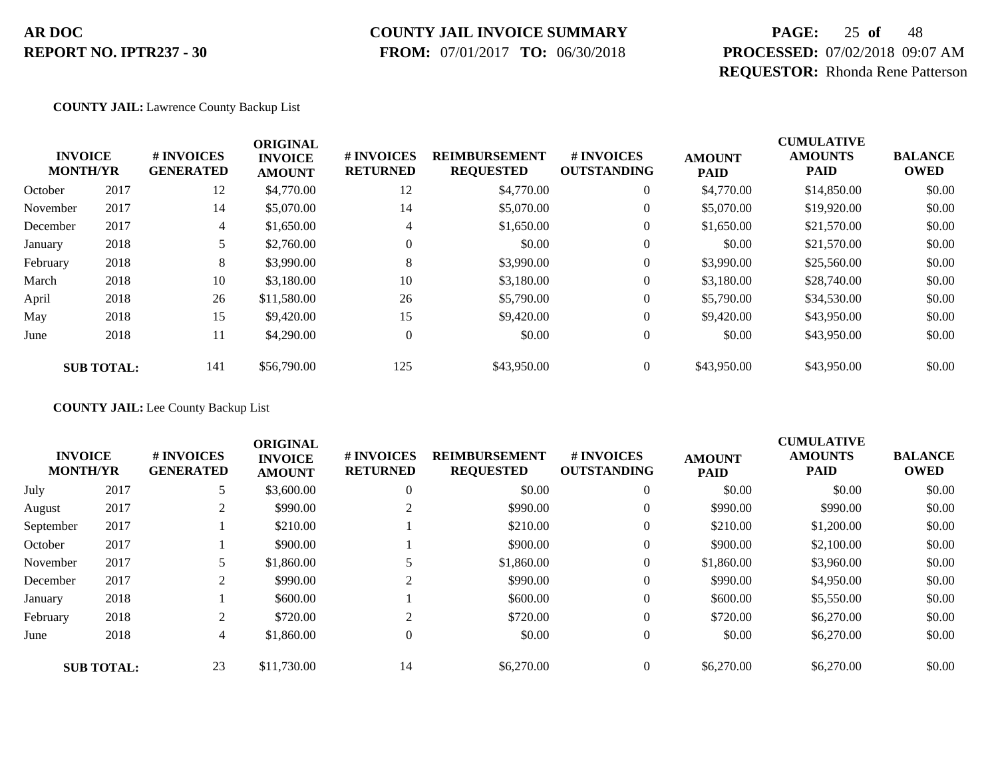#### **COUNTY JAIL INVOICE SUMMARY**

 **FROM:** 07/01/2017 **TO:** 06/30/2018

# **PAGE:** 25 **of** 48 **PROCESSED:** 07/02/2018 09:07 AM **REQUESTOR:** Rhonda Rene Patterson

#### **COUNTY JAIL:** Lawrence County Backup List

|          | <b>INVOICE</b><br><b>MONTH/YR</b> | # INVOICES<br><b>GENERATED</b> | <b>ORIGINAL</b><br><b>INVOICE</b><br><b>AMOUNT</b> | # INVOICES<br><b>RETURNED</b> | <b>REIMBURSEMENT</b><br><b>REQUESTED</b> | # INVOICES<br><b>OUTSTANDING</b> | <b>AMOUNT</b><br><b>PAID</b> | <b>CUMULATIVE</b><br><b>AMOUNTS</b><br><b>PAID</b> | <b>BALANCE</b><br><b>OWED</b> |
|----------|-----------------------------------|--------------------------------|----------------------------------------------------|-------------------------------|------------------------------------------|----------------------------------|------------------------------|----------------------------------------------------|-------------------------------|
| October  | 2017                              | 12                             | \$4,770.00                                         | 12                            | \$4,770.00                               | $\mathbf{0}$                     | \$4,770.00                   | \$14,850.00                                        | \$0.00                        |
| November | 2017                              | 14                             | \$5,070.00                                         | 14                            | \$5,070.00                               | $\theta$                         | \$5,070.00                   | \$19,920.00                                        | \$0.00                        |
| December | 2017                              | $\overline{4}$                 | \$1,650.00                                         | 4                             | \$1,650.00                               | $\theta$                         | \$1,650.00                   | \$21,570.00                                        | \$0.00                        |
| January  | 2018                              |                                | \$2,760.00                                         | $\mathbf{0}$                  | \$0.00                                   | $\theta$                         | \$0.00                       | \$21,570.00                                        | \$0.00                        |
| February | 2018                              | 8                              | \$3,990.00                                         | 8                             | \$3,990.00                               | $\overline{0}$                   | \$3,990.00                   | \$25,560.00                                        | \$0.00                        |
| March    | 2018                              | 10                             | \$3,180.00                                         | 10                            | \$3,180.00                               | $\overline{0}$                   | \$3,180.00                   | \$28,740.00                                        | \$0.00                        |
| April    | 2018                              | 26                             | \$11,580.00                                        | 26                            | \$5,790.00                               | $\theta$                         | \$5,790.00                   | \$34,530.00                                        | \$0.00                        |
| May      | 2018                              | 15                             | \$9,420.00                                         | 15                            | \$9,420.00                               | $\theta$                         | \$9,420.00                   | \$43,950.00                                        | \$0.00                        |
| June     | 2018                              | 11                             | \$4,290.00                                         | $\theta$                      | \$0.00                                   | $\overline{0}$                   | \$0.00                       | \$43,950.00                                        | \$0.00                        |
|          | <b>SUB TOTAL:</b>                 | 141                            | \$56,790.00                                        | 125                           | \$43,950.00                              | $\overline{0}$                   | \$43,950.00                  | \$43,950.00                                        | \$0.00                        |

#### **COUNTY JAIL:** Lee County Backup List

|           | <b>INVOICE</b><br><b>MONTH/YR</b> | # INVOICES<br><b>GENERATED</b> | <b>ORIGINAL</b><br><b>INVOICE</b><br><b>AMOUNT</b> | # INVOICES<br><b>RETURNED</b> | <b>REIMBURSEMENT</b><br><b>REQUESTED</b> | # INVOICES<br><b>OUTSTANDING</b> | <b>AMOUNT</b><br><b>PAID</b> | <b>CUMULATIVE</b><br><b>AMOUNTS</b><br><b>PAID</b> | <b>BALANCE</b><br><b>OWED</b> |
|-----------|-----------------------------------|--------------------------------|----------------------------------------------------|-------------------------------|------------------------------------------|----------------------------------|------------------------------|----------------------------------------------------|-------------------------------|
| July      | 2017                              |                                | \$3,600.00                                         | $\overline{0}$                | \$0.00                                   | $\overline{0}$                   | \$0.00                       | \$0.00                                             | \$0.00                        |
| August    | 2017                              |                                | \$990.00                                           |                               | \$990.00                                 | $\overline{0}$                   | \$990.00                     | \$990.00                                           | \$0.00                        |
| September | 2017                              |                                | \$210.00                                           |                               | \$210.00                                 | $\overline{0}$                   | \$210.00                     | \$1,200.00                                         | \$0.00                        |
| October   | 2017                              |                                | \$900.00                                           |                               | \$900.00                                 | $\overline{0}$                   | \$900.00                     | \$2,100.00                                         | \$0.00                        |
| November  | 2017                              |                                | \$1,860.00                                         |                               | \$1,860.00                               | $\overline{0}$                   | \$1,860.00                   | \$3,960.00                                         | \$0.00                        |
| December  | 2017                              |                                | \$990.00                                           | 2                             | \$990.00                                 | $\boldsymbol{0}$                 | \$990.00                     | \$4,950.00                                         | \$0.00                        |
| January   | 2018                              |                                | \$600.00                                           |                               | \$600.00                                 | $\overline{0}$                   | \$600.00                     | \$5,550.00                                         | \$0.00                        |
| February  | 2018                              | 2                              | \$720.00                                           | 2                             | \$720.00                                 | $\overline{0}$                   | \$720.00                     | \$6,270.00                                         | \$0.00                        |
| June      | 2018                              | 4                              | \$1,860.00                                         | $\Omega$                      | \$0.00                                   | $\overline{0}$                   | \$0.00                       | \$6,270.00                                         | \$0.00                        |
|           | <b>SUB TOTAL:</b>                 | 23                             | \$11,730.00                                        | 14                            | \$6,270.00                               | $\Omega$                         | \$6,270.00                   | \$6,270.00                                         | \$0.00                        |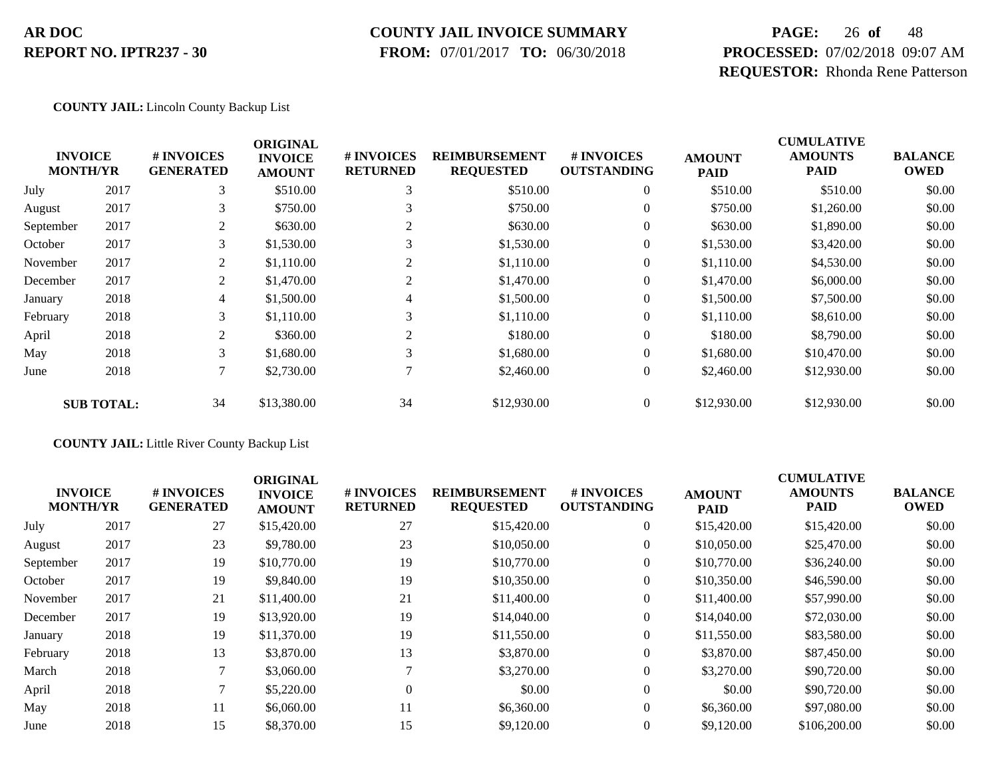#### **COUNTY JAIL INVOICE SUMMARY**

 **FROM:** 07/01/2017 **TO:** 06/30/2018

# **PAGE:** 26 **of** 48 **PROCESSED:** 07/02/2018 09:07 AM **REQUESTOR:** Rhonda Rene Patterson

#### **COUNTY JAIL:** Lincoln County Backup List

|           |                                   |                                | <b>ORIGINAL</b>                 |                               |                                          |                                  |                              | <b>CUMULATIVE</b>             |                               |
|-----------|-----------------------------------|--------------------------------|---------------------------------|-------------------------------|------------------------------------------|----------------------------------|------------------------------|-------------------------------|-------------------------------|
|           | <b>INVOICE</b><br><b>MONTH/YR</b> | # INVOICES<br><b>GENERATED</b> | <b>INVOICE</b><br><b>AMOUNT</b> | # INVOICES<br><b>RETURNED</b> | <b>REIMBURSEMENT</b><br><b>REQUESTED</b> | # INVOICES<br><b>OUTSTANDING</b> | <b>AMOUNT</b><br><b>PAID</b> | <b>AMOUNTS</b><br><b>PAID</b> | <b>BALANCE</b><br><b>OWED</b> |
| July      | 2017                              | 3                              | \$510.00                        | 3                             | \$510.00                                 | $\theta$                         | \$510.00                     | \$510.00                      | \$0.00                        |
| August    | 2017                              | 3                              | \$750.00                        | 3                             | \$750.00                                 | $\overline{0}$                   | \$750.00                     | \$1,260.00                    | \$0.00                        |
| September | 2017                              | 2                              | \$630.00                        | $\overline{c}$                | \$630.00                                 | $\overline{0}$                   | \$630.00                     | \$1,890.00                    | \$0.00                        |
| October   | 2017                              | 3                              | \$1,530.00                      | 3                             | \$1,530.00                               | $\overline{0}$                   | \$1,530.00                   | \$3,420.00                    | \$0.00                        |
| November  | 2017                              | 2                              | \$1,110.00                      | 2                             | \$1,110.00                               | $\theta$                         | \$1,110.00                   | \$4,530.00                    | \$0.00                        |
| December  | 2017                              | 2                              | \$1,470.00                      | 2                             | \$1,470.00                               | $\overline{0}$                   | \$1,470.00                   | \$6,000.00                    | \$0.00                        |
| January   | 2018                              | 4                              | \$1,500.00                      | 4                             | \$1,500.00                               | $\overline{0}$                   | \$1,500.00                   | \$7,500.00                    | \$0.00                        |
| February  | 2018                              | 3                              | \$1,110.00                      | 3                             | \$1,110.00                               | $\overline{0}$                   | \$1,110.00                   | \$8,610.00                    | \$0.00                        |
| April     | 2018                              | 2                              | \$360.00                        | 2                             | \$180.00                                 | $\theta$                         | \$180.00                     | \$8,790.00                    | \$0.00                        |
| May       | 2018                              | 3                              | \$1,680.00                      | 3                             | \$1,680.00                               | $\overline{0}$                   | \$1,680.00                   | \$10,470.00                   | \$0.00                        |
| June      | 2018                              | 7                              | \$2,730.00                      |                               | \$2,460.00                               | $\overline{0}$                   | \$2,460.00                   | \$12,930.00                   | \$0.00                        |
|           | <b>SUB TOTAL:</b>                 | 34                             | \$13,380.00                     | 34                            | \$12,930.00                              | $\overline{0}$                   | \$12,930.00                  | \$12,930.00                   | \$0.00                        |

**COUNTY JAIL:** Little River County Backup List

|                                   |      |                                | <b>ORIGINAL</b>                 |                               |                                          |                                        |                              | <b>CUMULATIVE</b>             |                               |
|-----------------------------------|------|--------------------------------|---------------------------------|-------------------------------|------------------------------------------|----------------------------------------|------------------------------|-------------------------------|-------------------------------|
| <b>INVOICE</b><br><b>MONTH/YR</b> |      | # INVOICES<br><b>GENERATED</b> | <b>INVOICE</b><br><b>AMOUNT</b> | # INVOICES<br><b>RETURNED</b> | <b>REIMBURSEMENT</b><br><b>REQUESTED</b> | <b>#INVOICES</b><br><b>OUTSTANDING</b> | <b>AMOUNT</b><br><b>PAID</b> | <b>AMOUNTS</b><br><b>PAID</b> | <b>BALANCE</b><br><b>OWED</b> |
| July                              | 2017 | 27                             | \$15,420.00                     | 27                            | \$15,420.00                              | $\overline{0}$                         | \$15,420.00                  | \$15,420.00                   | \$0.00                        |
| August                            | 2017 | 23                             | \$9,780.00                      | 23                            | \$10,050.00                              | $\overline{0}$                         | \$10,050.00                  | \$25,470.00                   | \$0.00                        |
| September                         | 2017 | 19                             | \$10,770.00                     | 19                            | \$10,770.00                              | $\overline{0}$                         | \$10,770.00                  | \$36,240.00                   | \$0.00                        |
| October                           | 2017 | 19                             | \$9,840.00                      | 19                            | \$10,350.00                              | $\overline{0}$                         | \$10,350.00                  | \$46,590.00                   | \$0.00                        |
| November                          | 2017 | 21                             | \$11,400.00                     | 21                            | \$11,400.00                              | $\overline{0}$                         | \$11,400.00                  | \$57,990.00                   | \$0.00                        |
| December                          | 2017 | 19                             | \$13,920.00                     | 19                            | \$14,040.00                              | $\overline{0}$                         | \$14,040.00                  | \$72,030.00                   | \$0.00                        |
| January                           | 2018 | 19                             | \$11,370.00                     | 19                            | \$11,550.00                              | $\overline{0}$                         | \$11,550.00                  | \$83,580.00                   | \$0.00                        |
| February                          | 2018 | 13                             | \$3,870.00                      | 13                            | \$3,870.00                               | $\overline{0}$                         | \$3,870.00                   | \$87,450.00                   | \$0.00                        |
| March                             | 2018 |                                | \$3,060.00                      |                               | \$3,270.00                               | $\Omega$                               | \$3,270.00                   | \$90,720.00                   | \$0.00                        |
| April                             | 2018 |                                | \$5,220.00                      | $\theta$                      | \$0.00                                   | $\overline{0}$                         | \$0.00                       | \$90,720.00                   | \$0.00                        |
| May                               | 2018 | 11                             | \$6,060.00                      | 11                            | \$6,360.00                               | $\overline{0}$                         | \$6,360.00                   | \$97,080.00                   | \$0.00                        |
| June                              | 2018 | 15                             | \$8,370.00                      | 15                            | \$9,120.00                               | $\overline{0}$                         | \$9,120.00                   | \$106,200.00                  | \$0.00                        |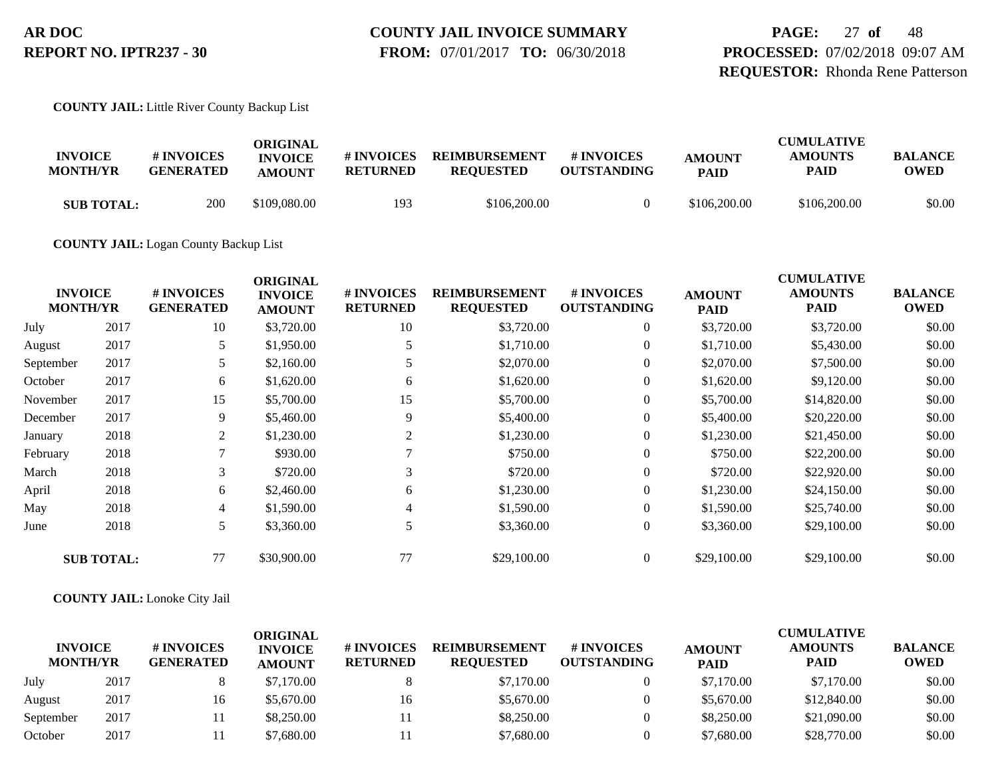**PAGE:** 27 **of** 48 **PROCESSED:** 07/02/2018 09:07 AM **REQUESTOR:** Rhonda Rene Patterson

**COUNTY JAIL:** Little River County Backup List

| <b>INVOICE</b><br><b>MONTH/YR</b> | # INVOICES<br><b>GENERATED</b> | ORIGINAL<br><b>INVOICE</b><br><b>AMOUNT</b> | # INVOICES<br><b>RETURNED</b> | <b>REIMBURSEMENT</b><br><b>REOUESTED</b> | # INVOICES<br><b>OUTSTANDING</b> | <b>AMOUNT</b><br><b>PAID</b> | <b>CUMULATIVE</b><br><b>AMOUNTS</b><br>PAID | <b>BALANCE</b><br>OWED |
|-----------------------------------|--------------------------------|---------------------------------------------|-------------------------------|------------------------------------------|----------------------------------|------------------------------|---------------------------------------------|------------------------|
| <b>SUB TOTAL:</b>                 | 200                            | \$109,080.00                                | 193                           | \$106,200.00                             |                                  | \$106,200.00                 | \$106,200.00                                | \$0.00                 |

**COUNTY JAIL:** Logan County Backup List

|           | <b>INVOICE</b><br><b>MONTH/YR</b> | # INVOICES<br><b>GENERATED</b> | <b>ORIGINAL</b><br><b>INVOICE</b><br><b>AMOUNT</b> | # INVOICES<br><b>RETURNED</b> | <b>REIMBURSEMENT</b><br><b>REQUESTED</b> | # INVOICES<br><b>OUTSTANDING</b> | <b>AMOUNT</b><br><b>PAID</b> | <b>CUMULATIVE</b><br><b>AMOUNTS</b><br>PAID | <b>BALANCE</b><br><b>OWED</b> |
|-----------|-----------------------------------|--------------------------------|----------------------------------------------------|-------------------------------|------------------------------------------|----------------------------------|------------------------------|---------------------------------------------|-------------------------------|
| July      | 2017                              | 10                             | \$3,720.00                                         | 10                            | \$3,720.00                               | $\overline{0}$                   | \$3,720.00                   | \$3,720.00                                  | \$0.00                        |
| August    | 2017                              | 5                              | \$1,950.00                                         |                               | \$1,710.00                               | 0                                | \$1,710.00                   | \$5,430.00                                  | \$0.00                        |
| September | 2017                              | 5                              | \$2,160.00                                         |                               | \$2,070.00                               | $\overline{0}$                   | \$2,070.00                   | \$7,500.00                                  | \$0.00                        |
| October   | 2017                              | 6                              | \$1,620.00                                         | 6                             | \$1,620.00                               | $\overline{0}$                   | \$1,620.00                   | \$9,120.00                                  | \$0.00                        |
| November  | 2017                              | 15                             | \$5,700.00                                         | 15                            | \$5,700.00                               | $\overline{0}$                   | \$5,700.00                   | \$14,820.00                                 | \$0.00                        |
| December  | 2017                              | 9                              | \$5,460.00                                         | 9                             | \$5,400.00                               | $\overline{0}$                   | \$5,400.00                   | \$20,220.00                                 | \$0.00                        |
| January   | 2018                              | $\overline{2}$                 | \$1,230.00                                         | 2                             | \$1,230.00                               | $\overline{0}$                   | \$1,230.00                   | \$21,450.00                                 | \$0.00                        |
| February  | 2018                              |                                | \$930.00                                           |                               | \$750.00                                 | $\overline{0}$                   | \$750.00                     | \$22,200.00                                 | \$0.00                        |
| March     | 2018                              | 3                              | \$720.00                                           | 3                             | \$720.00                                 | $\overline{0}$                   | \$720.00                     | \$22,920.00                                 | \$0.00                        |
| April     | 2018                              | 6                              | \$2,460.00                                         | 6                             | \$1,230.00                               | $\overline{0}$                   | \$1,230.00                   | \$24,150.00                                 | \$0.00                        |
| May       | 2018                              | 4                              | \$1,590.00                                         | 4                             | \$1,590.00                               | $\overline{0}$                   | \$1,590.00                   | \$25,740.00                                 | \$0.00                        |
| June      | 2018                              | 5                              | \$3,360.00                                         | 5                             | \$3,360.00                               | $\overline{0}$                   | \$3,360.00                   | \$29,100.00                                 | \$0.00                        |
|           | <b>SUB TOTAL:</b>                 | 77                             | \$30,900.00                                        | 77                            | \$29,100.00                              | $\overline{0}$                   | \$29,100.00                  | \$29,100.00                                 | \$0.00                        |

**COUNTY JAIL:** Lonoke City Jail

| <b>INVOICE</b><br><b>MONTH/YR</b> |      | # INVOICES<br><b>GENERATED</b> | ORIGINAL<br><b>INVOICE</b><br><b>AMOUNT</b> | <b># INVOICES</b><br><b>RETURNED</b> | <b>REIMBURSEMENT</b><br><b>REOUESTED</b> | # INVOICES<br><b>OUTSTANDING</b> | <b>AMOUNT</b><br><b>PAID</b> | <b>CUMULATIVE</b><br><b>AMOUNTS</b><br><b>PAID</b> | <b>BALANCE</b><br><b>OWED</b> |
|-----------------------------------|------|--------------------------------|---------------------------------------------|--------------------------------------|------------------------------------------|----------------------------------|------------------------------|----------------------------------------------------|-------------------------------|
| July                              | 2017 |                                | \$7,170.00                                  |                                      | \$7,170.00                               |                                  | \$7,170.00                   | \$7,170.00                                         | \$0.00                        |
| August                            | 2017 | 16                             | \$5,670.00                                  | 16                                   | \$5,670.00                               |                                  | \$5,670.00                   | \$12,840.00                                        | \$0.00                        |
| September                         | 2017 |                                | \$8,250,00                                  |                                      | \$8,250.00                               |                                  | \$8,250.00                   | \$21,090.00                                        | \$0.00                        |
| October                           | 2017 |                                | \$7,680.00                                  |                                      | \$7,680.00                               |                                  | \$7,680.00                   | \$28,770.00                                        | \$0.00                        |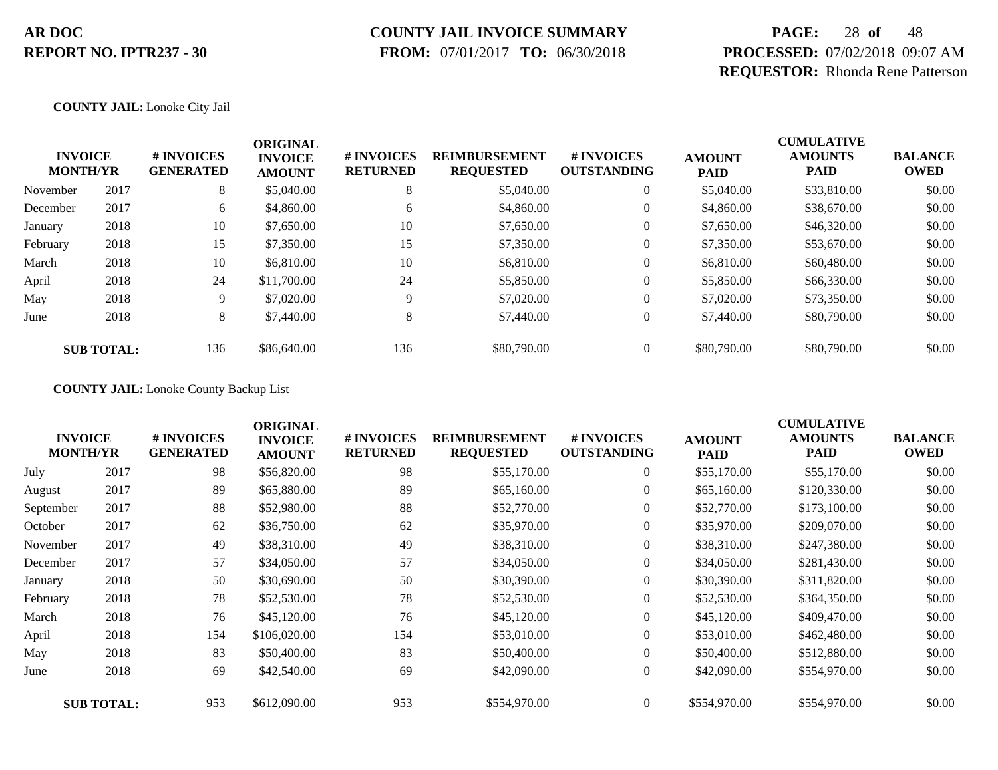# **COUNTY JAIL INVOICE SUMMARY**

 **FROM:** 07/01/2017 **TO:** 06/30/2018

# **PAGE:** 28 **of** 48 **PROCESSED:** 07/02/2018 09:07 AM **REQUESTOR:** Rhonda Rene Patterson

#### **COUNTY JAIL:** Lonoke City Jail

| <b>INVOICE</b><br><b>MONTH/YR</b> |                   | # INVOICES<br><b>GENERATED</b> | <b>ORIGINAL</b><br><b>INVOICE</b><br><b>AMOUNT</b> | # INVOICES<br><b>RETURNED</b> | <b>REIMBURSEMENT</b><br><b>REQUESTED</b> | # INVOICES<br><b>OUTSTANDING</b> | <b>AMOUNT</b><br><b>PAID</b> | <b>CUMULATIVE</b><br><b>AMOUNTS</b><br><b>PAID</b> | <b>BALANCE</b><br><b>OWED</b> |
|-----------------------------------|-------------------|--------------------------------|----------------------------------------------------|-------------------------------|------------------------------------------|----------------------------------|------------------------------|----------------------------------------------------|-------------------------------|
| November                          | 2017              | 8                              | \$5,040.00                                         | 8                             | \$5,040.00                               | $\theta$                         | \$5,040.00                   | \$33,810.00                                        | \$0.00                        |
| December                          | 2017              | 6                              | \$4,860.00                                         | 6                             | \$4,860.00                               | $\theta$                         | \$4,860.00                   | \$38,670.00                                        | \$0.00                        |
| January                           | 2018              | 10                             | \$7,650.00                                         | 10                            | \$7,650.00                               | 0                                | \$7,650.00                   | \$46,320.00                                        | \$0.00                        |
| February                          | 2018              | 15                             | \$7,350.00                                         | 15                            | \$7,350.00                               | 0                                | \$7,350.00                   | \$53,670.00                                        | \$0.00                        |
| March                             | 2018              | 10                             | \$6,810.00                                         | 10                            | \$6,810.00                               | 0                                | \$6,810.00                   | \$60,480.00                                        | \$0.00                        |
| April                             | 2018              | 24                             | \$11,700.00                                        | 24                            | \$5,850.00                               | 0                                | \$5,850.00                   | \$66,330.00                                        | \$0.00                        |
| May                               | 2018              | 9                              | \$7,020.00                                         | Q                             | \$7,020.00                               | 0                                | \$7,020.00                   | \$73,350.00                                        | \$0.00                        |
| June                              | 2018              | 8                              | \$7,440.00                                         | 8                             | \$7,440.00                               | $\boldsymbol{0}$                 | \$7,440.00                   | \$80,790.00                                        | \$0.00                        |
|                                   | <b>SUB TOTAL:</b> | 136                            | \$86,640.00                                        | 136                           | \$80,790.00                              |                                  | \$80,790.00                  | \$80,790.00                                        | \$0.00                        |

**COUNTY JAIL:** Lonoke County Backup List

| <b>INVOICE</b><br><b>MONTH/YR</b> |                   | # INVOICES<br><b>GENERATED</b> | <b>ORIGINAL</b><br><b>INVOICE</b><br><b>AMOUNT</b> | # INVOICES<br><b>RETURNED</b> | <b>REIMBURSEMENT</b><br><b>REQUESTED</b> | # INVOICES<br><b>OUTSTANDING</b> | <b>AMOUNT</b><br><b>PAID</b> | <b>CUMULATIVE</b><br><b>AMOUNTS</b><br><b>PAID</b> | <b>BALANCE</b><br><b>OWED</b> |
|-----------------------------------|-------------------|--------------------------------|----------------------------------------------------|-------------------------------|------------------------------------------|----------------------------------|------------------------------|----------------------------------------------------|-------------------------------|
| July                              | 2017              | 98                             | \$56,820.00                                        | 98                            | \$55,170.00                              | $\overline{0}$                   | \$55,170.00                  | \$55,170.00                                        | \$0.00                        |
| August                            | 2017              | 89                             | \$65,880.00                                        | 89                            | \$65,160.00                              | $\overline{0}$                   | \$65,160.00                  | \$120,330.00                                       | \$0.00                        |
| September                         | 2017              | 88                             | \$52,980.00                                        | 88                            | \$52,770.00                              | $\overline{0}$                   | \$52,770.00                  | \$173,100.00                                       | \$0.00                        |
| October                           | 2017              | 62                             | \$36,750.00                                        | 62                            | \$35,970.00                              | $\overline{0}$                   | \$35,970.00                  | \$209,070.00                                       | \$0.00                        |
| November                          | 2017              | 49                             | \$38,310.00                                        | 49                            | \$38,310.00                              | $\overline{0}$                   | \$38,310.00                  | \$247,380.00                                       | \$0.00                        |
| December                          | 2017              | 57                             | \$34,050.00                                        | 57                            | \$34,050.00                              | $\overline{0}$                   | \$34,050.00                  | \$281,430.00                                       | \$0.00                        |
| January                           | 2018              | 50                             | \$30,690.00                                        | 50                            | \$30,390.00                              | $\boldsymbol{0}$                 | \$30,390.00                  | \$311,820.00                                       | \$0.00                        |
| February                          | 2018              | 78                             | \$52,530.00                                        | 78                            | \$52,530.00                              | $\overline{0}$                   | \$52,530.00                  | \$364,350.00                                       | \$0.00                        |
| March                             | 2018              | 76                             | \$45,120.00                                        | 76                            | \$45,120.00                              | $\overline{0}$                   | \$45,120.00                  | \$409,470.00                                       | \$0.00                        |
| April                             | 2018              | 154                            | \$106,020.00                                       | 154                           | \$53,010.00                              | $\boldsymbol{0}$                 | \$53,010.00                  | \$462,480.00                                       | \$0.00                        |
| May                               | 2018              | 83                             | \$50,400.00                                        | 83                            | \$50,400.00                              | $\boldsymbol{0}$                 | \$50,400.00                  | \$512,880.00                                       | \$0.00                        |
| June                              | 2018              | 69                             | \$42,540.00                                        | 69                            | \$42,090.00                              | $\overline{0}$                   | \$42,090.00                  | \$554,970.00                                       | \$0.00                        |
|                                   | <b>SUB TOTAL:</b> | 953                            | \$612,090.00                                       | 953                           | \$554,970.00                             | $\overline{0}$                   | \$554,970.00                 | \$554,970.00                                       | \$0.00                        |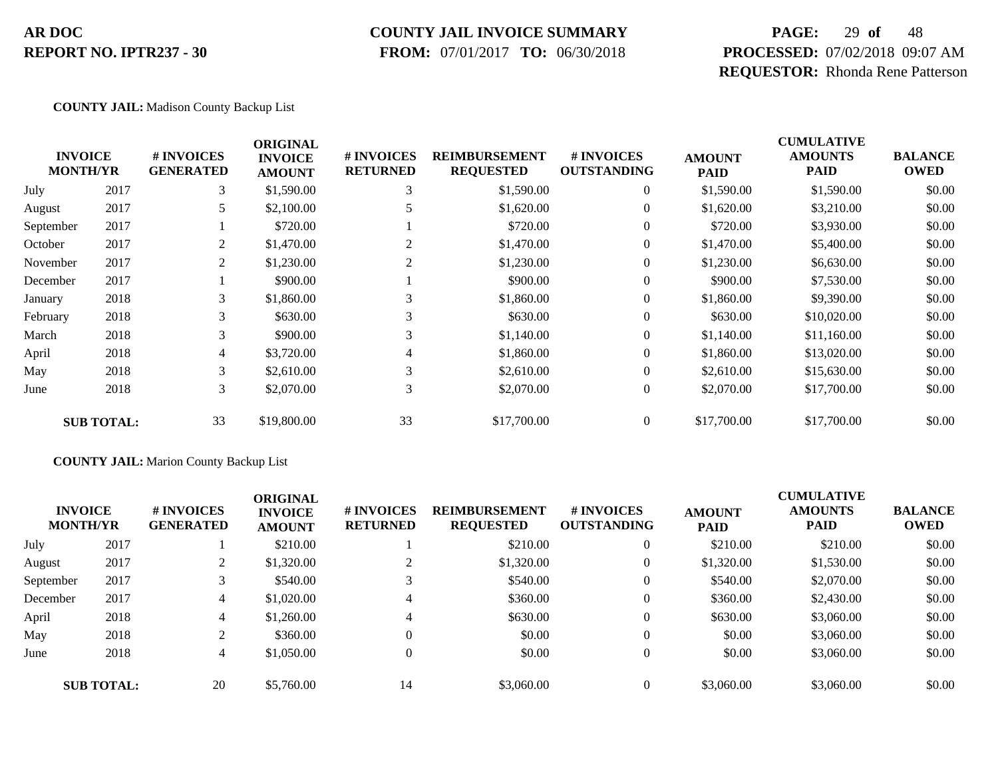#### **COUNTY JAIL INVOICE SUMMARY**

 **FROM:** 07/01/2017 **TO:** 06/30/2018

# **PAGE:** 29 **of** 48 **PROCESSED:** 07/02/2018 09:07 AM **REQUESTOR:** Rhonda Rene Patterson

#### **COUNTY JAIL:** Madison County Backup List

| <b>INVOICE</b><br><b>MONTH/YR</b> |                   | # INVOICES<br><b>GENERATED</b> | <b>ORIGINAL</b><br><b>INVOICE</b><br><b>AMOUNT</b> | # INVOICES<br><b>RETURNED</b> | <b>REIMBURSEMENT</b><br><b>REQUESTED</b> | <b>#INVOICES</b><br><b>OUTSTANDING</b> | <b>AMOUNT</b><br><b>PAID</b> | <b>CUMULATIVE</b><br><b>AMOUNTS</b><br>PAID | <b>BALANCE</b><br><b>OWED</b> |
|-----------------------------------|-------------------|--------------------------------|----------------------------------------------------|-------------------------------|------------------------------------------|----------------------------------------|------------------------------|---------------------------------------------|-------------------------------|
| July                              | 2017              | 3                              | \$1,590.00                                         | 3                             | \$1,590.00                               | $\overline{0}$                         | \$1,590.00                   | \$1,590.00                                  | \$0.00                        |
| August                            | 2017              | 5                              | \$2,100.00                                         |                               | \$1,620.00                               | $\overline{0}$                         | \$1,620.00                   | \$3,210.00                                  | \$0.00                        |
| September                         | 2017              |                                | \$720.00                                           |                               | \$720.00                                 | $\theta$                               | \$720.00                     | \$3,930.00                                  | \$0.00                        |
| October                           | 2017              | 2                              | \$1,470.00                                         | 2                             | \$1,470.00                               | $\overline{0}$                         | \$1,470.00                   | \$5,400.00                                  | \$0.00                        |
| November                          | 2017              | $\overline{2}$                 | \$1,230.00                                         | 2                             | \$1,230.00                               | $\overline{0}$                         | \$1,230.00                   | \$6,630.00                                  | \$0.00                        |
| December                          | 2017              |                                | \$900.00                                           |                               | \$900.00                                 | $\mathbf{0}$                           | \$900.00                     | \$7,530.00                                  | \$0.00                        |
| January                           | 2018              | 3                              | \$1,860.00                                         | 3                             | \$1,860.00                               | $\theta$                               | \$1,860.00                   | \$9,390.00                                  | \$0.00                        |
| February                          | 2018              | 3                              | \$630.00                                           | 3                             | \$630.00                                 | $\overline{0}$                         | \$630.00                     | \$10,020.00                                 | \$0.00                        |
| March                             | 2018              | 3                              | \$900.00                                           | 3                             | \$1,140.00                               | $\overline{0}$                         | \$1,140.00                   | \$11,160.00                                 | \$0.00                        |
| April                             | 2018              | $\overline{4}$                 | \$3,720.00                                         | 4                             | \$1,860.00                               | $\Omega$                               | \$1,860.00                   | \$13,020.00                                 | \$0.00                        |
| May                               | 2018              | 3                              | \$2,610.00                                         | 3                             | \$2,610.00                               | $\overline{0}$                         | \$2,610.00                   | \$15,630.00                                 | \$0.00                        |
| June                              | 2018              | 3                              | \$2,070.00                                         | 3                             | \$2,070.00                               | $\boldsymbol{0}$                       | \$2,070.00                   | \$17,700.00                                 | \$0.00                        |
|                                   | <b>SUB TOTAL:</b> | 33                             | \$19,800.00                                        | 33                            | \$17,700.00                              | $\overline{0}$                         | \$17,700.00                  | \$17,700.00                                 | \$0.00                        |

#### **COUNTY JAIL:** Marion County Backup List

| <b>INVOICE</b><br><b>MONTH/YR</b> |                   | # INVOICES<br><b>GENERATED</b> | <b>ORIGINAL</b><br><b>INVOICE</b><br><b>AMOUNT</b> | # INVOICES<br><b>RETURNED</b> | <b>REIMBURSEMENT</b><br><b>REQUESTED</b> | <b>#INVOICES</b><br><b>OUTSTANDING</b> | <b>AMOUNT</b><br><b>PAID</b> | <b>CUMULATIVE</b><br><b>AMOUNTS</b><br><b>PAID</b> | <b>BALANCE</b><br><b>OWED</b> |
|-----------------------------------|-------------------|--------------------------------|----------------------------------------------------|-------------------------------|------------------------------------------|----------------------------------------|------------------------------|----------------------------------------------------|-------------------------------|
| July                              | 2017              |                                | \$210.00                                           |                               | \$210.00                                 | $\theta$                               | \$210.00                     | \$210.00                                           | \$0.00                        |
| August                            | 2017              |                                | \$1,320.00                                         |                               | \$1,320.00                               | $\theta$                               | \$1,320.00                   | \$1,530.00                                         | \$0.00                        |
| September                         | 2017              | $\mathbf{r}$                   | \$540.00                                           |                               | \$540.00                                 | $\theta$                               | \$540.00                     | \$2,070.00                                         | \$0.00                        |
| December                          | 2017              | 4                              | \$1,020.00                                         | $\overline{4}$                | \$360.00                                 | $\theta$                               | \$360.00                     | \$2,430.00                                         | \$0.00                        |
| April                             | 2018              | 4                              | \$1,260.00                                         | $\overline{4}$                | \$630.00                                 | $\theta$                               | \$630.00                     | \$3,060.00                                         | \$0.00                        |
| May                               | 2018              |                                | \$360.00                                           | $\theta$                      | \$0.00                                   | $\theta$                               | \$0.00                       | \$3,060.00                                         | \$0.00                        |
| June                              | 2018              | 4                              | \$1,050.00                                         | $\overline{0}$                | \$0.00                                   | $\overline{0}$                         | \$0.00                       | \$3,060.00                                         | \$0.00                        |
|                                   | <b>SUB TOTAL:</b> | 20                             | \$5,760.00                                         | 14                            | \$3,060.00                               | $\theta$                               | \$3,060.00                   | \$3,060.00                                         | \$0.00                        |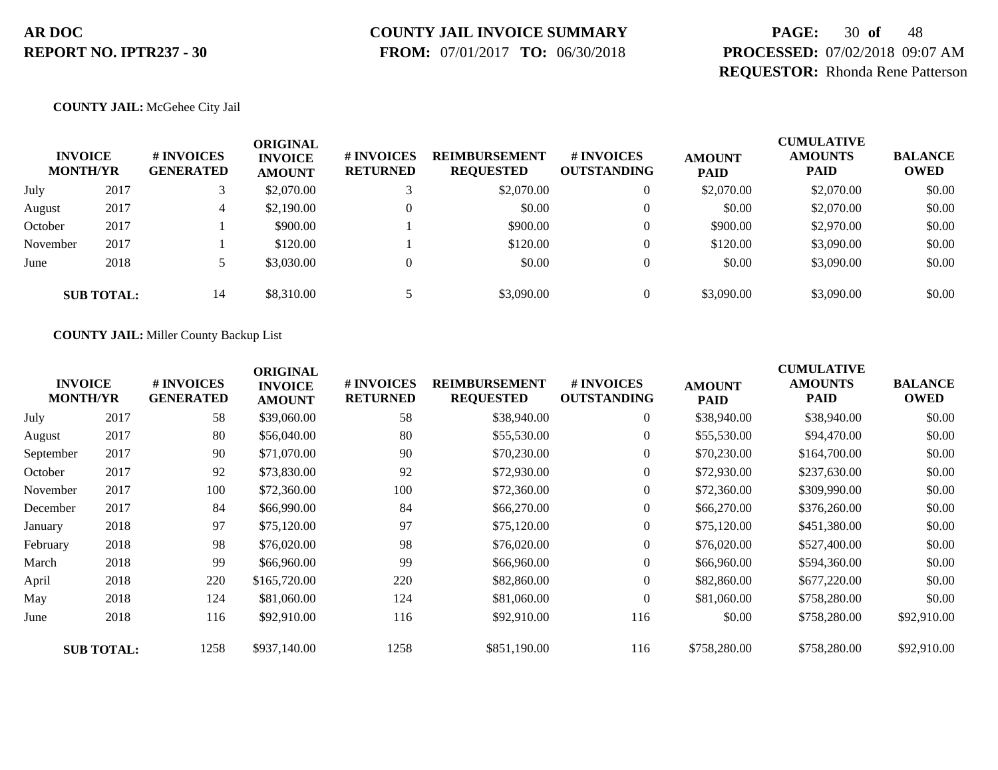# **COUNTY JAIL INVOICE SUMMARY**

 **FROM:** 07/01/2017 **TO:** 06/30/2018

# **PAGE:** 30 **of** 48 **PROCESSED:** 07/02/2018 09:07 AM **REQUESTOR:** Rhonda Rene Patterson

#### **COUNTY JAIL:** McGehee City Jail

| <b>INVOICE</b><br><b>MONTH/YR</b> |                   | # INVOICES<br><b>GENERATED</b> | ORIGINAL<br><b>INVOICE</b><br><b>AMOUNT</b> | # INVOICES<br><b>RETURNED</b> | <b>REIMBURSEMENT</b><br><b>REQUESTED</b> | <b>#INVOICES</b><br><b>OUTSTANDING</b> | <b>AMOUNT</b><br><b>PAID</b> | <b>CUMULATIVE</b><br><b>AMOUNTS</b><br><b>PAID</b> | <b>BALANCE</b><br><b>OWED</b> |
|-----------------------------------|-------------------|--------------------------------|---------------------------------------------|-------------------------------|------------------------------------------|----------------------------------------|------------------------------|----------------------------------------------------|-------------------------------|
| July                              | 2017              |                                | \$2,070.00                                  |                               | \$2,070.00                               | 0                                      | \$2,070.00                   | \$2,070.00                                         | \$0.00                        |
| August                            | 2017              | 4                              | \$2,190.00                                  |                               | \$0.00                                   |                                        | \$0.00                       | \$2,070.00                                         | \$0.00                        |
| October                           | 2017              |                                | \$900.00                                    |                               | \$900.00                                 |                                        | \$900.00                     | \$2,970.00                                         | \$0.00                        |
| November                          | 2017              |                                | \$120.00                                    |                               | \$120.00                                 |                                        | \$120.00                     | \$3,090.00                                         | \$0.00                        |
| June                              | 2018              |                                | \$3,030.00                                  |                               | \$0.00                                   |                                        | \$0.00                       | \$3,090.00                                         | \$0.00                        |
|                                   | <b>SUB TOTAL:</b> | 14                             | \$8,310.00                                  |                               | \$3,090.00                               |                                        | \$3,090.00                   | \$3,090.00                                         | \$0.00                        |

#### **COUNTY JAIL:** Miller County Backup List

|           | <b>INVOICE</b><br><b>MONTH/YR</b> | # INVOICES<br><b>GENERATED</b> | <b>ORIGINAL</b><br><b>INVOICE</b><br><b>AMOUNT</b> | # INVOICES<br><b>RETURNED</b> | <b>REIMBURSEMENT</b><br><b>REQUESTED</b> | # INVOICES<br><b>OUTSTANDING</b> | <b>AMOUNT</b><br><b>PAID</b> | <b>CUMULATIVE</b><br><b>AMOUNTS</b><br><b>PAID</b> | <b>BALANCE</b><br><b>OWED</b> |
|-----------|-----------------------------------|--------------------------------|----------------------------------------------------|-------------------------------|------------------------------------------|----------------------------------|------------------------------|----------------------------------------------------|-------------------------------|
| July      | 2017                              | 58                             | \$39,060.00                                        | 58                            | \$38,940.00                              | $\overline{0}$                   | \$38,940.00                  | \$38,940.00                                        | \$0.00                        |
| August    | 2017                              | 80                             | \$56,040.00                                        | 80                            | \$55,530.00                              | $\overline{0}$                   | \$55,530.00                  | \$94,470.00                                        | \$0.00                        |
| September | 2017                              | 90                             | \$71,070.00                                        | 90                            | \$70,230.00                              | $\overline{0}$                   | \$70,230.00                  | \$164,700.00                                       | \$0.00                        |
| October   | 2017                              | 92                             | \$73,830.00                                        | 92                            | \$72,930.00                              | $\boldsymbol{0}$                 | \$72,930.00                  | \$237,630.00                                       | \$0.00                        |
| November  | 2017                              | 100                            | \$72,360.00                                        | 100                           | \$72,360.00                              | $\boldsymbol{0}$                 | \$72,360.00                  | \$309,990.00                                       | \$0.00                        |
| December  | 2017                              | 84                             | \$66,990.00                                        | 84                            | \$66,270.00                              | $\overline{0}$                   | \$66,270.00                  | \$376,260.00                                       | \$0.00                        |
| January   | 2018                              | 97                             | \$75,120.00                                        | 97                            | \$75,120.00                              | $\boldsymbol{0}$                 | \$75,120.00                  | \$451,380.00                                       | \$0.00                        |
| February  | 2018                              | 98                             | \$76,020.00                                        | 98                            | \$76,020.00                              | $\boldsymbol{0}$                 | \$76,020.00                  | \$527,400.00                                       | \$0.00                        |
| March     | 2018                              | 99                             | \$66,960.00                                        | 99                            | \$66,960.00                              | $\overline{0}$                   | \$66,960.00                  | \$594,360.00                                       | \$0.00                        |
| April     | 2018                              | 220                            | \$165,720.00                                       | 220                           | \$82,860.00                              | $\overline{0}$                   | \$82,860.00                  | \$677,220.00                                       | \$0.00                        |
| May       | 2018                              | 124                            | \$81,060.00                                        | 124                           | \$81,060.00                              | $\mathbf{0}$                     | \$81,060.00                  | \$758,280.00                                       | \$0.00                        |
| June      | 2018                              | 116                            | \$92,910.00                                        | 116                           | \$92,910.00                              | 116                              | \$0.00                       | \$758,280.00                                       | \$92,910.00                   |
|           | <b>SUB TOTAL:</b>                 | 1258                           | \$937,140.00                                       | 1258                          | \$851,190.00                             | 116                              | \$758,280.00                 | \$758,280.00                                       | \$92,910.00                   |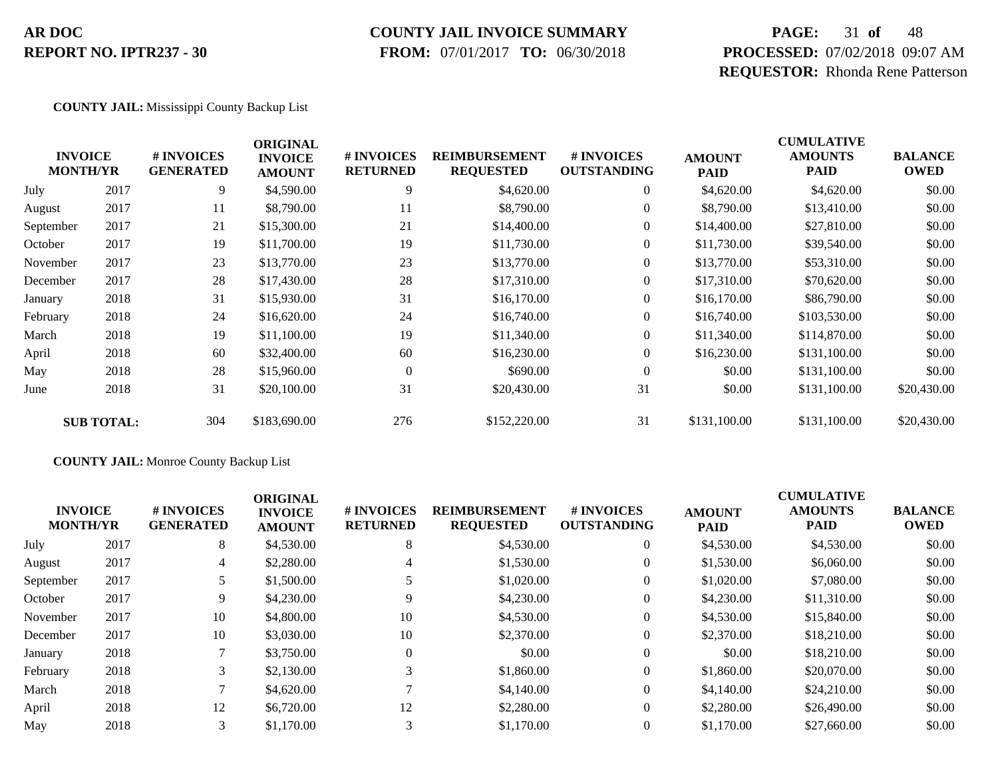#### **COUNTY JAIL INVOICE SUMMARY**

 **FROM:** 07/01/2017 **TO:** 06/30/2018

# **PAGE:** 31 **of** 48 **PROCESSED:** 07/02/2018 09:07 AM **REQUESTOR:** Rhonda Rene Patterson

#### **COUNTY JAIL:** Mississippi County Backup List

| <b>INVOICE</b><br><b>MONTH/YR</b> |                   | # INVOICES<br><b>GENERATED</b> | <b>ORIGINAL</b><br><b>INVOICE</b><br><b>AMOUNT</b> | # INVOICES<br><b>RETURNED</b> | <b>REIMBURSEMENT</b><br><b>REQUESTED</b> | # INVOICES<br><b>OUTSTANDING</b> | <b>AMOUNT</b><br><b>PAID</b> | <b>CUMULATIVE</b><br><b>AMOUNTS</b><br><b>PAID</b> | <b>BALANCE</b><br><b>OWED</b> |
|-----------------------------------|-------------------|--------------------------------|----------------------------------------------------|-------------------------------|------------------------------------------|----------------------------------|------------------------------|----------------------------------------------------|-------------------------------|
| July                              | 2017              | 9                              | \$4,590.00                                         | 9                             | \$4,620.00                               | $\overline{0}$                   | \$4,620.00                   | \$4,620.00                                         | \$0.00                        |
| August                            | 2017              | 11                             | \$8,790.00                                         | 11                            | \$8,790.00                               | $\overline{0}$                   | \$8,790.00                   | \$13,410.00                                        | \$0.00                        |
| September                         | 2017              | 21                             | \$15,300.00                                        | 21                            | \$14,400.00                              | $\overline{0}$                   | \$14,400.00                  | \$27,810.00                                        | \$0.00                        |
| October                           | 2017              | 19                             | \$11,700.00                                        | 19                            | \$11,730.00                              | $\overline{0}$                   | \$11,730.00                  | \$39,540.00                                        | \$0.00                        |
| November                          | 2017              | 23                             | \$13,770.00                                        | 23                            | \$13,770.00                              | $\boldsymbol{0}$                 | \$13,770.00                  | \$53,310.00                                        | \$0.00                        |
| December                          | 2017              | 28                             | \$17,430.00                                        | 28                            | \$17,310.00                              | $\boldsymbol{0}$                 | \$17,310.00                  | \$70,620.00                                        | \$0.00                        |
| January                           | 2018              | 31                             | \$15,930.00                                        | 31                            | \$16,170.00                              | $\overline{0}$                   | \$16,170.00                  | \$86,790.00                                        | \$0.00                        |
| February                          | 2018              | 24                             | \$16,620.00                                        | 24                            | \$16,740.00                              | $\overline{0}$                   | \$16,740.00                  | \$103,530.00                                       | \$0.00                        |
| March                             | 2018              | 19                             | \$11,100.00                                        | 19                            | \$11,340.00                              | $\overline{0}$                   | \$11,340.00                  | \$114,870.00                                       | \$0.00                        |
| April                             | 2018              | 60                             | \$32,400.00                                        | 60                            | \$16,230.00                              | $\overline{0}$                   | \$16,230.00                  | \$131,100.00                                       | \$0.00                        |
| May                               | 2018              | 28                             | \$15,960.00                                        | $\overline{0}$                | \$690.00                                 | $\overline{0}$                   | \$0.00                       | \$131,100.00                                       | \$0.00                        |
| June                              | 2018              | 31                             | \$20,100.00                                        | 31                            | \$20,430.00                              | 31                               | \$0.00                       | \$131,100.00                                       | \$20,430.00                   |
|                                   | <b>SUB TOTAL:</b> | 304                            | \$183,690.00                                       | 276                           | \$152,220.00                             | 31                               | \$131,100.00                 | \$131,100.00                                       | \$20,430.00                   |

#### **COUNTY JAIL:** Monroe County Backup List

|           | <b>INVOICE</b><br><b>MONTH/YR</b> | <b>#INVOICES</b><br><b>GENERATED</b> | <b>ORIGINAL</b><br><b>INVOICE</b><br><b>AMOUNT</b> | # INVOICES<br><b>RETURNED</b> | <b>REIMBURSEMENT</b><br><b>REQUESTED</b> | # INVOICES<br><b>OUTSTANDING</b> | <b>AMOUNT</b><br><b>PAID</b> | <b>CUMULATIVE</b><br><b>AMOUNTS</b><br><b>PAID</b> | <b>BALANCE</b><br><b>OWED</b> |
|-----------|-----------------------------------|--------------------------------------|----------------------------------------------------|-------------------------------|------------------------------------------|----------------------------------|------------------------------|----------------------------------------------------|-------------------------------|
| July      | 2017                              | 8                                    | \$4,530.00                                         | 8                             | \$4,530.00                               | $\theta$                         | \$4,530.00                   | \$4,530.00                                         | \$0.00                        |
| August    | 2017                              | 4                                    | \$2,280.00                                         | 4                             | \$1,530.00                               | $\theta$                         | \$1,530.00                   | \$6,060.00                                         | \$0.00                        |
| September | 2017                              |                                      | \$1,500.00                                         |                               | \$1,020.00                               |                                  | \$1,020.00                   | \$7,080.00                                         | \$0.00                        |
| October   | 2017                              | 9                                    | \$4,230.00                                         |                               | \$4,230.00                               | $\theta$                         | \$4,230.00                   | \$11,310.00                                        | \$0.00                        |
| November  | 2017                              | 10                                   | \$4,800.00                                         | 10                            | \$4,530.00                               | $\theta$                         | \$4,530.00                   | \$15,840.00                                        | \$0.00                        |
| December  | 2017                              | 10                                   | \$3,030.00                                         | 10                            | \$2,370.00                               | $\theta$                         | \$2,370.00                   | \$18,210.00                                        | \$0.00                        |
| January   | 2018                              |                                      | \$3,750.00                                         |                               | \$0.00                                   | $\theta$                         | \$0.00                       | \$18,210.00                                        | \$0.00                        |
| February  | 2018                              | 3                                    | \$2,130.00                                         | $\sim$                        | \$1,860.00                               | $\mathbf{0}$                     | \$1,860.00                   | \$20,070.00                                        | \$0.00                        |
| March     | 2018                              |                                      | \$4,620.00                                         |                               | \$4,140.00                               | $\theta$                         | \$4,140.00                   | \$24,210.00                                        | \$0.00                        |
| April     | 2018                              | 12                                   | \$6,720.00                                         | 12                            | \$2,280.00                               | $\Omega$                         | \$2,280.00                   | \$26,490.00                                        | \$0.00                        |
| May       | 2018                              | 3                                    | \$1,170.00                                         |                               | \$1,170.00                               |                                  | \$1,170.00                   | \$27,660.00                                        | \$0.00                        |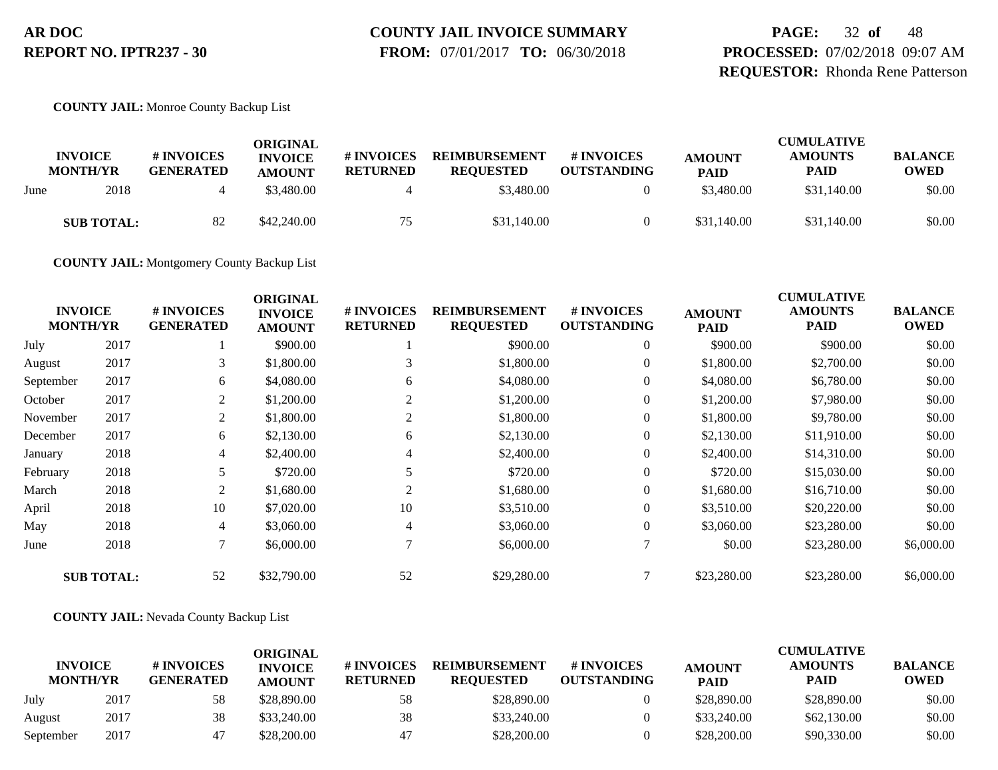# **COUNTY JAIL INVOICE SUMMARY**

 **FROM:** 07/01/2017 **TO:** 06/30/2018

**PAGE:** 32 **of** 48 **PROCESSED:** 07/02/2018 09:07 AM **REQUESTOR:** Rhonda Rene Patterson

**COUNTY JAIL:** Monroe County Backup List

|      | <b>INVOICE</b><br><b>MONTH/YR</b> | # INVOICES<br><b>GENERATED</b> | ORIGINAL<br><b>INVOICE</b><br><b>AMOUNT</b> | # INVOICES<br><b>RETURNED</b> | <b>REIMBURSEMENT</b><br><b>REQUESTED</b> | # INVOICES<br><b>OUTSTANDING</b> | <b>AMOUNT</b><br><b>PAID</b> | <b>CUMULATIVE</b><br><b>AMOUNTS</b><br><b>PAID</b> | <b>BALANCE</b><br><b>OWED</b> |
|------|-----------------------------------|--------------------------------|---------------------------------------------|-------------------------------|------------------------------------------|----------------------------------|------------------------------|----------------------------------------------------|-------------------------------|
| June | 2018                              |                                | \$3,480.00                                  |                               | \$3,480.00                               |                                  | \$3,480.00                   | \$31,140.00                                        | \$0.00                        |
|      | <b>SUB TOTAL:</b>                 | 82                             | \$42,240.00                                 | 75                            | \$31,140.00                              |                                  | \$31,140.00                  | \$31,140.00                                        | \$0.00                        |

**COUNTY JAIL:** Montgomery County Backup List

| <b>INVOICE</b><br><b>MONTH/YR</b> |                   | # INVOICES<br><b>GENERATED</b> | <b>ORIGINAL</b><br><b>INVOICE</b><br><b>AMOUNT</b> | # INVOICES<br><b>RETURNED</b> | <b>REIMBURSEMENT</b><br><b>REQUESTED</b> | # INVOICES<br><b>OUTSTANDING</b> | <b>AMOUNT</b><br><b>PAID</b> | <b>CUMULATIVE</b><br><b>AMOUNTS</b><br><b>PAID</b> | <b>BALANCE</b><br><b>OWED</b> |
|-----------------------------------|-------------------|--------------------------------|----------------------------------------------------|-------------------------------|------------------------------------------|----------------------------------|------------------------------|----------------------------------------------------|-------------------------------|
| July                              | 2017              |                                | \$900.00                                           |                               | \$900.00                                 | $\overline{0}$                   | \$900.00                     | \$900.00                                           | \$0.00                        |
| August                            | 2017              | 3                              | \$1,800.00                                         | 3                             | \$1,800.00                               | 0                                | \$1,800.00                   | \$2,700.00                                         | \$0.00                        |
| September                         | 2017              | 6                              | \$4,080.00                                         | 6                             | \$4,080.00                               | $\overline{0}$                   | \$4,080.00                   | \$6,780.00                                         | \$0.00                        |
| October                           | 2017              | 2                              | \$1,200.00                                         | 2                             | \$1,200.00                               | $\theta$                         | \$1,200.00                   | \$7,980.00                                         | \$0.00                        |
| November                          | 2017              | $\overline{2}$                 | \$1,800.00                                         | 2                             | \$1,800.00                               | $\theta$                         | \$1,800.00                   | \$9,780.00                                         | \$0.00                        |
| December                          | 2017              | 6                              | \$2,130.00                                         | 6                             | \$2,130.00                               | $\overline{0}$                   | \$2,130.00                   | \$11,910.00                                        | \$0.00                        |
| January                           | 2018              | 4                              | \$2,400.00                                         | 4                             | \$2,400.00                               | 0                                | \$2,400.00                   | \$14,310.00                                        | \$0.00                        |
| February                          | 2018              |                                | \$720.00                                           |                               | \$720.00                                 | $\overline{0}$                   | \$720.00                     | \$15,030.00                                        | \$0.00                        |
| March                             | 2018              | $\overline{2}$                 | \$1,680.00                                         | $\overline{2}$                | \$1,680.00                               | $\overline{0}$                   | \$1,680.00                   | \$16,710.00                                        | \$0.00                        |
| April                             | 2018              | 10                             | \$7,020.00                                         | 10                            | \$3,510.00                               | 0                                | \$3,510.00                   | \$20,220.00                                        | \$0.00                        |
| May                               | 2018              | 4                              | \$3,060.00                                         | 4                             | \$3,060.00                               | $\overline{0}$                   | \$3,060.00                   | \$23,280.00                                        | \$0.00                        |
| June                              | 2018              | 7                              | \$6,000.00                                         | ⇁                             | \$6,000.00                               |                                  | \$0.00                       | \$23,280.00                                        | \$6,000.00                    |
|                                   | <b>SUB TOTAL:</b> | 52                             | \$32,790.00                                        | 52                            | \$29,280.00                              |                                  | \$23,280.00                  | \$23,280.00                                        | \$6,000.00                    |

#### **COUNTY JAIL:** Nevada County Backup List

|                                   |      |                                | ORIGINAL                        |                               |                                          |                                  |                              | <b>CUMULATIVE</b>             |                               |
|-----------------------------------|------|--------------------------------|---------------------------------|-------------------------------|------------------------------------------|----------------------------------|------------------------------|-------------------------------|-------------------------------|
| <b>INVOICE</b><br><b>MONTH/YR</b> |      | # INVOICES<br><b>GENERATED</b> | <b>INVOICE</b><br><b>AMOUNT</b> | # INVOICES<br><b>RETURNED</b> | <b>REIMBURSEMENT</b><br><b>REOUESTED</b> | # INVOICES<br><b>OUTSTANDING</b> | <b>AMOUNT</b><br><b>PAID</b> | <b>AMOUNTS</b><br><b>PAID</b> | <b>BALANCE</b><br><b>OWED</b> |
| July                              | 2017 | 58                             | \$28,890.00                     | 58                            | \$28,890.00                              |                                  | \$28,890.00                  | \$28,890.00                   | \$0.00                        |
| August                            | 2017 | 38                             | \$33,240.00                     | 38                            | \$33,240.00                              |                                  | \$33,240.00                  | \$62,130.00                   | \$0.00                        |
| September                         | 2017 | 47                             | \$28,200.00                     | 47                            | \$28,200.00                              |                                  | \$28,200.00                  | \$90,330.00                   | \$0.00                        |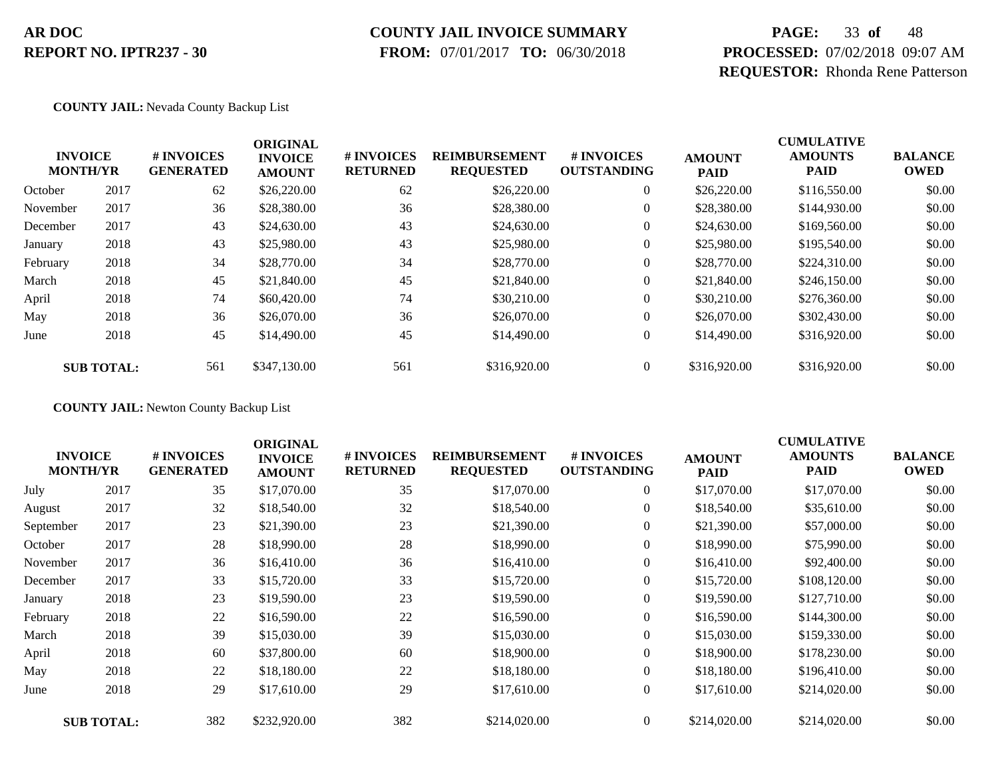### **COUNTY JAIL INVOICE SUMMARY**

 **FROM:** 07/01/2017 **TO:** 06/30/2018

# **PAGE:** 33 **of** 48 **PROCESSED:** 07/02/2018 09:07 AM **REQUESTOR:** Rhonda Rene Patterson

#### **COUNTY JAIL:** Nevada County Backup List

|          | <b>INVOICE</b><br><b>MONTH/YR</b> | # INVOICES<br><b>GENERATED</b> | <b>ORIGINAL</b><br><b>INVOICE</b><br><b>AMOUNT</b> | # INVOICES<br><b>RETURNED</b> | <b>REIMBURSEMENT</b><br><b>REQUESTED</b> | <b>#INVOICES</b><br><b>OUTSTANDING</b> | <b>AMOUNT</b><br><b>PAID</b> | <b>CUMULATIVE</b><br><b>AMOUNTS</b><br><b>PAID</b> | <b>BALANCE</b><br><b>OWED</b> |
|----------|-----------------------------------|--------------------------------|----------------------------------------------------|-------------------------------|------------------------------------------|----------------------------------------|------------------------------|----------------------------------------------------|-------------------------------|
| October  | 2017                              | 62                             | \$26,220.00                                        | 62                            | \$26,220.00                              | $\overline{0}$                         | \$26,220.00                  | \$116,550.00                                       | \$0.00                        |
| November | 2017                              | 36                             | \$28,380.00                                        | 36                            | \$28,380.00                              | 0                                      | \$28,380.00                  | \$144,930.00                                       | \$0.00                        |
| December | 2017                              | 43                             | \$24,630.00                                        | 43                            | \$24,630.00                              | $\overline{0}$                         | \$24,630.00                  | \$169,560.00                                       | \$0.00                        |
| January  | 2018                              | 43                             | \$25,980.00                                        | 43                            | \$25,980.00                              | 0                                      | \$25,980.00                  | \$195,540.00                                       | \$0.00                        |
| February | 2018                              | 34                             | \$28,770.00                                        | 34                            | \$28,770.00                              | $\boldsymbol{0}$                       | \$28,770.00                  | \$224,310.00                                       | \$0.00                        |
| March    | 2018                              | 45                             | \$21,840.00                                        | 45                            | \$21,840.00                              | $\overline{0}$                         | \$21,840.00                  | \$246,150.00                                       | \$0.00                        |
| April    | 2018                              | 74                             | \$60,420.00                                        | 74                            | \$30,210.00                              | $\overline{0}$                         | \$30,210.00                  | \$276,360.00                                       | \$0.00                        |
| May      | 2018                              | 36                             | \$26,070.00                                        | 36                            | \$26,070.00                              | $\overline{0}$                         | \$26,070.00                  | \$302,430.00                                       | \$0.00                        |
| June     | 2018                              | 45                             | \$14,490.00                                        | 45                            | \$14,490.00                              | $\boldsymbol{0}$                       | \$14,490.00                  | \$316,920.00                                       | \$0.00                        |
|          | <b>SUB TOTAL:</b>                 | 561                            | \$347,130.00                                       | 561                           | \$316,920.00                             | $\overline{0}$                         | \$316,920.00                 | \$316,920.00                                       | \$0.00                        |

**COUNTY JAIL:** Newton County Backup List

| <b>INVOICE</b><br><b>MONTH/YR</b> |                   | # INVOICES<br><b>GENERATED</b> | <b>ORIGINAL</b><br><b>INVOICE</b><br><b>AMOUNT</b> | # INVOICES<br><b>RETURNED</b> | <b>REIMBURSEMENT</b><br><b>REQUESTED</b> | <b>#INVOICES</b><br><b>OUTSTANDING</b> | <b>AMOUNT</b><br><b>PAID</b> | <b>CUMULATIVE</b><br><b>AMOUNTS</b><br><b>PAID</b> | <b>BALANCE</b><br><b>OWED</b> |
|-----------------------------------|-------------------|--------------------------------|----------------------------------------------------|-------------------------------|------------------------------------------|----------------------------------------|------------------------------|----------------------------------------------------|-------------------------------|
| July                              | 2017              | 35                             | \$17,070.00                                        | 35                            | \$17,070.00                              | $\overline{0}$                         | \$17,070.00                  | \$17,070.00                                        | \$0.00                        |
| August                            | 2017              | 32                             | \$18,540.00                                        | 32                            | \$18,540.00                              | $\overline{0}$                         | \$18,540.00                  | \$35,610.00                                        | \$0.00                        |
| September                         | 2017              | 23                             | \$21,390.00                                        | 23                            | \$21,390.00                              | $\overline{0}$                         | \$21,390.00                  | \$57,000.00                                        | \$0.00                        |
| October                           | 2017              | 28                             | \$18,990.00                                        | 28                            | \$18,990.00                              | $\boldsymbol{0}$                       | \$18,990.00                  | \$75,990.00                                        | \$0.00                        |
| November                          | 2017              | 36                             | \$16,410.00                                        | 36                            | \$16,410.00                              | $\boldsymbol{0}$                       | \$16,410.00                  | \$92,400.00                                        | \$0.00                        |
| December                          | 2017              | 33                             | \$15,720.00                                        | 33                            | \$15,720.00                              | $\overline{0}$                         | \$15,720.00                  | \$108,120.00                                       | \$0.00                        |
| January                           | 2018              | 23                             | \$19,590.00                                        | 23                            | \$19,590.00                              | $\overline{0}$                         | \$19,590.00                  | \$127,710.00                                       | \$0.00                        |
| February                          | 2018              | 22                             | \$16,590.00                                        | 22                            | \$16,590.00                              | $\overline{0}$                         | \$16,590.00                  | \$144,300.00                                       | \$0.00                        |
| March                             | 2018              | 39                             | \$15,030.00                                        | 39                            | \$15,030.00                              | $\overline{0}$                         | \$15,030.00                  | \$159,330.00                                       | \$0.00                        |
| April                             | 2018              | 60                             | \$37,800.00                                        | 60                            | \$18,900.00                              | $\overline{0}$                         | \$18,900.00                  | \$178,230.00                                       | \$0.00                        |
| May                               | 2018              | 22                             | \$18,180.00                                        | 22                            | \$18,180.00                              | $\overline{0}$                         | \$18,180.00                  | \$196,410.00                                       | \$0.00                        |
| June                              | 2018              | 29                             | \$17,610.00                                        | 29                            | \$17,610.00                              | $\overline{0}$                         | \$17,610.00                  | \$214,020.00                                       | \$0.00                        |
|                                   | <b>SUB TOTAL:</b> | 382                            | \$232,920.00                                       | 382                           | \$214,020.00                             | $\Omega$                               | \$214,020.00                 | \$214,020.00                                       | \$0.00                        |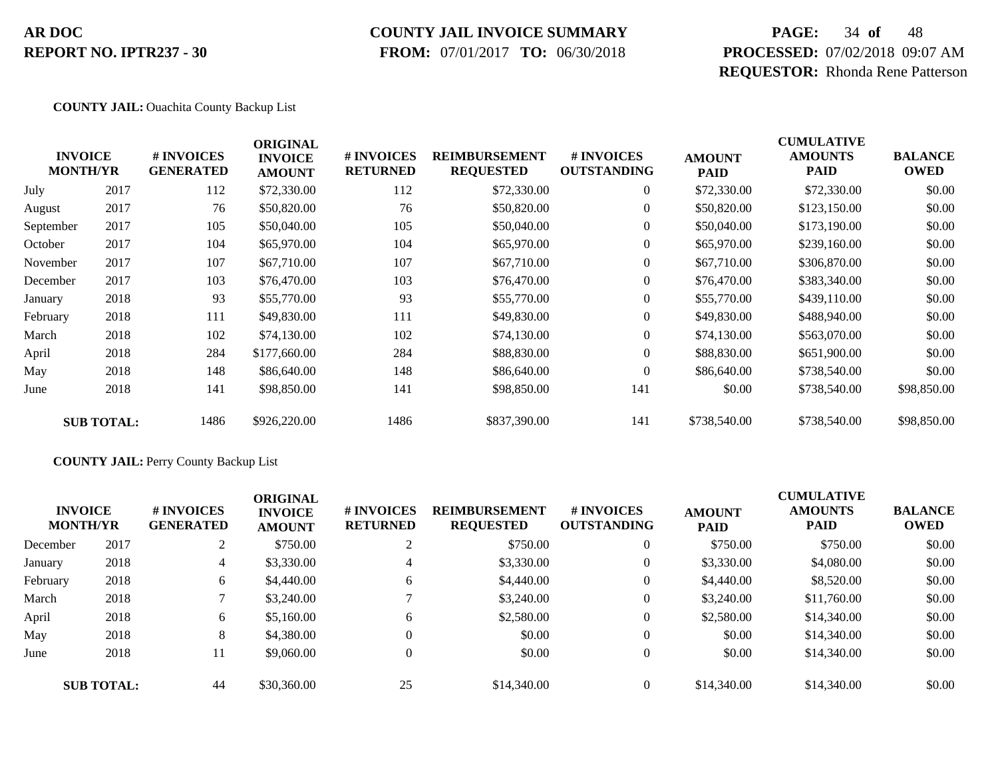### **COUNTY JAIL INVOICE SUMMARY**

 **FROM:** 07/01/2017 **TO:** 06/30/2018

# **PAGE:** 34 **of** 48 **PROCESSED:** 07/02/2018 09:07 AM **REQUESTOR:** Rhonda Rene Patterson

#### **COUNTY JAIL:** Ouachita County Backup List

|           | <b>INVOICE</b><br><b>MONTH/YR</b> | # INVOICES<br><b>GENERATED</b> | <b>ORIGINAL</b><br><b>INVOICE</b><br><b>AMOUNT</b> | # INVOICES<br><b>RETURNED</b> | <b>REIMBURSEMENT</b><br><b>REQUESTED</b> | # INVOICES<br><b>OUTSTANDING</b> | <b>AMOUNT</b><br><b>PAID</b> | <b>CUMULATIVE</b><br><b>AMOUNTS</b><br>PAID | <b>BALANCE</b><br><b>OWED</b> |
|-----------|-----------------------------------|--------------------------------|----------------------------------------------------|-------------------------------|------------------------------------------|----------------------------------|------------------------------|---------------------------------------------|-------------------------------|
| July      | 2017                              | 112                            | \$72,330.00                                        | 112                           | \$72,330.00                              | $\overline{0}$                   | \$72,330.00                  | \$72,330.00                                 | \$0.00                        |
| August    | 2017                              | 76                             | \$50,820.00                                        | 76                            | \$50,820.00                              | $\overline{0}$                   | \$50,820.00                  | \$123,150.00                                | \$0.00                        |
| September | 2017                              | 105                            | \$50,040.00                                        | 105                           | \$50,040.00                              | $\overline{0}$                   | \$50,040.00                  | \$173,190.00                                | \$0.00                        |
| October   | 2017                              | 104                            | \$65,970.00                                        | 104                           | \$65,970.00                              | $\overline{0}$                   | \$65,970.00                  | \$239,160.00                                | \$0.00                        |
| November  | 2017                              | 107                            | \$67,710.00                                        | 107                           | \$67,710.00                              | $\overline{0}$                   | \$67,710.00                  | \$306,870.00                                | \$0.00                        |
| December  | 2017                              | 103                            | \$76,470.00                                        | 103                           | \$76,470.00                              | $\overline{0}$                   | \$76,470.00                  | \$383,340.00                                | \$0.00                        |
| January   | 2018                              | 93                             | \$55,770.00                                        | 93                            | \$55,770.00                              | $\overline{0}$                   | \$55,770.00                  | \$439,110.00                                | \$0.00                        |
| February  | 2018                              | 111                            | \$49,830.00                                        | 111                           | \$49,830.00                              | $\overline{0}$                   | \$49,830.00                  | \$488,940.00                                | \$0.00                        |
| March     | 2018                              | 102                            | \$74,130.00                                        | 102                           | \$74,130.00                              | $\overline{0}$                   | \$74,130.00                  | \$563,070.00                                | \$0.00                        |
| April     | 2018                              | 284                            | \$177,660.00                                       | 284                           | \$88,830.00                              | $\overline{0}$                   | \$88,830.00                  | \$651,900.00                                | \$0.00                        |
| May       | 2018                              | 148                            | \$86,640.00                                        | 148                           | \$86,640.00                              | $\Omega$                         | \$86,640.00                  | \$738,540.00                                | \$0.00                        |
| June      | 2018                              | 141                            | \$98,850.00                                        | 141                           | \$98,850.00                              | 141                              | \$0.00                       | \$738,540.00                                | \$98,850.00                   |
|           | <b>SUB TOTAL:</b>                 | 1486                           | \$926,220.00                                       | 1486                          | \$837,390.00                             | 141                              | \$738,540.00                 | \$738,540.00                                | \$98,850.00                   |

#### **COUNTY JAIL:** Perry County Backup List

| <b>INVOICE</b><br><b>MONTH/YR</b> |                   | # INVOICES<br><b>GENERATED</b> | <b>ORIGINAL</b><br><b>INVOICE</b><br><b>AMOUNT</b> | # INVOICES<br><b>RETURNED</b> | <b>REIMBURSEMENT</b><br><b>REQUESTED</b> | <b>#INVOICES</b><br><b>OUTSTANDING</b> | <b>AMOUNT</b><br><b>PAID</b> | <b>CUMULATIVE</b><br><b>AMOUNTS</b><br>PAID | <b>BALANCE</b><br><b>OWED</b> |
|-----------------------------------|-------------------|--------------------------------|----------------------------------------------------|-------------------------------|------------------------------------------|----------------------------------------|------------------------------|---------------------------------------------|-------------------------------|
| December                          | 2017              |                                | \$750.00                                           | ↑                             | \$750.00                                 | $\overline{0}$                         | \$750.00                     | \$750.00                                    | \$0.00                        |
| January                           | 2018              | 4                              | \$3,330.00                                         | 4                             | \$3,330.00                               | $\overline{0}$                         | \$3,330.00                   | \$4,080.00                                  | \$0.00                        |
| February                          | 2018              | 6                              | \$4,440.00                                         | 6                             | \$4,440.00                               | 0                                      | \$4,440.00                   | \$8,520.00                                  | \$0.00                        |
| March                             | 2018              |                                | \$3,240.00                                         |                               | \$3,240.00                               | $\overline{0}$                         | \$3,240.00                   | \$11,760.00                                 | \$0.00                        |
| April                             | 2018              | 6                              | \$5,160.00                                         | 6                             | \$2,580.00                               | $\overline{0}$                         | \$2,580.00                   | \$14,340.00                                 | \$0.00                        |
| May                               | 2018              | 8                              | \$4,380.00                                         | $\theta$                      | \$0.00                                   | $\overline{0}$                         | \$0.00                       | \$14,340.00                                 | \$0.00                        |
| June                              | 2018              | 11                             | \$9,060.00                                         | $\Omega$                      | \$0.00                                   | $\overline{0}$                         | \$0.00                       | \$14,340.00                                 | \$0.00                        |
|                                   | <b>SUB TOTAL:</b> | 44                             | \$30,360.00                                        | 25                            | \$14,340.00                              | $\Omega$                               | \$14,340.00                  | \$14,340.00                                 | \$0.00                        |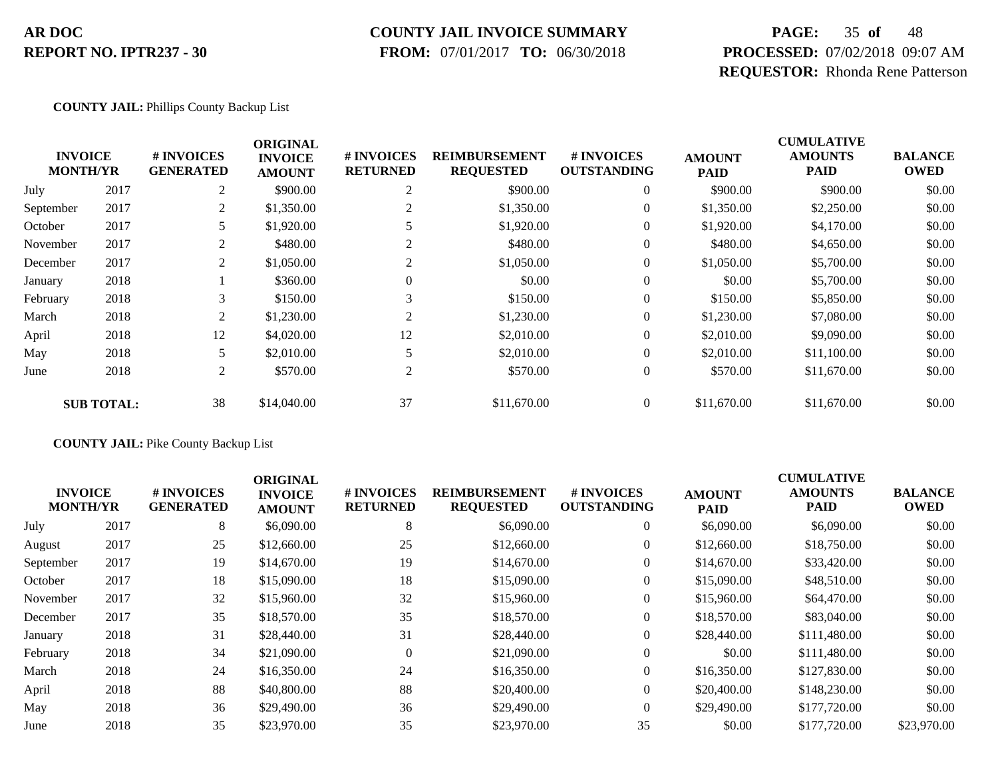#### **COUNTY JAIL INVOICE SUMMARY**

 **FROM:** 07/01/2017 **TO:** 06/30/2018

# **PAGE:** 35 **of** 48 **PROCESSED:** 07/02/2018 09:07 AM **REQUESTOR:** Rhonda Rene Patterson

#### **COUNTY JAIL:** Phillips County Backup List

|           |                                   |                                | <b>ORIGINAL</b>                 |                               |                                          |                                  |                              | <b>CUMULATIVE</b>             |                               |
|-----------|-----------------------------------|--------------------------------|---------------------------------|-------------------------------|------------------------------------------|----------------------------------|------------------------------|-------------------------------|-------------------------------|
|           | <b>INVOICE</b><br><b>MONTH/YR</b> | # INVOICES<br><b>GENERATED</b> | <b>INVOICE</b><br><b>AMOUNT</b> | # INVOICES<br><b>RETURNED</b> | <b>REIMBURSEMENT</b><br><b>REQUESTED</b> | # INVOICES<br><b>OUTSTANDING</b> | <b>AMOUNT</b><br><b>PAID</b> | <b>AMOUNTS</b><br><b>PAID</b> | <b>BALANCE</b><br><b>OWED</b> |
| July      | 2017                              | 2                              | \$900.00                        | 2                             | \$900.00                                 | $\theta$                         | \$900.00                     | \$900.00                      | \$0.00                        |
| September | 2017                              | 2                              | \$1,350.00                      |                               | \$1,350.00                               | 0                                | \$1,350.00                   | \$2,250.00                    | \$0.00                        |
| October   | 2017                              |                                | \$1,920.00                      |                               | \$1,920.00                               | 0                                | \$1,920.00                   | \$4,170.00                    | \$0.00                        |
| November  | 2017                              | 2                              | \$480.00                        | 2                             | \$480.00                                 | $\overline{0}$                   | \$480.00                     | \$4,650.00                    | \$0.00                        |
| December  | 2017                              | 2                              | \$1,050.00                      | 2                             | \$1,050.00                               | $\overline{0}$                   | \$1,050.00                   | \$5,700.00                    | \$0.00                        |
| January   | 2018                              |                                | \$360.00                        | $\Omega$                      | \$0.00                                   | $\overline{0}$                   | \$0.00                       | \$5,700.00                    | \$0.00                        |
| February  | 2018                              |                                | \$150.00                        | 3                             | \$150.00                                 | $\overline{0}$                   | \$150.00                     | \$5,850.00                    | \$0.00                        |
| March     | 2018                              | 2                              | \$1,230.00                      | 2                             | \$1,230.00                               | $\overline{0}$                   | \$1,230.00                   | \$7,080.00                    | \$0.00                        |
| April     | 2018                              | 12                             | \$4,020.00                      | 12                            | \$2,010.00                               | $\theta$                         | \$2,010.00                   | \$9,090.00                    | \$0.00                        |
| May       | 2018                              | 5                              | \$2,010.00                      |                               | \$2,010.00                               | $\overline{0}$                   | \$2,010.00                   | \$11,100.00                   | \$0.00                        |
| June      | 2018                              | 2                              | \$570.00                        | 2                             | \$570.00                                 | $\overline{0}$                   | \$570.00                     | \$11,670.00                   | \$0.00                        |
|           | <b>SUB TOTAL:</b>                 | 38                             | \$14,040.00                     | 37                            | \$11,670.00                              | $\overline{0}$                   | \$11,670.00                  | \$11,670.00                   | \$0.00                        |

#### **COUNTY JAIL:** Pike County Backup List

| <b>INVOICE</b><br><b>MONTH/YR</b> |      | # INVOICES<br><b>GENERATED</b> | <b>ORIGINAL</b><br><b>INVOICE</b><br><b>AMOUNT</b> | # INVOICES<br><b>RETURNED</b> | <b>REIMBURSEMENT</b><br><b>REQUESTED</b> | # INVOICES<br><b>OUTSTANDING</b> | <b>AMOUNT</b><br><b>PAID</b> | <b>CUMULATIVE</b><br><b>AMOUNTS</b><br><b>PAID</b> | <b>BALANCE</b><br><b>OWED</b> |
|-----------------------------------|------|--------------------------------|----------------------------------------------------|-------------------------------|------------------------------------------|----------------------------------|------------------------------|----------------------------------------------------|-------------------------------|
| July                              | 2017 | 8                              | \$6,090.00                                         | 8                             | \$6,090.00                               | $\overline{0}$                   | \$6,090.00                   | \$6,090.00                                         | \$0.00                        |
| August                            | 2017 | 25                             | \$12,660.00                                        | 25                            | \$12,660.00                              | $\overline{0}$                   | \$12,660.00                  | \$18,750.00                                        | \$0.00                        |
| September                         | 2017 | 19                             | \$14,670.00                                        | 19                            | \$14,670.00                              | $\overline{0}$                   | \$14,670.00                  | \$33,420.00                                        | \$0.00                        |
| October                           | 2017 | 18                             | \$15,090.00                                        | 18                            | \$15,090.00                              | $\overline{0}$                   | \$15,090.00                  | \$48,510.00                                        | \$0.00                        |
| November                          | 2017 | 32                             | \$15,960.00                                        | 32                            | \$15,960.00                              | $\overline{0}$                   | \$15,960.00                  | \$64,470.00                                        | \$0.00                        |
| December                          | 2017 | 35                             | \$18,570.00                                        | 35                            | \$18,570.00                              | $\overline{0}$                   | \$18,570.00                  | \$83,040.00                                        | \$0.00                        |
| January                           | 2018 | 31                             | \$28,440.00                                        | 31                            | \$28,440.00                              | $\overline{0}$                   | \$28,440.00                  | \$111,480.00                                       | \$0.00                        |
| February                          | 2018 | 34                             | \$21,090.00                                        | $\theta$                      | \$21,090.00                              | $\overline{0}$                   | \$0.00                       | \$111,480.00                                       | \$0.00                        |
| March                             | 2018 | 24                             | \$16,350.00                                        | 24                            | \$16,350.00                              | $\overline{0}$                   | \$16,350.00                  | \$127,830.00                                       | \$0.00                        |
| April                             | 2018 | 88                             | \$40,800.00                                        | 88                            | \$20,400.00                              | $\overline{0}$                   | \$20,400.00                  | \$148,230.00                                       | \$0.00                        |
| May                               | 2018 | 36                             | \$29,490.00                                        | 36                            | \$29,490.00                              | $\Omega$                         | \$29,490.00                  | \$177,720.00                                       | \$0.00                        |
| June                              | 2018 | 35                             | \$23,970.00                                        | 35                            | \$23,970.00                              | 35                               | \$0.00                       | \$177,720.00                                       | \$23,970.00                   |
|                                   |      |                                |                                                    |                               |                                          |                                  |                              |                                                    |                               |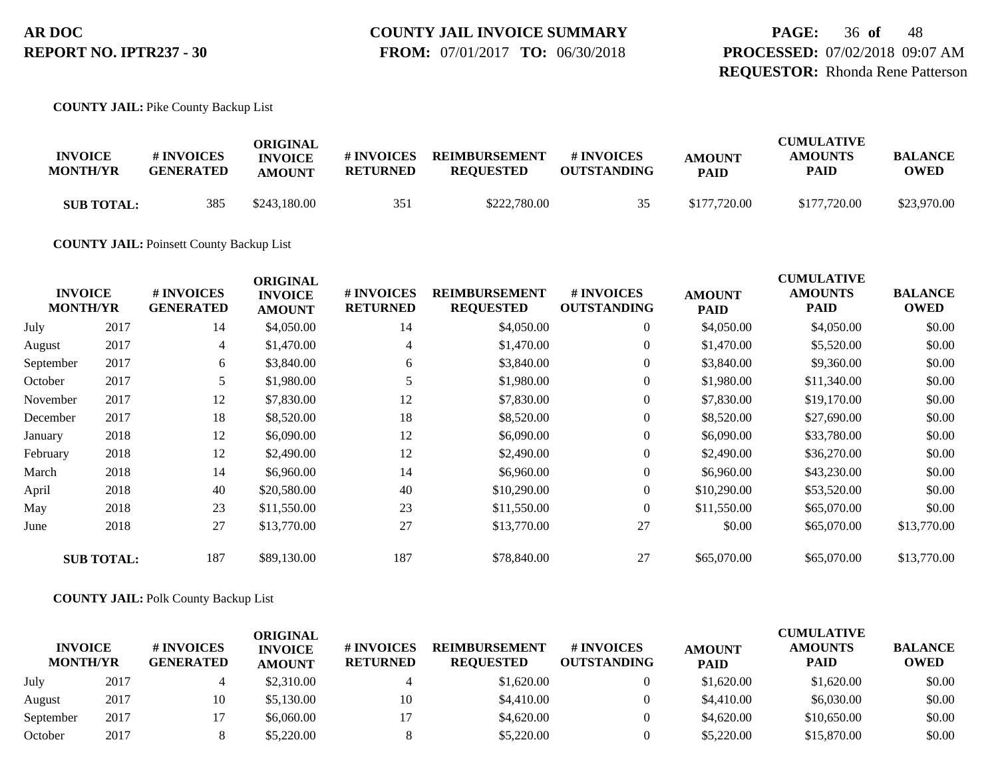**FROM:** 07/01/2017 **TO:** 06/30/2018

**PAGE:** 36 **of** 48 **PROCESSED:** 07/02/2018 09:07 AM **REQUESTOR:** Rhonda Rene Patterson

**COUNTY JAIL:** Pike County Backup List

| <b>INVOICE</b><br><b>MONTH/YR</b> | # INVOICES<br><b>GENERATED</b> | ORIGINAL<br><b>INVOICE</b><br><b>AMOUNT</b> | # INVOICES<br><b>RETURNED</b> | <b>REIMBURSEMENT</b><br><b>REOUESTED</b> | <b>#INVOICES</b><br><b>OUTSTANDING</b> | <b>AMOUNT</b><br><b>PAID</b> | <b>CUMULATIVE</b><br><b>AMOUNTS</b><br><b>PAID</b> | <b>BALANCE</b><br>OWED |
|-----------------------------------|--------------------------------|---------------------------------------------|-------------------------------|------------------------------------------|----------------------------------------|------------------------------|----------------------------------------------------|------------------------|
| <b>SUB TOTAL:</b>                 | 385                            | \$243,180.00                                | 351                           | \$222,780.00                             | 35                                     | \$177,720.00                 | \$177,720.00                                       | \$23,970.00            |

**COUNTY JAIL:** Poinsett County Backup List

| <b>INVOICE</b><br><b>MONTH/YR</b> |                   | # INVOICES<br><b>GENERATED</b> | <b>ORIGINAL</b><br><b>INVOICE</b><br><b>AMOUNT</b> | # INVOICES<br><b>RETURNED</b> | <b>REIMBURSEMENT</b><br><b>REQUESTED</b> | # INVOICES<br><b>OUTSTANDING</b> | <b>AMOUNT</b><br><b>PAID</b> | <b>CUMULATIVE</b><br><b>AMOUNTS</b><br><b>PAID</b> | <b>BALANCE</b><br><b>OWED</b> |
|-----------------------------------|-------------------|--------------------------------|----------------------------------------------------|-------------------------------|------------------------------------------|----------------------------------|------------------------------|----------------------------------------------------|-------------------------------|
| July                              | 2017              | 14                             | \$4,050.00                                         | 14                            | \$4,050.00                               | $\overline{0}$                   | \$4,050.00                   | \$4,050.00                                         | \$0.00                        |
| August                            | 2017              | 4                              | \$1,470.00                                         | $\overline{4}$                | \$1,470.00                               | $\boldsymbol{0}$                 | \$1,470.00                   | \$5,520.00                                         | \$0.00                        |
| September                         | 2017              | 6                              | \$3,840.00                                         | 6                             | \$3,840.00                               | $\boldsymbol{0}$                 | \$3,840.00                   | \$9,360.00                                         | \$0.00                        |
| October                           | 2017              | 5                              | \$1,980.00                                         | 5                             | \$1,980.00                               | $\overline{0}$                   | \$1,980.00                   | \$11,340.00                                        | \$0.00                        |
| November                          | 2017              | 12                             | \$7,830.00                                         | 12                            | \$7,830.00                               | $\boldsymbol{0}$                 | \$7,830.00                   | \$19,170.00                                        | \$0.00                        |
| December                          | 2017              | 18                             | \$8,520.00                                         | 18                            | \$8,520.00                               | $\boldsymbol{0}$                 | \$8,520.00                   | \$27,690.00                                        | \$0.00                        |
| January                           | 2018              | 12                             | \$6,090.00                                         | 12                            | \$6,090.00                               | $\overline{0}$                   | \$6,090.00                   | \$33,780.00                                        | \$0.00                        |
| February                          | 2018              | 12                             | \$2,490.00                                         | 12                            | \$2,490.00                               | $\overline{0}$                   | \$2,490.00                   | \$36,270.00                                        | \$0.00                        |
| March                             | 2018              | 14                             | \$6,960.00                                         | 14                            | \$6,960.00                               | $\overline{0}$                   | \$6,960.00                   | \$43,230.00                                        | \$0.00                        |
| April                             | 2018              | 40                             | \$20,580.00                                        | 40                            | \$10,290.00                              | $\overline{0}$                   | \$10,290.00                  | \$53,520.00                                        | \$0.00                        |
| May                               | 2018              | 23                             | \$11,550.00                                        | 23                            | \$11,550.00                              | $\overline{0}$                   | \$11,550.00                  | \$65,070.00                                        | \$0.00                        |
| June                              | 2018              | 27                             | \$13,770.00                                        | 27                            | \$13,770.00                              | 27                               | \$0.00                       | \$65,070.00                                        | \$13,770.00                   |
|                                   | <b>SUB TOTAL:</b> | 187                            | \$89,130.00                                        | 187                           | \$78,840.00                              | 27                               | \$65,070.00                  | \$65,070.00                                        | \$13,770.00                   |

#### **COUNTY JAIL:** Polk County Backup List

| <b>INVOICE</b><br><b>MONTH/YR</b> |      | # INVOICES<br><b>GENERATED</b> | ORIGINAL<br><b>INVOICE</b><br><b>AMOUNT</b> | # INVOICES<br><b>RETURNED</b> | <b>REIMBURSEMENT</b><br><b>REOUESTED</b> | <b>#INVOICES</b><br><b>OUTSTANDING</b> | <b>AMOUNT</b><br><b>PAID</b> | <b>CUMULATIVE</b><br><b>AMOUNTS</b><br><b>PAID</b> | <b>BALANCE</b><br><b>OWED</b> |
|-----------------------------------|------|--------------------------------|---------------------------------------------|-------------------------------|------------------------------------------|----------------------------------------|------------------------------|----------------------------------------------------|-------------------------------|
| July                              | 2017 |                                | \$2,310.00                                  |                               | \$1,620.00                               |                                        | \$1,620.00                   | \$1,620.00                                         | \$0.00                        |
| August                            | 2017 | 10                             | \$5,130.00                                  | 10                            | \$4,410.00                               |                                        | \$4,410.00                   | \$6,030.00                                         | \$0.00                        |
| September                         | 2017 |                                | \$6,060.00                                  |                               | \$4,620.00                               |                                        | \$4,620.00                   | \$10,650.00                                        | \$0.00                        |
| October                           | 2017 |                                | \$5,220.00                                  |                               | \$5,220.00                               |                                        | \$5,220.00                   | \$15,870.00                                        | \$0.00                        |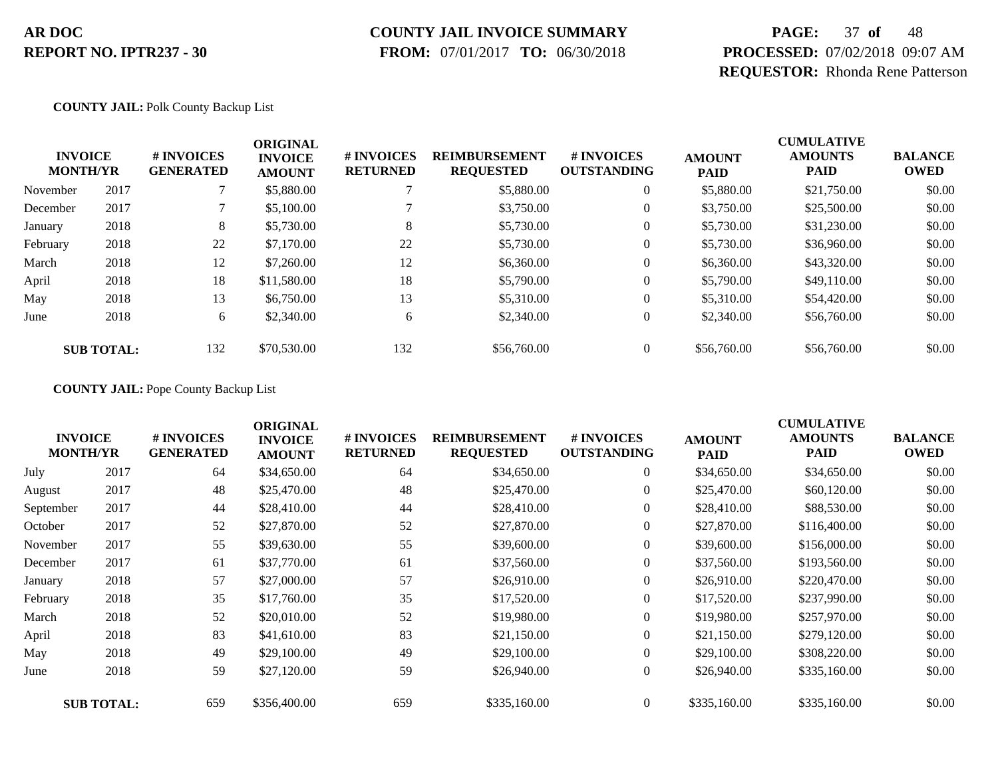#### **COUNTY JAIL INVOICE SUMMARY**

 **FROM:** 07/01/2017 **TO:** 06/30/2018

# **PAGE:** 37 **of** 48 **PROCESSED:** 07/02/2018 09:07 AM **REQUESTOR:** Rhonda Rene Patterson

**COUNTY JAIL:** Polk County Backup List

|          | <b>INVOICE</b><br><b>MONTH/YR</b> | # INVOICES<br><b>GENERATED</b> | <b>ORIGINAL</b><br><b>INVOICE</b><br><b>AMOUNT</b> | # INVOICES<br><b>RETURNED</b> | <b>REIMBURSEMENT</b><br><b>REQUESTED</b> | <b>#INVOICES</b><br><b>OUTSTANDING</b> | <b>AMOUNT</b><br><b>PAID</b> | <b>CUMULATIVE</b><br><b>AMOUNTS</b><br><b>PAID</b> | <b>BALANCE</b><br><b>OWED</b> |
|----------|-----------------------------------|--------------------------------|----------------------------------------------------|-------------------------------|------------------------------------------|----------------------------------------|------------------------------|----------------------------------------------------|-------------------------------|
| November | 2017                              |                                | \$5,880.00                                         |                               | \$5,880.00                               |                                        | \$5,880.00                   | \$21,750.00                                        | \$0.00                        |
| December | 2017                              |                                | \$5,100.00                                         |                               | \$3,750.00                               |                                        | \$3,750.00                   | \$25,500.00                                        | \$0.00                        |
| January  | 2018                              | 8                              | \$5,730.00                                         | 8                             | \$5,730.00                               |                                        | \$5,730.00                   | \$31,230.00                                        | \$0.00                        |
| February | 2018                              | 22                             | \$7,170.00                                         | 22                            | \$5,730.00                               |                                        | \$5,730.00                   | \$36,960.00                                        | \$0.00                        |
| March    | 2018                              | 12                             | \$7,260.00                                         | 12                            | \$6,360.00                               |                                        | \$6,360.00                   | \$43,320.00                                        | \$0.00                        |
| April    | 2018                              | 18                             | \$11,580.00                                        | 18                            | \$5,790.00                               |                                        | \$5,790.00                   | \$49,110.00                                        | \$0.00                        |
| May      | 2018                              | 13                             | \$6,750.00                                         | 13                            | \$5,310.00                               |                                        | \$5,310.00                   | \$54,420.00                                        | \$0.00                        |
| June     | 2018                              | 6                              | \$2,340.00                                         | 6                             | \$2,340.00                               | $\overline{0}$                         | \$2,340.00                   | \$56,760.00                                        | \$0.00                        |
|          | <b>SUB TOTAL:</b>                 | 132                            | \$70,530.00                                        | 132                           | \$56,760.00                              |                                        | \$56,760.00                  | \$56,760.00                                        | \$0.00                        |

**COUNTY JAIL:** Pope County Backup List

| <b>INVOICE</b><br><b>MONTH/YR</b> |                   | # INVOICES<br><b>GENERATED</b> | <b>ORIGINAL</b><br><b>INVOICE</b><br><b>AMOUNT</b> | # INVOICES<br><b>RETURNED</b> | <b>REIMBURSEMENT</b><br><b>REQUESTED</b> | # INVOICES<br><b>OUTSTANDING</b> | <b>AMOUNT</b><br><b>PAID</b> | <b>CUMULATIVE</b><br><b>AMOUNTS</b><br><b>PAID</b> | <b>BALANCE</b><br><b>OWED</b> |
|-----------------------------------|-------------------|--------------------------------|----------------------------------------------------|-------------------------------|------------------------------------------|----------------------------------|------------------------------|----------------------------------------------------|-------------------------------|
| July                              | 2017              | 64                             | \$34,650.00                                        | 64                            | \$34,650.00                              | $\boldsymbol{0}$                 | \$34,650.00                  | \$34,650.00                                        | \$0.00                        |
| August                            | 2017              | 48                             | \$25,470.00                                        | 48                            | \$25,470.00                              | $\overline{0}$                   | \$25,470.00                  | \$60,120.00                                        | \$0.00                        |
| September                         | 2017              | 44                             | \$28,410.00                                        | 44                            | \$28,410.00                              | $\overline{0}$                   | \$28,410.00                  | \$88,530.00                                        | \$0.00                        |
| October                           | 2017              | 52                             | \$27,870.00                                        | 52                            | \$27,870.00                              | 0                                | \$27,870.00                  | \$116,400.00                                       | \$0.00                        |
| November                          | 2017              | 55                             | \$39,630.00                                        | 55                            | \$39,600.00                              | $\overline{0}$                   | \$39,600.00                  | \$156,000.00                                       | \$0.00                        |
| December                          | 2017              | 61                             | \$37,770.00                                        | 61                            | \$37,560.00                              | $\overline{0}$                   | \$37,560.00                  | \$193,560.00                                       | \$0.00                        |
| January                           | 2018              | 57                             | \$27,000.00                                        | 57                            | \$26,910.00                              | $\overline{0}$                   | \$26,910.00                  | \$220,470.00                                       | \$0.00                        |
| February                          | 2018              | 35                             | \$17,760.00                                        | 35                            | \$17,520.00                              | $\overline{0}$                   | \$17,520.00                  | \$237,990.00                                       | \$0.00                        |
| March                             | 2018              | 52                             | \$20,010.00                                        | 52                            | \$19,980.00                              | $\overline{0}$                   | \$19,980.00                  | \$257,970.00                                       | \$0.00                        |
| April                             | 2018              | 83                             | \$41,610.00                                        | 83                            | \$21,150.00                              | $\overline{0}$                   | \$21,150.00                  | \$279,120.00                                       | \$0.00                        |
| May                               | 2018              | 49                             | \$29,100.00                                        | 49                            | \$29,100.00                              | $\overline{0}$                   | \$29,100.00                  | \$308,220.00                                       | \$0.00                        |
| June                              | 2018              | 59                             | \$27,120.00                                        | 59                            | \$26,940.00                              | $\overline{0}$                   | \$26,940.00                  | \$335,160.00                                       | \$0.00                        |
|                                   | <b>SUB TOTAL:</b> | 659                            | \$356,400.00                                       | 659                           | \$335,160.00                             | $\overline{0}$                   | \$335,160.00                 | \$335,160.00                                       | \$0.00                        |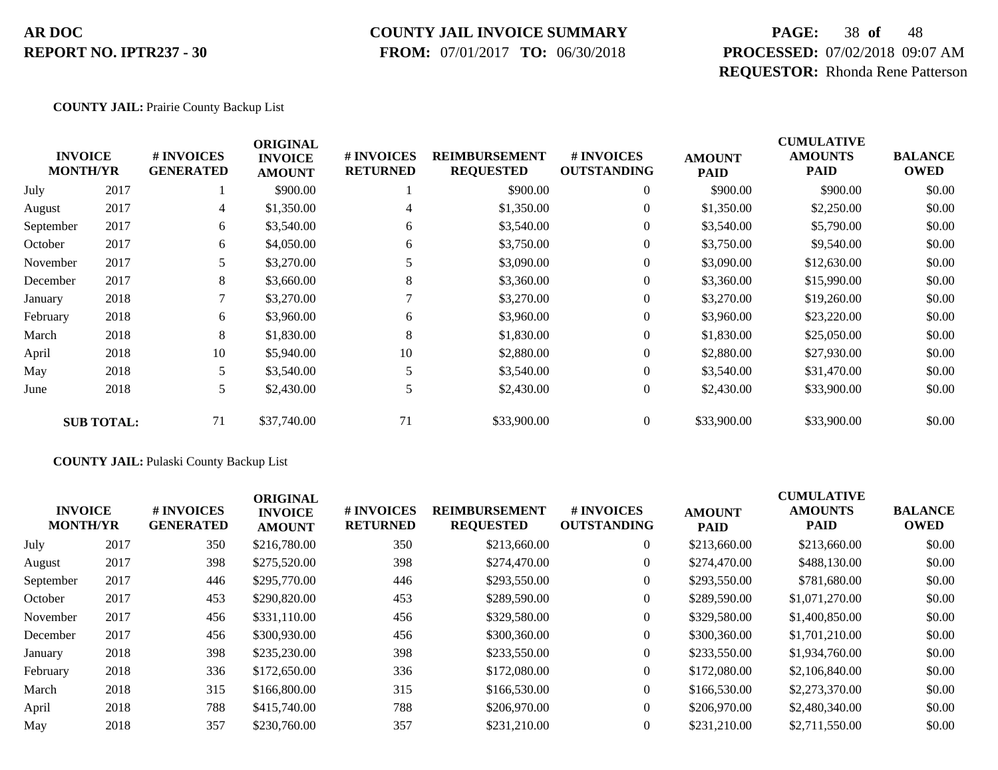#### **COUNTY JAIL INVOICE SUMMARY**

 **FROM:** 07/01/2017 **TO:** 06/30/2018

# **PAGE:** 38 **of** 48 **PROCESSED:** 07/02/2018 09:07 AM **REQUESTOR:** Rhonda Rene Patterson

#### **COUNTY JAIL:** Prairie County Backup List

| <b>INVOICE</b><br><b>MONTH/YR</b> |                   | # INVOICES<br><b>GENERATED</b> | <b>ORIGINAL</b><br><b>INVOICE</b><br><b>AMOUNT</b> | # INVOICES<br><b>RETURNED</b> | <b>REIMBURSEMENT</b><br><b>REQUESTED</b> | # INVOICES<br><b>OUTSTANDING</b> | <b>AMOUNT</b><br><b>PAID</b> | <b>CUMULATIVE</b><br><b>AMOUNTS</b><br><b>PAID</b> | <b>BALANCE</b><br><b>OWED</b> |
|-----------------------------------|-------------------|--------------------------------|----------------------------------------------------|-------------------------------|------------------------------------------|----------------------------------|------------------------------|----------------------------------------------------|-------------------------------|
| July                              | 2017              |                                | \$900.00                                           |                               | \$900.00                                 | $\overline{0}$                   | \$900.00                     | \$900.00                                           | \$0.00                        |
| August                            | 2017              | 4                              | \$1,350.00                                         | 4                             | \$1,350.00                               | $\overline{0}$                   | \$1,350.00                   | \$2,250.00                                         | \$0.00                        |
| September                         | 2017              | 6                              | \$3,540.00                                         | 6                             | \$3,540.00                               | $\overline{0}$                   | \$3,540.00                   | \$5,790.00                                         | \$0.00                        |
| October                           | 2017              | 6                              | \$4,050.00                                         | 6                             | \$3,750.00                               | $\overline{0}$                   | \$3,750.00                   | \$9,540.00                                         | \$0.00                        |
| November                          | 2017              | 5                              | \$3,270.00                                         |                               | \$3,090.00                               | $\overline{0}$                   | \$3,090.00                   | \$12,630.00                                        | \$0.00                        |
| December                          | 2017              | 8                              | \$3,660.00                                         | 8                             | \$3,360.00                               | $\overline{0}$                   | \$3,360.00                   | \$15,990.00                                        | \$0.00                        |
| January                           | 2018              | 7                              | \$3,270.00                                         |                               | \$3,270.00                               | $\overline{0}$                   | \$3,270.00                   | \$19,260.00                                        | \$0.00                        |
| February                          | 2018              | 6                              | \$3,960.00                                         | 6                             | \$3,960.00                               | $\boldsymbol{0}$                 | \$3,960.00                   | \$23,220.00                                        | \$0.00                        |
| March                             | 2018              | 8                              | \$1,830.00                                         | 8                             | \$1,830.00                               | $\overline{0}$                   | \$1,830.00                   | \$25,050.00                                        | \$0.00                        |
| April                             | 2018              | 10                             | \$5,940.00                                         | 10                            | \$2,880.00                               | $\overline{0}$                   | \$2,880.00                   | \$27,930.00                                        | \$0.00                        |
| May                               | 2018              | 5                              | \$3,540.00                                         |                               | \$3,540.00                               | $\overline{0}$                   | \$3,540.00                   | \$31,470.00                                        | \$0.00                        |
| June                              | 2018              | 5                              | \$2,430.00                                         |                               | \$2,430.00                               | $\boldsymbol{0}$                 | \$2,430.00                   | \$33,900.00                                        | \$0.00                        |
|                                   | <b>SUB TOTAL:</b> | 71                             | \$37,740.00                                        | 71                            | \$33,900.00                              | $\overline{0}$                   | \$33,900.00                  | \$33,900.00                                        | \$0.00                        |

#### **COUNTY JAIL:** Pulaski County Backup List

|           | <b>INVOICE</b><br><b>MONTH/YR</b> | <b>#INVOICES</b><br><b>GENERATED</b> | <b>ORIGINAL</b><br><b>INVOICE</b><br><b>AMOUNT</b> | # INVOICES<br><b>RETURNED</b> | <b>REIMBURSEMENT</b><br><b>REQUESTED</b> | # INVOICES<br><b>OUTSTANDING</b> | <b>AMOUNT</b><br><b>PAID</b> | <b>CUMULATIVE</b><br><b>AMOUNTS</b><br><b>PAID</b> | <b>BALANCE</b><br><b>OWED</b> |
|-----------|-----------------------------------|--------------------------------------|----------------------------------------------------|-------------------------------|------------------------------------------|----------------------------------|------------------------------|----------------------------------------------------|-------------------------------|
| July      | 2017                              | 350                                  | \$216,780.00                                       | 350                           | \$213,660.00                             | $\overline{0}$                   | \$213,660.00                 | \$213,660.00                                       | \$0.00                        |
| August    | 2017                              | 398                                  | \$275,520.00                                       | 398                           | \$274,470.00                             | $\overline{0}$                   | \$274,470.00                 | \$488,130.00                                       | \$0.00                        |
| September | 2017                              | 446                                  | \$295,770.00                                       | 446                           | \$293,550.00                             | $\overline{0}$                   | \$293,550.00                 | \$781,680.00                                       | \$0.00                        |
| October   | 2017                              | 453                                  | \$290,820.00                                       | 453                           | \$289,590.00                             | $\overline{0}$                   | \$289,590.00                 | \$1,071,270.00                                     | \$0.00                        |
| November  | 2017                              | 456                                  | \$331,110.00                                       | 456                           | \$329,580.00                             | $\overline{0}$                   | \$329,580.00                 | \$1,400,850.00                                     | \$0.00                        |
| December  | 2017                              | 456                                  | \$300,930.00                                       | 456                           | \$300,360.00                             | $\overline{0}$                   | \$300,360.00                 | \$1,701,210.00                                     | \$0.00                        |
| January   | 2018                              | 398                                  | \$235,230.00                                       | 398                           | \$233,550.00                             | $\overline{0}$                   | \$233,550.00                 | \$1,934,760.00                                     | \$0.00                        |
| February  | 2018                              | 336                                  | \$172,650.00                                       | 336                           | \$172,080.00                             | $\overline{0}$                   | \$172,080.00                 | \$2,106,840.00                                     | \$0.00                        |
| March     | 2018                              | 315                                  | \$166,800.00                                       | 315                           | \$166,530.00                             | $\overline{0}$                   | \$166,530.00                 | \$2,273,370.00                                     | \$0.00                        |
| April     | 2018                              | 788                                  | \$415,740.00                                       | 788                           | \$206,970.00                             | $\Omega$                         | \$206,970.00                 | \$2,480,340.00                                     | \$0.00                        |
| May       | 2018                              | 357                                  | \$230,760.00                                       | 357                           | \$231,210.00                             | $\overline{0}$                   | \$231,210.00                 | \$2,711,550.00                                     | \$0.00                        |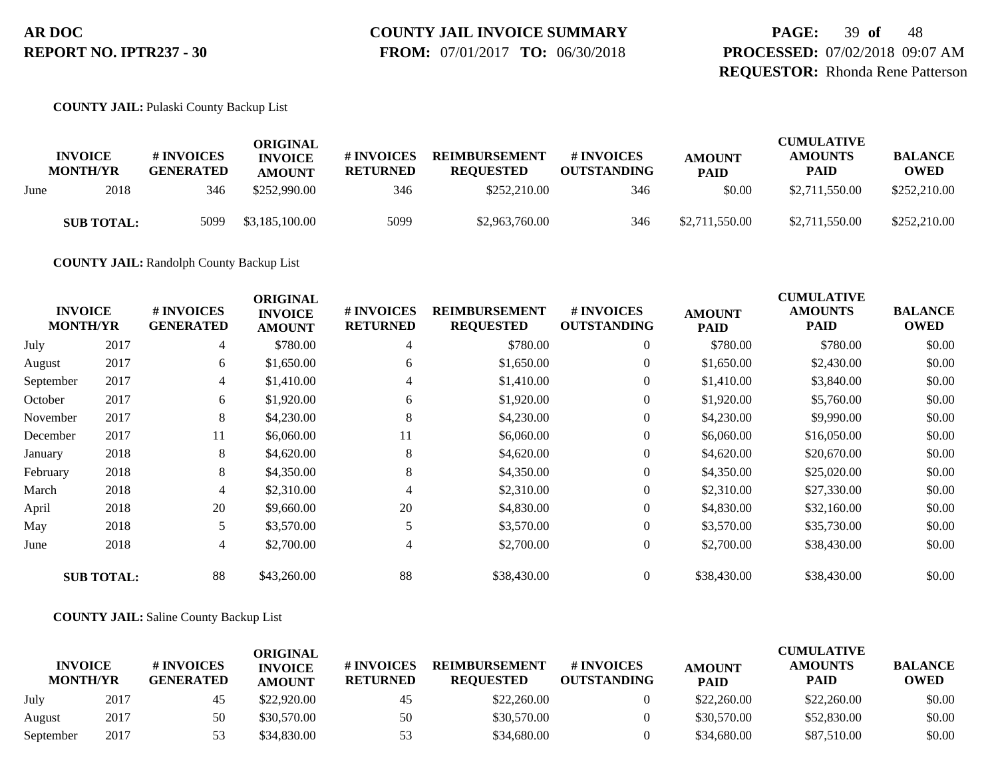# **COUNTY JAIL INVOICE SUMMARY**

 **FROM:** 07/01/2017 **TO:** 06/30/2018

**PAGE:** 39 **of** 48 **PROCESSED:** 07/02/2018 09:07 AM **REQUESTOR:** Rhonda Rene Patterson

**COUNTY JAIL:** Pulaski County Backup List

|      | <b>INVOICE</b><br><b>MONTH/YR</b> | # INVOICES<br><b>GENERATED</b> | ORIGINAL<br><b>INVOICE</b><br><b>AMOUNT</b> | # INVOICES<br><b>RETURNED</b> | <b>REIMBURSEMENT</b><br><b>REQUESTED</b> | # INVOICES<br><b>OUTSTANDING</b> | <b>AMOUNT</b><br><b>PAID</b> | <b>CUMULATIVE</b><br><b>AMOUNTS</b><br><b>PAID</b> | <b>BALANCE</b><br><b>OWED</b> |
|------|-----------------------------------|--------------------------------|---------------------------------------------|-------------------------------|------------------------------------------|----------------------------------|------------------------------|----------------------------------------------------|-------------------------------|
| June | 2018                              | 346                            | \$252,990.00                                | 346                           | \$252,210.00                             | 346                              | \$0.00                       | \$2,711,550.00                                     | \$252,210.00                  |
|      | <b>SUB TOTAL:</b>                 | 5099                           | \$3,185,100.00                              | 5099                          | \$2,963,760.00                           | 346                              | \$2,711,550.00               | \$2,711,550.00                                     | \$252,210.00                  |

**COUNTY JAIL:** Randolph County Backup List

| <b>INVOICE</b><br><b>MONTH/YR</b> |                   | # INVOICES<br><b>GENERATED</b> | <b>ORIGINAL</b><br><b>INVOICE</b><br><b>AMOUNT</b> | # INVOICES<br><b>RETURNED</b> | <b>REIMBURSEMENT</b><br><b>REQUESTED</b> | # INVOICES<br><b>OUTSTANDING</b> | <b>AMOUNT</b><br><b>PAID</b> | <b>CUMULATIVE</b><br><b>AMOUNTS</b><br><b>PAID</b> | <b>BALANCE</b><br><b>OWED</b> |
|-----------------------------------|-------------------|--------------------------------|----------------------------------------------------|-------------------------------|------------------------------------------|----------------------------------|------------------------------|----------------------------------------------------|-------------------------------|
| July                              | 2017              | 4                              | \$780.00                                           | 4                             | \$780.00                                 | $\overline{0}$                   | \$780.00                     | \$780.00                                           | \$0.00                        |
| August                            | 2017              | 6                              | \$1,650.00                                         | 6                             | \$1,650.00                               | 0                                | \$1,650.00                   | \$2,430.00                                         | \$0.00                        |
| September                         | 2017              | $\overline{4}$                 | \$1,410.00                                         | 4                             | \$1,410.00                               | $\overline{0}$                   | \$1,410.00                   | \$3,840.00                                         | \$0.00                        |
| October                           | 2017              | 6                              | \$1,920.00                                         | 6                             | \$1,920.00                               | $\theta$                         | \$1,920.00                   | \$5,760.00                                         | \$0.00                        |
| November                          | 2017              | 8                              | \$4,230.00                                         | 8                             | \$4,230.00                               | $\overline{0}$                   | \$4,230.00                   | \$9,990.00                                         | \$0.00                        |
| December                          | 2017              | 11                             | \$6,060.00                                         | 11                            | \$6,060.00                               | $\overline{0}$                   | \$6,060.00                   | \$16,050.00                                        | \$0.00                        |
| January                           | 2018              | 8                              | \$4,620.00                                         | 8                             | \$4,620.00                               | $\boldsymbol{0}$                 | \$4,620.00                   | \$20,670.00                                        | \$0.00                        |
| February                          | 2018              | 8                              | \$4,350.00                                         | 8                             | \$4,350.00                               | $\overline{0}$                   | \$4,350.00                   | \$25,020.00                                        | \$0.00                        |
| March                             | 2018              | 4                              | \$2,310.00                                         | 4                             | \$2,310.00                               | $\overline{0}$                   | \$2,310.00                   | \$27,330.00                                        | \$0.00                        |
| April                             | 2018              | 20                             | \$9,660.00                                         | 20                            | \$4,830.00                               | 0                                | \$4,830.00                   | \$32,160.00                                        | \$0.00                        |
| May                               | 2018              |                                | \$3,570.00                                         |                               | \$3,570.00                               | $\overline{0}$                   | \$3,570.00                   | \$35,730.00                                        | \$0.00                        |
| June                              | 2018              | 4                              | \$2,700.00                                         | 4                             | \$2,700.00                               | $\overline{0}$                   | \$2,700.00                   | \$38,430.00                                        | \$0.00                        |
|                                   | <b>SUB TOTAL:</b> | 88                             | \$43,260.00                                        | 88                            | \$38,430.00                              | $\overline{0}$                   | \$38,430.00                  | \$38,430.00                                        | \$0.00                        |

**COUNTY JAIL:** Saline County Backup List

|                                   |      |                                | ORIGINAL                        |                               |                                          |                                  |                              | <b>CUMULATIVE</b>             |                               |
|-----------------------------------|------|--------------------------------|---------------------------------|-------------------------------|------------------------------------------|----------------------------------|------------------------------|-------------------------------|-------------------------------|
| <b>INVOICE</b><br><b>MONTH/YR</b> |      | # INVOICES<br><b>GENERATED</b> | <b>INVOICE</b><br><b>AMOUNT</b> | # INVOICES<br><b>RETURNED</b> | <b>REIMBURSEMENT</b><br><b>REOUESTED</b> | # INVOICES<br><b>OUTSTANDING</b> | <b>AMOUNT</b><br><b>PAID</b> | <b>AMOUNTS</b><br><b>PAID</b> | <b>BALANCE</b><br><b>OWED</b> |
| July                              | 2017 | 45                             | \$22,920.00                     | 45                            | \$22,260.00                              |                                  | \$22,260.00                  | \$22,260.00                   | \$0.00                        |
| August                            | 2017 | 50                             | \$30,570.00                     | 50                            | \$30,570.00                              |                                  | \$30,570.00                  | \$52,830.00                   | \$0.00                        |
| September                         | 2017 |                                | \$34,830.00                     | 53                            | \$34,680.00                              |                                  | \$34,680.00                  | \$87,510.00                   | \$0.00                        |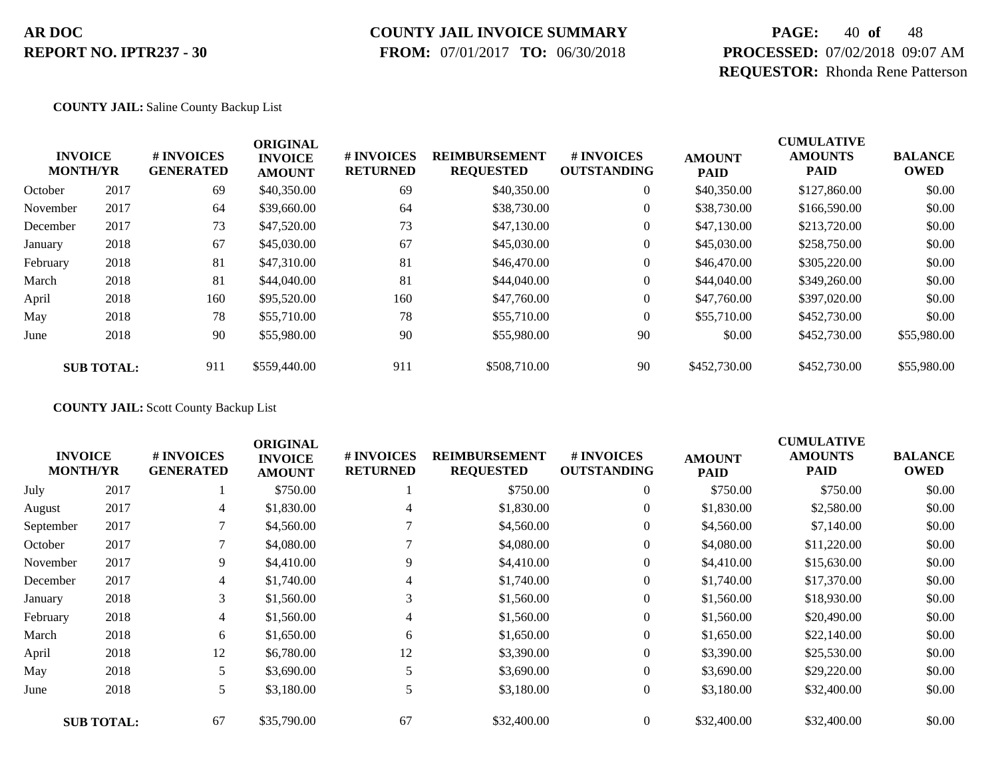### **COUNTY JAIL INVOICE SUMMARY**

 **FROM:** 07/01/2017 **TO:** 06/30/2018

# **PAGE:** 40 **of** 48 **PROCESSED:** 07/02/2018 09:07 AM **REQUESTOR:** Rhonda Rene Patterson

#### **COUNTY JAIL:** Saline County Backup List

|          | <b>INVOICE</b><br><b>MONTH/YR</b> | # INVOICES<br><b>GENERATED</b> | <b>ORIGINAL</b><br><b>INVOICE</b><br><b>AMOUNT</b> | # INVOICES<br><b>RETURNED</b> | <b>REIMBURSEMENT</b><br><b>REQUESTED</b> | <b>#INVOICES</b><br><b>OUTSTANDING</b> | <b>AMOUNT</b><br><b>PAID</b> | <b>CUMULATIVE</b><br><b>AMOUNTS</b><br><b>PAID</b> | <b>BALANCE</b><br><b>OWED</b> |
|----------|-----------------------------------|--------------------------------|----------------------------------------------------|-------------------------------|------------------------------------------|----------------------------------------|------------------------------|----------------------------------------------------|-------------------------------|
| October  | 2017                              | 69                             | \$40,350.00                                        | 69                            | \$40,350.00                              | $\overline{0}$                         | \$40,350.00                  | \$127,860.00                                       | \$0.00                        |
| November | 2017                              | 64                             | \$39,660.00                                        | 64                            | \$38,730.00                              | $\overline{0}$                         | \$38,730.00                  | \$166,590.00                                       | \$0.00                        |
| December | 2017                              | 73                             | \$47,520.00                                        | 73                            | \$47,130.00                              | 0                                      | \$47,130.00                  | \$213,720.00                                       | \$0.00                        |
| January  | 2018                              | 67                             | \$45,030.00                                        | 67                            | \$45,030.00                              | 0                                      | \$45,030.00                  | \$258,750.00                                       | \$0.00                        |
| February | 2018                              | 81                             | \$47,310.00                                        | 81                            | \$46,470.00                              | $\boldsymbol{0}$                       | \$46,470.00                  | \$305,220.00                                       | \$0.00                        |
| March    | 2018                              | 81                             | \$44,040.00                                        | 81                            | \$44,040.00                              | $\overline{0}$                         | \$44,040.00                  | \$349,260.00                                       | \$0.00                        |
| April    | 2018                              | 160                            | \$95,520.00                                        | 160                           | \$47,760.00                              | $\overline{0}$                         | \$47,760.00                  | \$397,020.00                                       | \$0.00                        |
| May      | 2018                              | 78                             | \$55,710.00                                        | 78                            | \$55,710.00                              | $\overline{0}$                         | \$55,710.00                  | \$452,730.00                                       | \$0.00                        |
| June     | 2018                              | 90                             | \$55,980.00                                        | 90                            | \$55,980.00                              | 90                                     | \$0.00                       | \$452,730.00                                       | \$55,980.00                   |
|          | <b>SUB TOTAL:</b>                 | 911                            | \$559,440.00                                       | 911                           | \$508,710.00                             | 90                                     | \$452,730.00                 | \$452,730.00                                       | \$55,980.00                   |

**COUNTY JAIL:** Scott County Backup List

| <b>MONTH/YR</b> | <b>INVOICE</b>    | # INVOICES<br><b>GENERATED</b> | <b>ORIGINAL</b><br><b>INVOICE</b><br><b>AMOUNT</b> | # INVOICES<br><b>RETURNED</b> | <b>REIMBURSEMENT</b><br><b>REQUESTED</b> | # INVOICES<br><b>OUTSTANDING</b> | <b>AMOUNT</b><br><b>PAID</b> | <b>CUMULATIVE</b><br><b>AMOUNTS</b><br><b>PAID</b> | <b>BALANCE</b><br><b>OWED</b> |
|-----------------|-------------------|--------------------------------|----------------------------------------------------|-------------------------------|------------------------------------------|----------------------------------|------------------------------|----------------------------------------------------|-------------------------------|
| July            | 2017              |                                | \$750.00                                           |                               | \$750.00                                 | $\overline{0}$                   | \$750.00                     | \$750.00                                           | \$0.00                        |
| August          | 2017              | $\overline{4}$                 | \$1,830.00                                         | 4                             | \$1,830.00                               | $\overline{0}$                   | \$1,830.00                   | \$2,580.00                                         | \$0.00                        |
| September       | 2017              |                                | \$4,560.00                                         |                               | \$4,560.00                               | $\overline{0}$                   | \$4,560.00                   | \$7,140.00                                         | \$0.00                        |
| October         | 2017              |                                | \$4,080.00                                         |                               | \$4,080.00                               | $\overline{0}$                   | \$4,080.00                   | \$11,220.00                                        | \$0.00                        |
| November        | 2017              | 9                              | \$4,410.00                                         | 9                             | \$4,410.00                               | $\overline{0}$                   | \$4,410.00                   | \$15,630.00                                        | \$0.00                        |
| December        | 2017              | 4                              | \$1,740.00                                         |                               | \$1,740.00                               | $\overline{0}$                   | \$1,740.00                   | \$17,370.00                                        | \$0.00                        |
| January         | 2018              | 3                              | \$1,560.00                                         | 3                             | \$1,560.00                               | $\overline{0}$                   | \$1,560.00                   | \$18,930.00                                        | \$0.00                        |
| February        | 2018              | 4                              | \$1,560.00                                         | 4                             | \$1,560.00                               | $\overline{0}$                   | \$1,560.00                   | \$20,490.00                                        | \$0.00                        |
| March           | 2018              | 6                              | \$1,650.00                                         | 6                             | \$1,650.00                               | 0                                | \$1,650.00                   | \$22,140.00                                        | \$0.00                        |
| April           | 2018              | 12                             | \$6,780.00                                         | 12                            | \$3,390.00                               | $\overline{0}$                   | \$3,390.00                   | \$25,530.00                                        | \$0.00                        |
| May             | 2018              | 5                              | \$3,690.00                                         | 5                             | \$3,690.00                               | 0                                | \$3,690.00                   | \$29,220.00                                        | \$0.00                        |
| June            | 2018              | 5                              | \$3,180.00                                         | 5                             | \$3,180.00                               | $\overline{0}$                   | \$3,180.00                   | \$32,400.00                                        | \$0.00                        |
|                 | <b>SUB TOTAL:</b> | 67                             | \$35,790.00                                        | 67                            | \$32,400.00                              | $\overline{0}$                   | \$32,400.00                  | \$32,400.00                                        | \$0.00                        |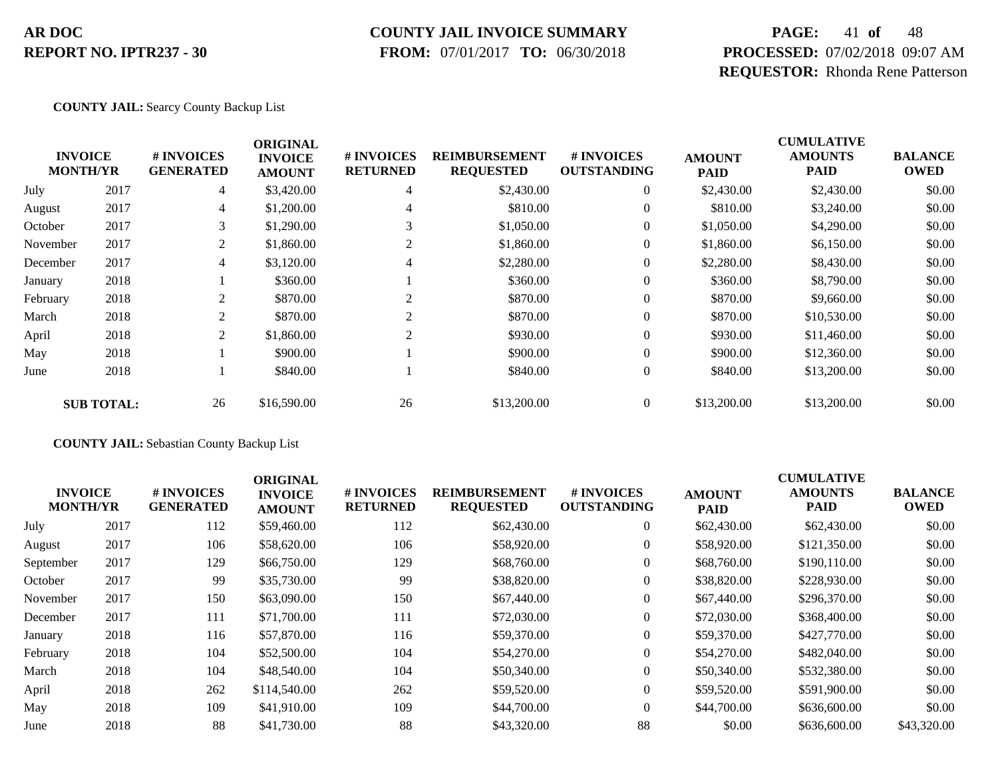#### **COUNTY JAIL INVOICE SUMMARY**

 **FROM:** 07/01/2017 **TO:** 06/30/2018

# **PAGE:** 41 **of** 48 **PROCESSED:** 07/02/2018 09:07 AM **REQUESTOR:** Rhonda Rene Patterson

**COUNTY JAIL:** Searcy County Backup List

|          |                                   |                                | <b>ORIGINAL</b>                 |                               |                                          |                                  |                              | <b>CUMULATIVE</b>             |                               |
|----------|-----------------------------------|--------------------------------|---------------------------------|-------------------------------|------------------------------------------|----------------------------------|------------------------------|-------------------------------|-------------------------------|
|          | <b>INVOICE</b><br><b>MONTH/YR</b> | # INVOICES<br><b>GENERATED</b> | <b>INVOICE</b><br><b>AMOUNT</b> | # INVOICES<br><b>RETURNED</b> | <b>REIMBURSEMENT</b><br><b>REQUESTED</b> | # INVOICES<br><b>OUTSTANDING</b> | <b>AMOUNT</b><br><b>PAID</b> | <b>AMOUNTS</b><br><b>PAID</b> | <b>BALANCE</b><br><b>OWED</b> |
| July     | 2017                              | 4                              | \$3,420.00                      | 4                             | \$2,430.00                               | $\theta$                         | \$2,430.00                   | \$2,430.00                    | \$0.00                        |
| August   | 2017                              | 4                              | \$1,200.00                      |                               | \$810.00                                 | 0                                | \$810.00                     | \$3,240.00                    | \$0.00                        |
| October  | 2017                              | 3                              | \$1,290.00                      |                               | \$1,050.00                               | 0                                | \$1,050.00                   | \$4,290.00                    | \$0.00                        |
| November | 2017                              | 2                              | \$1,860.00                      | 2                             | \$1,860.00                               | 0                                | \$1,860.00                   | \$6,150.00                    | \$0.00                        |
| December | 2017                              | 4                              | \$3,120.00                      | 4                             | \$2,280.00                               | 0                                | \$2,280.00                   | \$8,430.00                    | \$0.00                        |
| January  | 2018                              |                                | \$360.00                        |                               | \$360.00                                 | $\overline{0}$                   | \$360.00                     | \$8,790.00                    | \$0.00                        |
| February | 2018                              | 2                              | \$870.00                        |                               | \$870.00                                 | $\overline{0}$                   | \$870.00                     | \$9,660.00                    | \$0.00                        |
| March    | 2018                              | 2                              | \$870.00                        | 2                             | \$870.00                                 | $\overline{0}$                   | \$870.00                     | \$10,530.00                   | \$0.00                        |
| April    | 2018                              | 2                              | \$1,860.00                      | 2                             | \$930.00                                 | $\overline{0}$                   | \$930.00                     | \$11,460.00                   | \$0.00                        |
| May      | 2018                              |                                | \$900.00                        |                               | \$900.00                                 | $\overline{0}$                   | \$900.00                     | \$12,360.00                   | \$0.00                        |
| June     | 2018                              |                                | \$840.00                        |                               | \$840.00                                 | $\overline{0}$                   | \$840.00                     | \$13,200.00                   | \$0.00                        |
|          | <b>SUB TOTAL:</b>                 | 26                             | \$16,590.00                     | 26                            | \$13,200.00                              | $\Omega$                         | \$13,200.00                  | \$13,200.00                   | \$0.00                        |

**COUNTY JAIL:** Sebastian County Backup List

| <b>INVOICE</b><br><b>MONTH/YR</b> |      | # INVOICES<br><b>GENERATED</b> | <b>ORIGINAL</b><br><b>INVOICE</b><br><b>AMOUNT</b> | # INVOICES<br><b>RETURNED</b> | <b>REIMBURSEMENT</b><br><b>REQUESTED</b> | <b>#INVOICES</b><br><b>OUTSTANDING</b> | <b>AMOUNT</b><br><b>PAID</b> | <b>CUMULATIVE</b><br><b>AMOUNTS</b><br>PAID | <b>BALANCE</b><br><b>OWED</b> |
|-----------------------------------|------|--------------------------------|----------------------------------------------------|-------------------------------|------------------------------------------|----------------------------------------|------------------------------|---------------------------------------------|-------------------------------|
| July                              | 2017 | 112                            | \$59,460.00                                        | 112                           | \$62,430.00                              | $\overline{0}$                         | \$62,430.00                  | \$62,430.00                                 | \$0.00                        |
| August                            | 2017 | 106                            | \$58,620.00                                        | 106                           | \$58,920.00                              | $\overline{0}$                         | \$58,920.00                  | \$121,350.00                                | \$0.00                        |
| September                         | 2017 | 129                            | \$66,750.00                                        | 129                           | \$68,760.00                              | 0                                      | \$68,760.00                  | \$190,110.00                                | \$0.00                        |
| October                           | 2017 | 99                             | \$35,730.00                                        | 99                            | \$38,820.00                              | $\overline{0}$                         | \$38,820.00                  | \$228,930.00                                | \$0.00                        |
| November                          | 2017 | 150                            | \$63,090.00                                        | 150                           | \$67,440.00                              | $\overline{0}$                         | \$67,440.00                  | \$296,370.00                                | \$0.00                        |
| December                          | 2017 | 111                            | \$71,700.00                                        | 111                           | \$72,030.00                              | $\overline{0}$                         | \$72,030.00                  | \$368,400.00                                | \$0.00                        |
| January                           | 2018 | 116                            | \$57,870.00                                        | 116                           | \$59,370.00                              | $\overline{0}$                         | \$59,370.00                  | \$427,770.00                                | \$0.00                        |
| February                          | 2018 | 104                            | \$52,500.00                                        | 104                           | \$54,270.00                              | $\overline{0}$                         | \$54,270.00                  | \$482,040.00                                | \$0.00                        |
| March                             | 2018 | 104                            | \$48,540.00                                        | 104                           | \$50,340.00                              | $\Omega$                               | \$50,340.00                  | \$532,380.00                                | \$0.00                        |
| April                             | 2018 | 262                            | \$114,540.00                                       | 262                           | \$59,520.00                              | $\overline{0}$                         | \$59,520.00                  | \$591,900.00                                | \$0.00                        |
| May                               | 2018 | 109                            | \$41,910.00                                        | 109                           | \$44,700.00                              | $\theta$                               | \$44,700.00                  | \$636,600.00                                | \$0.00                        |
| June                              | 2018 | 88                             | \$41,730.00                                        | 88                            | \$43,320.00                              | 88                                     | \$0.00                       | \$636,600.00                                | \$43,320.00                   |
|                                   |      |                                |                                                    |                               |                                          |                                        |                              |                                             |                               |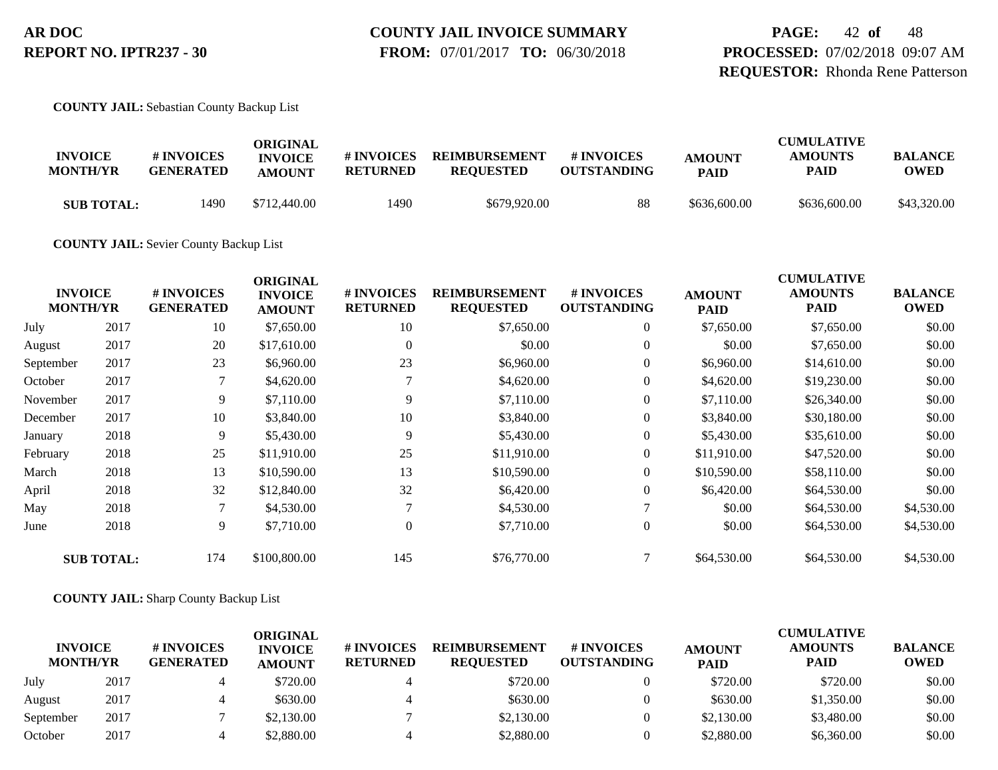**PAGE:** 42 **of** 48 **PROCESSED:** 07/02/2018 09:07 AM **REQUESTOR:** Rhonda Rene Patterson

**COUNTY JAIL:** Sebastian County Backup List

| <b>INVOICE</b><br><b>MONTH/YR</b> | # INVOICES<br><b>GENERATED</b> | ORIGINAL<br><b>INVOICE</b><br><b>AMOUNT</b> | # INVOICES<br><b>RETURNED</b> | <b>REIMBURSEMENT</b><br><b>REOUESTED</b> | # INVOICES<br><b>OUTSTANDING</b> | <b>AMOUNT</b><br><b>PAID</b> | <b>CUMULATIVE</b><br><b>AMOUNTS</b><br>PAID | <b>BALANCE</b><br>OWED |
|-----------------------------------|--------------------------------|---------------------------------------------|-------------------------------|------------------------------------------|----------------------------------|------------------------------|---------------------------------------------|------------------------|
| <b>SUB TOTAL:</b>                 | 1490                           | \$712,440.00                                | 1490                          | \$679,920.00                             | 88                               | \$636,600.00                 | \$636,600.00                                | \$43,320.00            |

**COUNTY JAIL:** Sevier County Backup List

|           | <b>INVOICE</b><br><b>MONTH/YR</b> | # INVOICES<br><b>GENERATED</b> | <b>ORIGINAL</b><br><b>INVOICE</b><br><b>AMOUNT</b> | # INVOICES<br><b>RETURNED</b> | <b>REIMBURSEMENT</b><br><b>REQUESTED</b> | # INVOICES<br><b>OUTSTANDING</b> | <b>AMOUNT</b><br><b>PAID</b> | <b>CUMULATIVE</b><br><b>AMOUNTS</b><br><b>PAID</b> | <b>BALANCE</b><br><b>OWED</b> |
|-----------|-----------------------------------|--------------------------------|----------------------------------------------------|-------------------------------|------------------------------------------|----------------------------------|------------------------------|----------------------------------------------------|-------------------------------|
| July      | 2017                              | 10                             | \$7,650.00                                         | 10                            | \$7,650.00                               | $\overline{0}$                   | \$7,650.00                   | \$7,650.00                                         | \$0.00                        |
| August    | 2017                              | 20                             | \$17,610.00                                        | $\mathbf{0}$                  | \$0.00                                   | $\overline{0}$                   | \$0.00                       | \$7,650.00                                         | \$0.00                        |
| September | 2017                              | 23                             | \$6,960.00                                         | 23                            | \$6,960.00                               | $\boldsymbol{0}$                 | \$6,960.00                   | \$14,610.00                                        | \$0.00                        |
| October   | 2017                              | 7                              | \$4,620.00                                         |                               | \$4,620.00                               | $\overline{0}$                   | \$4,620.00                   | \$19,230.00                                        | \$0.00                        |
| November  | 2017                              | 9                              | \$7,110.00                                         | 9                             | \$7,110.00                               | $\boldsymbol{0}$                 | \$7,110.00                   | \$26,340.00                                        | \$0.00                        |
| December  | 2017                              | 10                             | \$3,840.00                                         | 10                            | \$3,840.00                               | $\boldsymbol{0}$                 | \$3,840.00                   | \$30,180.00                                        | \$0.00                        |
| January   | 2018                              | 9                              | \$5,430.00                                         | 9                             | \$5,430.00                               | $\overline{0}$                   | \$5,430.00                   | \$35,610.00                                        | \$0.00                        |
| February  | 2018                              | 25                             | \$11,910.00                                        | 25                            | \$11,910.00                              | $\boldsymbol{0}$                 | \$11,910.00                  | \$47,520.00                                        | \$0.00                        |
| March     | 2018                              | 13                             | \$10,590.00                                        | 13                            | \$10,590.00                              | $\boldsymbol{0}$                 | \$10,590.00                  | \$58,110.00                                        | \$0.00                        |
| April     | 2018                              | 32                             | \$12,840.00                                        | 32                            | \$6,420.00                               | $\overline{0}$                   | \$6,420.00                   | \$64,530.00                                        | \$0.00                        |
| May       | 2018                              | 7                              | \$4,530.00                                         |                               | \$4,530.00                               |                                  | \$0.00                       | \$64,530.00                                        | \$4,530.00                    |
| June      | 2018                              | 9                              | \$7,710.00                                         | $\mathbf{0}$                  | \$7,710.00                               | $\overline{0}$                   | \$0.00                       | \$64,530.00                                        | \$4,530.00                    |
|           | <b>SUB TOTAL:</b>                 | 174                            | \$100,800.00                                       | 145                           | \$76,770.00                              |                                  | \$64,530.00                  | \$64,530.00                                        | \$4,530.00                    |

#### **COUNTY JAIL:** Sharp County Backup List

| <b>INVOICE</b><br><b>MONTH/YR</b> |      | <b># INVOICES</b><br><b>GENERATED</b> | <b>ORIGINAL</b><br><b>INVOICE</b><br><b>AMOUNT</b> | # INVOICES<br><b>RETURNED</b> | <b>REIMBURSEMENT</b><br><b>REOUESTED</b> | # INVOICES<br><b>OUTSTANDING</b> | <b>AMOUNT</b><br><b>PAID</b> | <b>CUMULATIVE</b><br><b>AMOUNTS</b><br><b>PAID</b> | <b>BALANCE</b><br><b>OWED</b> |
|-----------------------------------|------|---------------------------------------|----------------------------------------------------|-------------------------------|------------------------------------------|----------------------------------|------------------------------|----------------------------------------------------|-------------------------------|
| July                              | 2017 |                                       | \$720.00                                           |                               | \$720.00                                 |                                  | \$720.00                     | \$720.00                                           | \$0.00                        |
| August                            | 2017 |                                       | \$630.00                                           |                               | \$630.00                                 |                                  | \$630.00                     | \$1,350.00                                         | \$0.00                        |
| September                         | 2017 |                                       | \$2,130.00                                         |                               | \$2,130.00                               |                                  | \$2,130.00                   | \$3,480.00                                         | \$0.00                        |
| October                           | 2017 |                                       | \$2,880.00                                         |                               | \$2,880.00                               |                                  | \$2,880.00                   | \$6,360.00                                         | \$0.00                        |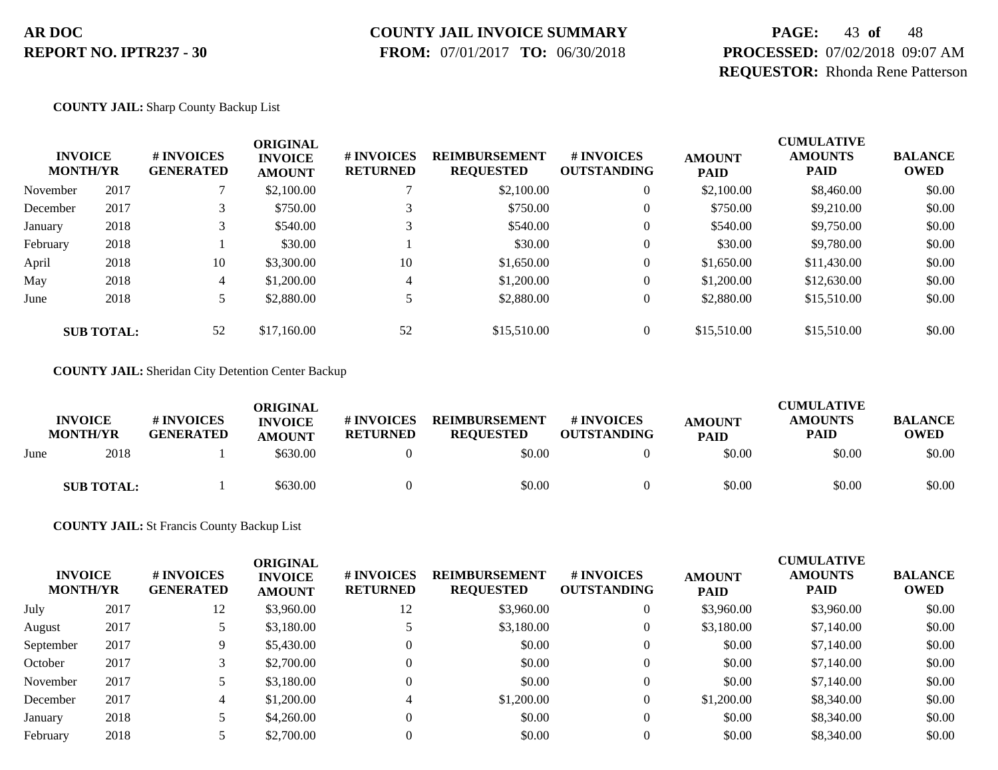### **COUNTY JAIL INVOICE SUMMARY**

 **FROM:** 07/01/2017 **TO:** 06/30/2018

# **PAGE:** 43 **of** 48 **PROCESSED:** 07/02/2018 09:07 AM **REQUESTOR:** Rhonda Rene Patterson

**COUNTY JAIL:** Sharp County Backup List

| <b>INVOICE</b><br><b>MONTH/YR</b> |                   | # INVOICES<br><b>GENERATED</b> | <b>ORIGINAL</b><br><b>INVOICE</b><br><b>AMOUNT</b> | # INVOICES<br><b>RETURNED</b> | <b>REIMBURSEMENT</b><br><b>REQUESTED</b> | # INVOICES<br><b>OUTSTANDING</b> | <b>AMOUNT</b><br><b>PAID</b> | <b>CUMULATIVE</b><br><b>AMOUNTS</b><br><b>PAID</b> | <b>BALANCE</b><br><b>OWED</b> |
|-----------------------------------|-------------------|--------------------------------|----------------------------------------------------|-------------------------------|------------------------------------------|----------------------------------|------------------------------|----------------------------------------------------|-------------------------------|
| November                          | 2017              |                                | \$2,100.00                                         |                               | \$2,100.00                               | 0                                | \$2,100.00                   | \$8,460.00                                         | \$0.00                        |
| December                          | 2017              | 3                              | \$750.00                                           |                               | \$750.00                                 | $\theta$                         | \$750.00                     | \$9,210.00                                         | \$0.00                        |
| January                           | 2018              | 3                              | \$540.00                                           | $\mathfrak{D}$                | \$540.00                                 | 0                                | \$540.00                     | \$9,750.00                                         | \$0.00                        |
| February                          | 2018              |                                | \$30.00                                            |                               | \$30.00                                  | 0                                | \$30.00                      | \$9,780.00                                         | \$0.00                        |
| April                             | 2018              | 10                             | \$3,300.00                                         | 10                            | \$1,650.00                               | 0                                | \$1,650.00                   | \$11,430.00                                        | \$0.00                        |
| May                               | 2018              | 4                              | \$1,200.00                                         | 4                             | \$1,200.00                               | 0                                | \$1,200.00                   | \$12,630.00                                        | \$0.00                        |
| June                              | 2018              |                                | \$2,880.00                                         |                               | \$2,880.00                               | $\overline{0}$                   | \$2,880.00                   | \$15,510.00                                        | \$0.00                        |
|                                   | <b>SUB TOTAL:</b> | 52                             | \$17,160.00                                        | 52                            | \$15,510.00                              | $\overline{0}$                   | \$15,510.00                  | \$15,510.00                                        | \$0.00                        |

**COUNTY JAIL:** Sheridan City Detention Center Backup

|      | <b>INVOICE</b><br><b>MONTH/YR</b> | # INVOICES<br><b>GENERATED</b> | ORIGINAL<br><b>INVOICE</b><br><b>AMOUNT</b> | # INVOICES<br><b>RETURNED</b> | <b>REIMBURSEMENT</b><br><b>REQUESTED</b> | <b># INVOICES</b><br><b>OUTSTANDING</b> | <b>AMOUNT</b><br><b>PAID</b> | <b>CUMULATIVE</b><br><b>AMOUNTS</b><br><b>PAID</b> | <b>BALANCE</b><br><b>OWED</b> |
|------|-----------------------------------|--------------------------------|---------------------------------------------|-------------------------------|------------------------------------------|-----------------------------------------|------------------------------|----------------------------------------------------|-------------------------------|
| June | 2018                              |                                | \$630.00                                    |                               | \$0.00                                   |                                         | \$0.00                       | \$0.00                                             | \$0.00                        |
|      | <b>SUB TOTAL:</b>                 |                                | \$630.00                                    |                               | \$0.00                                   |                                         | \$0.00                       | \$0.00                                             | \$0.00                        |

**COUNTY JAIL:** St Francis County Backup List

| <b>INVOICE</b><br><b>MONTH/YR</b> |      | # INVOICES<br><b>GENERATED</b> | <b>ORIGINAL</b><br><b>INVOICE</b><br><b>AMOUNT</b> | # INVOICES<br><b>RETURNED</b> | <b>REIMBURSEMENT</b><br><b>REQUESTED</b> | <b># INVOICES</b><br><b>OUTSTANDING</b> | <b>AMOUNT</b><br><b>PAID</b> | <b>CUMULATIVE</b><br><b>AMOUNTS</b><br><b>PAID</b> | <b>BALANCE</b><br><b>OWED</b> |
|-----------------------------------|------|--------------------------------|----------------------------------------------------|-------------------------------|------------------------------------------|-----------------------------------------|------------------------------|----------------------------------------------------|-------------------------------|
| July                              | 2017 | 12                             | \$3,960.00                                         | 12                            | \$3,960.00                               | 0                                       | \$3,960.00                   | \$3,960.00                                         | \$0.00                        |
| August                            | 2017 |                                | \$3,180.00                                         |                               | \$3,180.00                               | 0                                       | \$3,180.00                   | \$7,140.00                                         | \$0.00                        |
| September                         | 2017 | 9                              | \$5,430.00                                         | 0                             | \$0.00                                   | 0                                       | \$0.00                       | \$7,140.00                                         | \$0.00                        |
| October                           | 2017 |                                | \$2,700.00                                         | 0                             | \$0.00                                   | 0                                       | \$0.00                       | \$7,140.00                                         | \$0.00                        |
| November                          | 2017 |                                | \$3,180.00                                         | 0                             | \$0.00                                   | 0                                       | \$0.00                       | \$7,140.00                                         | \$0.00                        |
| December                          | 2017 | 4                              | \$1,200.00                                         |                               | \$1,200.00                               | 0                                       | \$1,200.00                   | \$8,340.00                                         | \$0.00                        |
| January                           | 2018 |                                | \$4,260.00                                         | 0                             | \$0.00                                   | 0                                       | \$0.00                       | \$8,340.00                                         | \$0.00                        |
| February                          | 2018 |                                | \$2,700.00                                         |                               | \$0.00                                   |                                         | \$0.00                       | \$8,340.00                                         | \$0.00                        |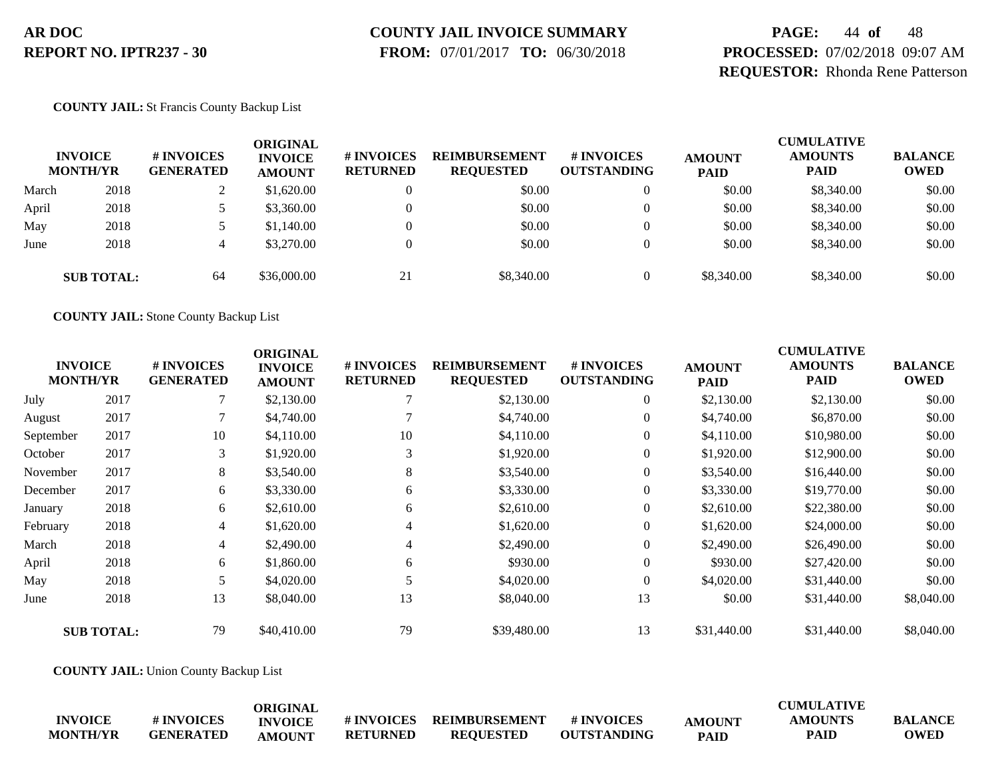# **COUNTY JAIL INVOICE SUMMARY**

 **FROM:** 07/01/2017 **TO:** 06/30/2018

# **PAGE:** 44 **of** 48 **PROCESSED:** 07/02/2018 09:07 AM **REQUESTOR:** Rhonda Rene Patterson

#### **COUNTY JAIL:** St Francis County Backup List

|       | <b>INVOICE</b><br><b>MONTH/YR</b> | <b>#INVOICES</b><br><b>GENERATED</b> | ORIGINAL<br><b>INVOICE</b><br><b>AMOUNT</b> | # INVOICES<br><b>RETURNED</b> | <b>REIMBURSEMENT</b><br><b>REQUESTED</b> | <b>#INVOICES</b><br><b>OUTSTANDING</b> | <b>AMOUNT</b><br><b>PAID</b> | <b>CUMULATIVE</b><br><b>AMOUNTS</b><br><b>PAID</b> | <b>BALANCE</b><br><b>OWED</b> |
|-------|-----------------------------------|--------------------------------------|---------------------------------------------|-------------------------------|------------------------------------------|----------------------------------------|------------------------------|----------------------------------------------------|-------------------------------|
| March | 2018                              |                                      | \$1,620.00                                  |                               | \$0.00                                   |                                        | \$0.00                       | \$8,340.00                                         | \$0.00                        |
| April | 2018                              |                                      | \$3,360.00                                  |                               | \$0.00                                   |                                        | \$0.00                       | \$8,340.00                                         | \$0.00                        |
| May   | 2018                              |                                      | \$1,140.00                                  |                               | \$0.00                                   | 0                                      | \$0.00                       | \$8,340.00                                         | \$0.00                        |
| June  | 2018                              | 4                                    | \$3,270.00                                  |                               | \$0.00                                   |                                        | \$0.00                       | \$8,340.00                                         | \$0.00                        |
|       | <b>SUB TOTAL:</b>                 | 64                                   | \$36,000.00                                 | 21                            | \$8,340.00                               | 0                                      | \$8,340.00                   | \$8,340.00                                         | \$0.00                        |

**COUNTY JAIL:** Stone County Backup List

|           |                                   |                                | <b>ORIGINAL</b>                 |                               |                                          |                                        |                              | <b>CUMULATIVE</b>             |                               |
|-----------|-----------------------------------|--------------------------------|---------------------------------|-------------------------------|------------------------------------------|----------------------------------------|------------------------------|-------------------------------|-------------------------------|
|           | <b>INVOICE</b><br><b>MONTH/YR</b> | # INVOICES<br><b>GENERATED</b> | <b>INVOICE</b><br><b>AMOUNT</b> | # INVOICES<br><b>RETURNED</b> | <b>REIMBURSEMENT</b><br><b>REQUESTED</b> | <b>#INVOICES</b><br><b>OUTSTANDING</b> | <b>AMOUNT</b><br><b>PAID</b> | <b>AMOUNTS</b><br><b>PAID</b> | <b>BALANCE</b><br><b>OWED</b> |
| July      | 2017                              |                                | \$2,130.00                      |                               | \$2,130.00                               | $\overline{0}$                         | \$2,130.00                   | \$2,130.00                    | \$0.00                        |
| August    | 2017                              |                                | \$4,740.00                      |                               | \$4,740.00                               | $\overline{0}$                         | \$4,740.00                   | \$6,870.00                    | \$0.00                        |
| September | 2017                              | 10                             | \$4,110.00                      | 10                            | \$4,110.00                               | $\overline{0}$                         | \$4,110.00                   | \$10,980.00                   | \$0.00                        |
| October   | 2017                              | 3                              | \$1,920.00                      | 3                             | \$1,920.00                               | $\overline{0}$                         | \$1,920.00                   | \$12,900.00                   | \$0.00                        |
| November  | 2017                              | 8                              | \$3,540.00                      | 8                             | \$3,540.00                               | $\overline{0}$                         | \$3,540.00                   | \$16,440.00                   | \$0.00                        |
| December  | 2017                              | 6                              | \$3,330.00                      | 6                             | \$3,330.00                               | $\overline{0}$                         | \$3,330.00                   | \$19,770.00                   | \$0.00                        |
| January   | 2018                              | 6                              | \$2,610.00                      | 6                             | \$2,610.00                               | $\overline{0}$                         | \$2,610.00                   | \$22,380.00                   | \$0.00                        |
| February  | 2018                              | 4                              | \$1,620.00                      | 4                             | \$1,620.00                               | $\overline{0}$                         | \$1,620.00                   | \$24,000.00                   | \$0.00                        |
| March     | 2018                              | $\overline{4}$                 | \$2,490.00                      | $\overline{4}$                | \$2,490.00                               | $\overline{0}$                         | \$2,490.00                   | \$26,490.00                   | \$0.00                        |
| April     | 2018                              | 6                              | \$1,860.00                      | 6                             | \$930.00                                 | $\overline{0}$                         | \$930.00                     | \$27,420.00                   | \$0.00                        |
| May       | 2018                              | 5                              | \$4,020.00                      |                               | \$4,020.00                               | $\overline{0}$                         | \$4,020.00                   | \$31,440.00                   | \$0.00                        |
| June      | 2018                              | 13                             | \$8,040.00                      | 13                            | \$8,040.00                               | 13                                     | \$0.00                       | \$31,440.00                   | \$8,040.00                    |
|           | <b>SUB TOTAL:</b>                 | 79                             | \$40,410.00                     | 79                            | \$39,480.00                              | 13                                     | \$31,440.00                  | \$31,440.00                   | \$8,040.00                    |

**COUNTY JAIL:** Union County Backup List

|                 |            | ORIGINAL       |                  |                      |                    |               | <b>CUMULATIVE</b> |                |
|-----------------|------------|----------------|------------------|----------------------|--------------------|---------------|-------------------|----------------|
| <b>INVOICE</b>  | # INVOICES | <b>INVOICE</b> | <b>#INVOICES</b> | <b>REIMBURSEMENT</b> | # INVOICES         | <b>AMOUNT</b> | <b>AMOUNTS</b>    | <b>BALANCE</b> |
| <b>MONTH/YR</b> | GENERATED  | AMOUNT         | <b>RETURNED</b>  | <b>REOUESTED</b>     | <b>OUTSTANDING</b> | <b>PAID</b>   | <b>PAID</b>       | <b>OWED</b>    |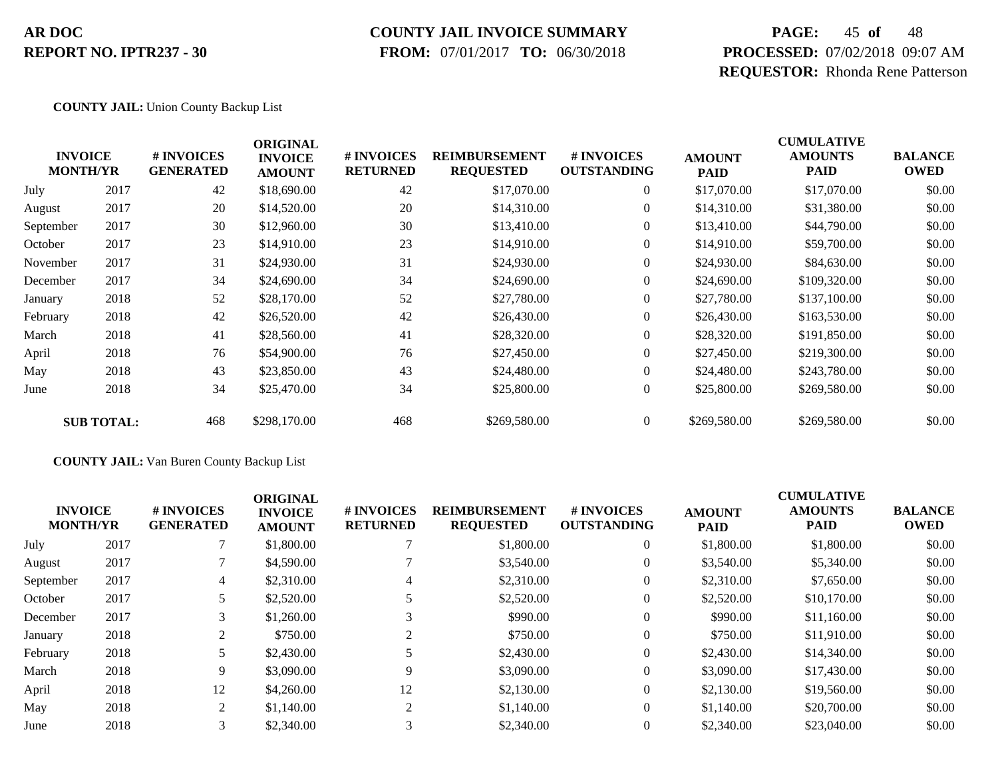#### **COUNTY JAIL INVOICE SUMMARY**

 **FROM:** 07/01/2017 **TO:** 06/30/2018

# **PAGE:** 45 **of** 48 **PROCESSED:** 07/02/2018 09:07 AM **REQUESTOR:** Rhonda Rene Patterson

#### **COUNTY JAIL:** Union County Backup List

|           | <b>INVOICE</b><br><b>MONTH/YR</b> | # INVOICES<br><b>GENERATED</b> | <b>ORIGINAL</b><br><b>INVOICE</b><br><b>AMOUNT</b> | # INVOICES<br><b>RETURNED</b> | <b>REIMBURSEMENT</b><br><b>REQUESTED</b> | # INVOICES<br><b>OUTSTANDING</b> | <b>AMOUNT</b><br><b>PAID</b> | <b>CUMULATIVE</b><br><b>AMOUNTS</b><br>PAID | <b>BALANCE</b><br><b>OWED</b> |
|-----------|-----------------------------------|--------------------------------|----------------------------------------------------|-------------------------------|------------------------------------------|----------------------------------|------------------------------|---------------------------------------------|-------------------------------|
| July      | 2017                              | 42                             | \$18,690.00                                        | 42                            | \$17,070.00                              | $\overline{0}$                   | \$17,070.00                  | \$17,070.00                                 | \$0.00                        |
| August    | 2017                              | 20                             | \$14,520.00                                        | 20                            | \$14,310.00                              | $\overline{0}$                   | \$14,310.00                  | \$31,380.00                                 | \$0.00                        |
| September | 2017                              | 30                             | \$12,960.00                                        | 30                            | \$13,410.00                              | $\overline{0}$                   | \$13,410.00                  | \$44,790.00                                 | \$0.00                        |
| October   | 2017                              | 23                             | \$14,910.00                                        | 23                            | \$14,910.00                              | $\overline{0}$                   | \$14,910.00                  | \$59,700.00                                 | \$0.00                        |
| November  | 2017                              | 31                             | \$24,930.00                                        | 31                            | \$24,930.00                              | $\overline{0}$                   | \$24,930.00                  | \$84,630.00                                 | \$0.00                        |
| December  | 2017                              | 34                             | \$24,690.00                                        | 34                            | \$24,690.00                              | $\overline{0}$                   | \$24,690.00                  | \$109,320.00                                | \$0.00                        |
| January   | 2018                              | 52                             | \$28,170.00                                        | 52                            | \$27,780.00                              | $\overline{0}$                   | \$27,780.00                  | \$137,100.00                                | \$0.00                        |
| February  | 2018                              | 42                             | \$26,520.00                                        | 42                            | \$26,430.00                              | $\overline{0}$                   | \$26,430.00                  | \$163,530.00                                | \$0.00                        |
| March     | 2018                              | 41                             | \$28,560.00                                        | 41                            | \$28,320.00                              | $\overline{0}$                   | \$28,320.00                  | \$191,850.00                                | \$0.00                        |
| April     | 2018                              | 76                             | \$54,900.00                                        | 76                            | \$27,450.00                              | $\overline{0}$                   | \$27,450.00                  | \$219,300.00                                | \$0.00                        |
| May       | 2018                              | 43                             | \$23,850.00                                        | 43                            | \$24,480.00                              | $\overline{0}$                   | \$24,480.00                  | \$243,780.00                                | \$0.00                        |
| June      | 2018                              | 34                             | \$25,470.00                                        | 34                            | \$25,800.00                              | $\overline{0}$                   | \$25,800.00                  | \$269,580.00                                | \$0.00                        |
|           | <b>SUB TOTAL:</b>                 | 468                            | \$298,170.00                                       | 468                           | \$269,580.00                             | $\overline{0}$                   | \$269,580.00                 | \$269,580.00                                | \$0.00                        |

#### **COUNTY JAIL:** Van Buren County Backup List

| <b>INVOICE</b><br><b>MONTH/YR</b> |      | <b>#INVOICES</b><br><b>GENERATED</b> | <b>ORIGINAL</b><br><b>INVOICE</b><br><b>AMOUNT</b> | # INVOICES<br><b>RETURNED</b> | <b>REIMBURSEMENT</b><br><b>REQUESTED</b> | # INVOICES<br><b>OUTSTANDING</b> | <b>AMOUNT</b><br><b>PAID</b> | <b>CUMULATIVE</b><br><b>AMOUNTS</b><br><b>PAID</b> | <b>BALANCE</b><br><b>OWED</b> |
|-----------------------------------|------|--------------------------------------|----------------------------------------------------|-------------------------------|------------------------------------------|----------------------------------|------------------------------|----------------------------------------------------|-------------------------------|
| July                              | 2017 |                                      | \$1,800.00                                         |                               | \$1,800.00                               | $\theta$                         | \$1,800.00                   | \$1,800.00                                         | \$0.00                        |
| August                            | 2017 |                                      | \$4,590.00                                         |                               | \$3,540.00                               | $\theta$                         | \$3,540.00                   | \$5,340.00                                         | \$0.00                        |
| September                         | 2017 | 4                                    | \$2,310.00                                         | 4                             | \$2,310.00                               | $\theta$                         | \$2,310.00                   | \$7,650.00                                         | \$0.00                        |
| October                           | 2017 | 5                                    | \$2,520.00                                         |                               | \$2,520.00                               | $\theta$                         | \$2,520.00                   | \$10,170.00                                        | \$0.00                        |
| December                          | 2017 | 3                                    | \$1,260.00                                         |                               | \$990.00                                 | $\overline{0}$                   | \$990.00                     | \$11,160.00                                        | \$0.00                        |
| January                           | 2018 | 2                                    | \$750.00                                           |                               | \$750.00                                 | $\Omega$                         | \$750.00                     | \$11,910.00                                        | \$0.00                        |
| February                          | 2018 |                                      | \$2,430.00                                         |                               | \$2,430.00                               | $\theta$                         | \$2,430.00                   | \$14,340.00                                        | \$0.00                        |
| March                             | 2018 | 9                                    | \$3,090.00                                         | $\mathbf Q$                   | \$3,090.00                               | $\mathbf{0}$                     | \$3,090.00                   | \$17,430.00                                        | \$0.00                        |
| April                             | 2018 | 12                                   | \$4,260.00                                         | 12                            | \$2,130.00                               | $\theta$                         | \$2,130.00                   | \$19,560.00                                        | \$0.00                        |
| May                               | 2018 | 2                                    | \$1,140.00                                         | 2                             | \$1,140.00                               | $\Omega$                         | \$1,140.00                   | \$20,700.00                                        | \$0.00                        |
| June                              | 2018 | 3 <sup>1</sup>                       | \$2,340.00                                         |                               | \$2,340.00                               | $\theta$                         | \$2,340.00                   | \$23,040.00                                        | \$0.00                        |
|                                   |      |                                      |                                                    |                               |                                          |                                  |                              |                                                    |                               |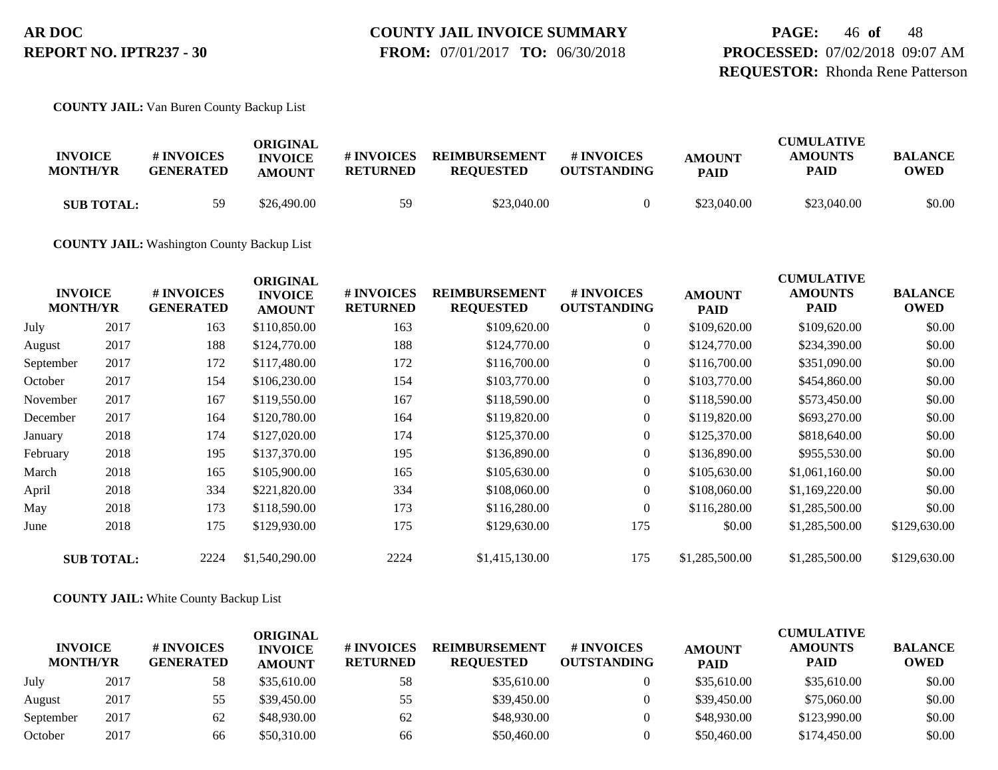**PAGE:** 46 **of** 48 **PROCESSED:** 07/02/2018 09:07 AM **REQUESTOR:** Rhonda Rene Patterson

**COUNTY JAIL:** Van Buren County Backup List

| <b>INVOICE</b><br><b>MONTH/YR</b> | # INVOICES<br><b>GENERATED</b> | ORIGINAL<br><b>INVOICE</b><br><b>AMOUNT</b> | # INVOICES<br><b>RETURNED</b> | <b>REIMBURSEMENT</b><br><b>REQUESTED</b> | <b>#INVOICES</b><br><b>OUTSTANDING</b> | <b>AMOUNT</b><br><b>PAID</b> | <b>CUMULATIVE</b><br><b>AMOUNTS</b><br><b>PAID</b> | <b>BALANCE</b><br>OWED |
|-----------------------------------|--------------------------------|---------------------------------------------|-------------------------------|------------------------------------------|----------------------------------------|------------------------------|----------------------------------------------------|------------------------|
| <b>SUB TOTAL:</b>                 | 59                             | \$26,490.00                                 | 59                            | \$23,040.00                              |                                        | \$23,040.00                  | \$23,040.00                                        | \$0.00                 |

**COUNTY JAIL:** Washington County Backup List

| <b>INVOICE</b><br><b>MONTH/YR</b> |                   | # INVOICES<br><b>GENERATED</b> | <b>ORIGINAL</b><br><b>INVOICE</b><br><b>AMOUNT</b> | # INVOICES<br><b>RETURNED</b> | <b>REIMBURSEMENT</b><br><b>REQUESTED</b> | # INVOICES<br><b>OUTSTANDING</b> | <b>AMOUNT</b><br><b>PAID</b> | <b>CUMULATIVE</b><br><b>AMOUNTS</b><br><b>PAID</b> | <b>BALANCE</b><br><b>OWED</b> |
|-----------------------------------|-------------------|--------------------------------|----------------------------------------------------|-------------------------------|------------------------------------------|----------------------------------|------------------------------|----------------------------------------------------|-------------------------------|
| July                              | 2017              | 163                            | \$110,850.00                                       | 163                           | \$109,620.00                             | $\overline{0}$                   | \$109,620.00                 | \$109,620.00                                       | \$0.00                        |
| August                            | 2017              | 188                            | \$124,770.00                                       | 188                           | \$124,770.00                             | $\overline{0}$                   | \$124,770.00                 | \$234,390.00                                       | \$0.00                        |
| September                         | 2017              | 172                            | \$117,480.00                                       | 172                           | \$116,700.00                             | $\overline{0}$                   | \$116,700.00                 | \$351,090.00                                       | \$0.00                        |
| October                           | 2017              | 154                            | \$106,230.00                                       | 154                           | \$103,770.00                             | $\boldsymbol{0}$                 | \$103,770.00                 | \$454,860.00                                       | \$0.00                        |
| November                          | 2017              | 167                            | \$119,550.00                                       | 167                           | \$118,590.00                             | $\overline{0}$                   | \$118,590.00                 | \$573,450.00                                       | \$0.00                        |
| December                          | 2017              | 164                            | \$120,780.00                                       | 164                           | \$119,820.00                             | $\overline{0}$                   | \$119,820.00                 | \$693,270.00                                       | \$0.00                        |
| January                           | 2018              | 174                            | \$127,020.00                                       | 174                           | \$125,370.00                             | $\overline{0}$                   | \$125,370.00                 | \$818,640.00                                       | \$0.00                        |
| February                          | 2018              | 195                            | \$137,370.00                                       | 195                           | \$136,890.00                             | $\overline{0}$                   | \$136,890.00                 | \$955,530.00                                       | \$0.00                        |
| March                             | 2018              | 165                            | \$105,900.00                                       | 165                           | \$105,630.00                             | $\overline{0}$                   | \$105,630.00                 | \$1,061,160.00                                     | \$0.00                        |
| April                             | 2018              | 334                            | \$221,820.00                                       | 334                           | \$108,060.00                             | $\overline{0}$                   | \$108,060.00                 | \$1,169,220.00                                     | \$0.00                        |
| May                               | 2018              | 173                            | \$118,590.00                                       | 173                           | \$116,280.00                             | $\overline{0}$                   | \$116,280.00                 | \$1,285,500.00                                     | \$0.00                        |
| June                              | 2018              | 175                            | \$129,930.00                                       | 175                           | \$129,630.00                             | 175                              | \$0.00                       | \$1,285,500.00                                     | \$129,630.00                  |
|                                   | <b>SUB TOTAL:</b> | 2224                           | \$1,540,290.00                                     | 2224                          | \$1,415,130.00                           | 175                              | \$1,285,500.00               | \$1,285,500.00                                     | \$129,630.00                  |

#### **COUNTY JAIL:** White County Backup List

| <b>INVOICE</b><br><b>MONTH/YR</b> |      | # INVOICES<br><b>GENERATED</b> | <b>ORIGINAL</b><br><b>INVOICE</b><br><b>AMOUNT</b> | # INVOICES<br><b>RETURNED</b> | <b>REIMBURSEMENT</b><br><b>REOUESTED</b> | <b>#INVOICES</b><br><b>OUTSTANDING</b> | <b>AMOUNT</b><br><b>PAID</b> | <b>CUMULATIVE</b><br><b>AMOUNTS</b><br><b>PAID</b> | <b>BALANCE</b><br><b>OWED</b> |
|-----------------------------------|------|--------------------------------|----------------------------------------------------|-------------------------------|------------------------------------------|----------------------------------------|------------------------------|----------------------------------------------------|-------------------------------|
| July                              | 2017 | 58                             | \$35,610.00                                        | 58                            | \$35,610.00                              |                                        | \$35,610.00                  | \$35,610.00                                        | \$0.00                        |
| August                            | 2017 | 55                             | \$39,450.00                                        | 55                            | \$39,450.00                              |                                        | \$39,450.00                  | \$75,060.00                                        | \$0.00                        |
| September                         | 2017 | 62                             | \$48,930.00                                        | 62                            | \$48,930.00                              |                                        | \$48,930.00                  | \$123,990.00                                       | \$0.00                        |
| October                           | 2017 | 66                             | \$50,310.00                                        | 66                            | \$50,460.00                              |                                        | \$50,460.00                  | \$174,450.00                                       | \$0.00                        |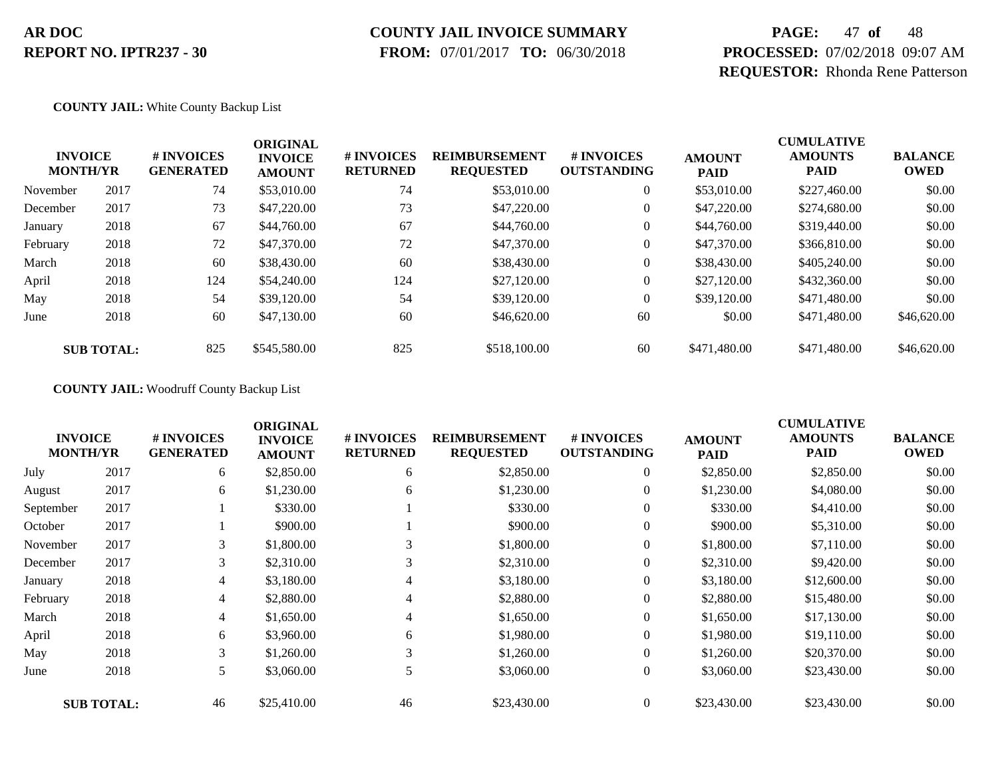### **COUNTY JAIL INVOICE SUMMARY**

 **FROM:** 07/01/2017 **TO:** 06/30/2018

# **PAGE:** 47 **of** 48 **PROCESSED:** 07/02/2018 09:07 AM **REQUESTOR:** Rhonda Rene Patterson

#### **COUNTY JAIL:** White County Backup List

| <b>INVOICE</b><br><b>MONTH/YR</b> |                   | # INVOICES<br><b>GENERATED</b> | <b>ORIGINAL</b><br><b>INVOICE</b><br><b>AMOUNT</b> | # INVOICES<br><b>RETURNED</b> | <b>REIMBURSEMENT</b><br><b>REQUESTED</b> | # INVOICES<br><b>OUTSTANDING</b> | <b>AMOUNT</b><br><b>PAID</b> | <b>CUMULATIVE</b><br><b>AMOUNTS</b><br><b>PAID</b> | <b>BALANCE</b><br><b>OWED</b> |
|-----------------------------------|-------------------|--------------------------------|----------------------------------------------------|-------------------------------|------------------------------------------|----------------------------------|------------------------------|----------------------------------------------------|-------------------------------|
| November                          | 2017              | 74                             | \$53,010.00                                        | 74                            | \$53,010.00                              | $\overline{0}$                   | \$53,010.00                  | \$227,460.00                                       | \$0.00                        |
| December                          | 2017              | 73                             | \$47,220.00                                        | 73                            | \$47,220.00                              | $\overline{0}$                   | \$47,220.00                  | \$274,680.00                                       | \$0.00                        |
| January                           | 2018              | 67                             | \$44,760.00                                        | 67                            | \$44,760.00                              | $\overline{0}$                   | \$44,760.00                  | \$319,440.00                                       | \$0.00                        |
| February                          | 2018              | 72                             | \$47,370.00                                        | 72                            | \$47,370.00                              | $\overline{0}$                   | \$47,370.00                  | \$366,810.00                                       | \$0.00                        |
| March                             | 2018              | 60                             | \$38,430.00                                        | 60                            | \$38,430.00                              | 0                                | \$38,430.00                  | \$405,240.00                                       | \$0.00                        |
| April                             | 2018              | 124                            | \$54,240.00                                        | 124                           | \$27,120.00                              | $\overline{0}$                   | \$27,120.00                  | \$432,360.00                                       | \$0.00                        |
| May                               | 2018              | 54                             | \$39,120.00                                        | 54                            | \$39,120.00                              | $\overline{0}$                   | \$39,120.00                  | \$471,480.00                                       | \$0.00                        |
| June                              | 2018              | 60                             | \$47,130.00                                        | 60                            | \$46,620.00                              | 60                               | \$0.00                       | \$471,480.00                                       | \$46,620.00                   |
|                                   | <b>SUB TOTAL:</b> | 825                            | \$545,580.00                                       | 825                           | \$518,100.00                             | 60                               | \$471,480.00                 | \$471,480.00                                       | \$46,620.00                   |

**COUNTY JAIL:** Woodruff County Backup List

| <b>INVOICE</b><br><b>MONTH/YR</b> |                   | # INVOICES<br><b>GENERATED</b> | <b>ORIGINAL</b><br><b>INVOICE</b><br><b>AMOUNT</b> | # INVOICES<br><b>RETURNED</b> | <b>REIMBURSEMENT</b><br><b>REQUESTED</b> | # INVOICES<br><b>OUTSTANDING</b> | <b>AMOUNT</b><br>PAID | <b>CUMULATIVE</b><br><b>AMOUNTS</b><br><b>PAID</b> | <b>BALANCE</b><br><b>OWED</b> |
|-----------------------------------|-------------------|--------------------------------|----------------------------------------------------|-------------------------------|------------------------------------------|----------------------------------|-----------------------|----------------------------------------------------|-------------------------------|
| July                              | 2017              | 6                              | \$2,850.00                                         | 6                             | \$2,850.00                               | $\boldsymbol{0}$                 | \$2,850.00            | \$2,850.00                                         | \$0.00                        |
| August                            | 2017              | 6                              | \$1,230.00                                         | 6                             | \$1,230.00                               | 0                                | \$1,230.00            | \$4,080.00                                         | \$0.00                        |
| September                         | 2017              |                                | \$330.00                                           |                               | \$330.00                                 | $\overline{0}$                   | \$330.00              | \$4,410.00                                         | \$0.00                        |
| October                           | 2017              |                                | \$900.00                                           |                               | \$900.00                                 | $\overline{0}$                   | \$900.00              | \$5,310.00                                         | \$0.00                        |
| November                          | 2017              | 3                              | \$1,800.00                                         | 3                             | \$1,800.00                               | $\overline{0}$                   | \$1,800.00            | \$7,110.00                                         | \$0.00                        |
| December                          | 2017              | 3                              | \$2,310.00                                         | 3                             | \$2,310.00                               | $\overline{0}$                   | \$2,310.00            | \$9,420.00                                         | \$0.00                        |
| January                           | 2018              | $\overline{4}$                 | \$3,180.00                                         | 4                             | \$3,180.00                               | 0                                | \$3,180.00            | \$12,600.00                                        | \$0.00                        |
| February                          | 2018              | 4                              | \$2,880.00                                         | 4                             | \$2,880.00                               | $\boldsymbol{0}$                 | \$2,880.00            | \$15,480.00                                        | \$0.00                        |
| March                             | 2018              | 4                              | \$1,650.00                                         | 4                             | \$1,650.00                               | $\overline{0}$                   | \$1,650.00            | \$17,130.00                                        | \$0.00                        |
| April                             | 2018              | 6                              | \$3,960.00                                         | 6                             | \$1,980.00                               | $\overline{0}$                   | \$1,980.00            | \$19,110.00                                        | \$0.00                        |
| May                               | 2018              | 3                              | \$1,260.00                                         | 3                             | \$1,260.00                               | $\overline{0}$                   | \$1,260.00            | \$20,370.00                                        | \$0.00                        |
| June                              | 2018              | 5                              | \$3,060.00                                         | 5                             | \$3,060.00                               | $\overline{0}$                   | \$3,060.00            | \$23,430.00                                        | \$0.00                        |
|                                   | <b>SUB TOTAL:</b> | 46                             | \$25,410.00                                        | 46                            | \$23,430.00                              | $\overline{0}$                   | \$23,430.00           | \$23,430.00                                        | \$0.00                        |